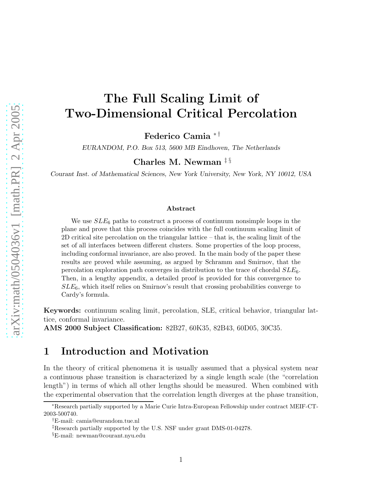# The Full Scaling Limit of Two-Dimensional Critical Percolation

Federico Camia ∗ †

EURANDOM, P.O. Box 513, 5600 MB Eindhoven, The Netherlands

Charles M. Newman ‡ §

Courant Inst. of Mathematical Sciences, New York University, New York, NY 10012, USA

#### Abstract

We use  $SLE_6$  paths to construct a process of continuum nonsimple loops in the plane and prove that this process coincides with the full continuum scaling limit of 2D critical site percolation on the triangular lattice – that is, the scaling limit of the set of all interfaces between different clusters. Some properties of the loop process, including conformal invariance, are also proved. In the main body of the paper these results are proved while assuming, as argued by Schramm and Smirnov, that the percolation exploration path converges in distribution to the trace of chordal  $SLE_6$ . Then, in a lengthy appendix, a detailed proof is provided for this convergence to  $SLE_6$ , which itself relies on Smirnov's result that crossing probabilities converge to Cardy's formula.

Keywords: continuum scaling limit, percolation, SLE, critical behavior, triangular lattice, conformal invariance.

AMS 2000 Subject Classification: 82B27, 60K35, 82B43, 60D05, 30C35.

### 1 Introduction and Motivation

In the theory of critical phenomena it is usually assumed that a physical system near a continuous phase transition is characterized by a single length scale (the "correlation length") in terms of which all other lengths should be measured. When combined with the experimental observation that the correlation length diverges at the phase transition,

<sup>∗</sup>Research partially supported by a Marie Curie Intra-European Fellowship under contract MEIF-CT-2003-500740.

<sup>†</sup>E-mail: camia@eurandom.tue.nl

<sup>‡</sup>Research partially supported by the U.S. NSF under grant DMS-01-04278.

<sup>§</sup>E-mail: newman@courant.nyu.edu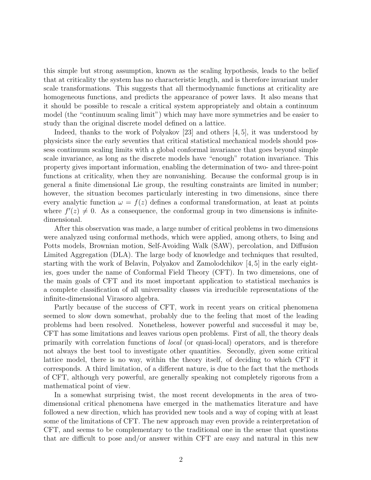this simple but strong assumption, known as the scaling hypothesis, leads to the belief that at criticality the system has no characteristic length, and is therefore invariant under scale transformations. This suggests that all thermodynamic functions at criticality are homogeneous functions, and predicts the appearance of power laws. It also means that it should be possible to rescale a critical system appropriately and obtain a continuum model (the "continuum scaling limit") which may have more symmetries and be easier to study than the original discrete model defined on a lattice.

Indeed, thanks to the work of Polyakov [23] and others [4, 5], it was understood by physicists since the early seventies that critical statistical mechanical models should possess continuum scaling limits with a global conformal invariance that goes beyond simple scale invariance, as long as the discrete models have "enough" rotation invariance. This property gives important information, enabling the determination of two- and three-point functions at criticality, when they are nonvanishing. Because the conformal group is in general a finite dimensional Lie group, the resulting constraints are limited in number; however, the situation becomes particularly interesting in two dimensions, since there every analytic function  $\omega = f(z)$  defines a conformal transformation, at least at points where  $f'(z) \neq 0$ . As a consequence, the conformal group in two dimensions is infinitedimensional.

After this observation was made, a large number of critical problems in two dimensions were analyzed using conformal methods, which were applied, among others, to Ising and Potts models, Brownian motion, Self-Avoiding Walk (SAW), percolation, and Diffusion Limited Aggregation (DLA). The large body of knowledge and techniques that resulted, starting with the work of Belavin, Polyakov and Zamolodchikov [4, 5] in the early eighties, goes under the name of Conformal Field Theory (CFT). In two dimensions, one of the main goals of CFT and its most important application to statistical mechanics is a complete classification of all universality classes via irreducible representations of the infinite-dimensional Virasoro algebra.

Partly because of the success of CFT, work in recent years on critical phenomena seemed to slow down somewhat, probably due to the feeling that most of the leading problems had been resolved. Nonetheless, however powerful and successful it may be, CFT has some limitations and leaves various open problems. First of all, the theory deals primarily with correlation functions of *local* (or quasi-local) operators, and is therefore not always the best tool to investigate other quantities. Secondly, given some critical lattice model, there is no way, within the theory itself, of deciding to which CFT it corresponds. A third limitation, of a different nature, is due to the fact that the methods of CFT, although very powerful, are generally speaking not completely rigorous from a mathematical point of view.

In a somewhat surprising twist, the most recent developments in the area of twodimensional critical phenomena have emerged in the mathematics literature and have followed a new direction, which has provided new tools and a way of coping with at least some of the limitations of CFT. The new approach may even provide a reinterpretation of CFT, and seems to be complementary to the traditional one in the sense that questions that are difficult to pose and/or answer within CFT are easy and natural in this new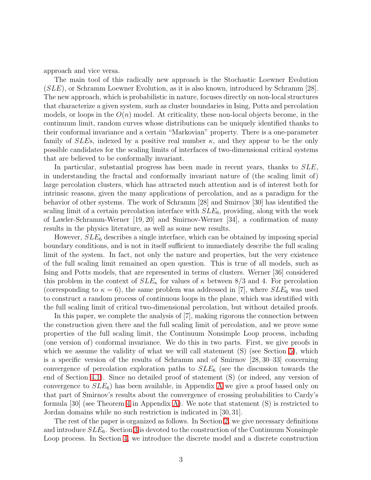approach and vice versa.

The main tool of this radically new approach is the Stochastic Loewner Evolution (SLE), or Schramm Loewner Evolution, as it is also known, introduced by Schramm [28]. The new approach, which is probabilistic in nature, focuses directly on non-local structures that characterize a given system, such as cluster boundaries in Ising, Potts and percolation models, or loops in the  $O(n)$  model. At criticality, these non-local objects become, in the continuum limit, random curves whose distributions can be uniquely identified thanks to their conformal invariance and a certain "Markovian" property. There is a one-parameter family of SLEs, indexed by a positive real number  $\kappa$ , and they appear to be the only possible candidates for the scaling limits of interfaces of two-dimensional critical systems that are believed to be conformally invariant.

In particular, substantial progress has been made in recent years, thanks to SLE, in understanding the fractal and conformally invariant nature of (the scaling limit of) large percolation clusters, which has attracted much attention and is of interest both for intrinsic reasons, given the many applications of percolation, and as a paradigm for the behavior of other systems. The work of Schramm [28] and Smirnov [30] has identified the scaling limit of a certain percolation interface with  $SLE_6$ , providing, along with the work of Lawler-Schramm-Werner [19, 20] and Smirnov-Werner [34], a confirmation of many results in the physics literature, as well as some new results.

However,  $SLE_6$  describes a single interface, which can be obtained by imposing special boundary conditions, and is not in itself sufficient to immediately describe the full scaling limit of the system. In fact, not only the nature and properties, but the very existence of the full scaling limit remained an open question. This is true of all models, such as Ising and Potts models, that are represented in terms of clusters. Werner [36] considered this problem in the context of  $SLE_{\kappa}$  for values of  $\kappa$  between 8/3 and 4. For percolation (corresponding to  $\kappa = 6$ ), the same problem was addressed in [7], where  $SLE_6$  was used to construct a random process of continuous loops in the plane, which was identified with the full scaling limit of critical two-dimensional percolation, but without detailed proofs.

In this paper, we complete the analysis of [7], making rigorous the connection between the construction given there and the full scaling limit of percolation, and we prove some properties of the full scaling limit, the Continuum Nonsimple Loop process, including (one version of) conformal invariance. We do this in two parts. First, we give proofs in which we assume the validity of what we will call statement (S) (see Section [5\)](#page-16-0), which is a specific version of the results of Schramm and of Smirnov [28, 30–33] concerning convergence of percolation exploration paths to  $SLE_6$  (see the discussion towards the end of Section [4.1\)](#page-11-0). Since no detailed proof of statement (S) (or indeed, any version of convergence to  $SLE_6$ ) has been available, in [A](#page-35-0)ppendix A we give a proof based only on that part of Smirnov's results about the convergence of crossing probabilities to Cardy's formula  $[30]$  (see Theorem [4](#page-36-0) in Appendix [A\)](#page-35-0). We note that statement  $(S)$  is restricted to Jordan domains while no such restriction is indicated in [30, 31].

The rest of the paper is organized as follows. In Section [2,](#page-3-0) we give necessary definitions and introduce  $SLE_6$ . Section [3](#page-6-0) is devoted to the construction of the Continuum Nonsimple Loop process. In Section [4,](#page-9-0) we introduce the discrete model and a discrete construction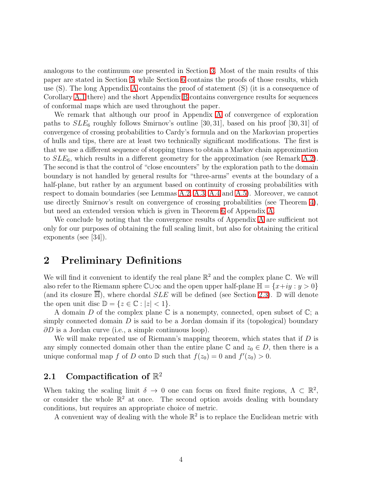analogous to the continuum one presented in Section [3.](#page-6-0) Most of the main results of this paper are stated in Section [5,](#page-16-0) while Section [6](#page-21-0) contains the proofs of those results, which use (S). The long Appendix [A](#page-35-0) contains the proof of statement (S) (it is a consequence of Corollary [A.1](#page-58-0) there) and the short Appendix [B](#page-59-0) contains convergence results for sequences of conformal maps which are used throughout the paper.

We remark that although our proof in Appendix [A](#page-35-0) of convergence of exploration paths to  $SLE_6$  roughly follows Smirnov's outline [30, 31], based on his proof [30, 31] of convergence of crossing probabilities to Cardy's formula and on the Markovian properties of hulls and tips, there are at least two technically significant modifications. The first is that we use a different sequence of stopping times to obtain a Markov chain approximation to  $SLE_6$ , which results in a different geometry for the approximation (see Remark [A.2\)](#page-41-0). The second is that the control of "close encounters" by the exploration path to the domain boundary is not handled by general results for "three-arms" events at the boundary of a half-plane, but rather by an argument based on continuity of crossing probabilities with respect to domain boundaries (see Lemmas [A.2,](#page-53-0) [A.3,](#page-54-0) [A.4](#page-54-1) and [A.5\)](#page-55-0). Moreover, we cannot use directly Smirnov's result on convergence of crossing probabilities (see Theorem [4\)](#page-36-0), but need an extended version which is given in Theorem [6](#page-42-0) of Appendix [A.](#page-35-0)

We conclude by noting that the convergence results of Appendix [A](#page-35-0) are sufficient not only for our purposes of obtaining the full scaling limit, but also for obtaining the critical exponents (see [34]).

### <span id="page-3-0"></span>2 Preliminary Definitions

We will find it convenient to identify the real plane  $\mathbb{R}^2$  and the complex plane  $\mathbb{C}$ . We will also refer to the Riemann sphere  $\mathbb{C} \cup \infty$  and the open upper half-plane  $\mathbb{H} = \{x+iy : y > 0\}$ (and its closure  $\mathbb{H}$ ), where chordal  $SLE$  will be defined (see Section [2.3\)](#page-5-0).  $\mathbb{D}$  will denote the open unit disc  $\mathbb{D} = \{z \in \mathbb{C} : |z| < 1\}.$ 

A domain  $D$  of the complex plane  $\mathbb C$  is a nonempty, connected, open subset of  $\mathbb C$ ; a simply connected domain  $D$  is said to be a Jordan domain if its (topological) boundary  $\partial D$  is a Jordan curve (i.e., a simple continuous loop).

We will make repeated use of Riemann's mapping theorem, which states that if  $D$  is any simply connected domain other than the entire plane  $\mathbb C$  and  $z_0 \in D$ , then there is a unique conformal map f of D onto  $\mathbb D$  such that  $f(z_0) = 0$  and  $f'(z_0) > 0$ .

### 2.1 Compactification of  $\mathbb{R}^2$

When taking the scaling limit  $\delta \to 0$  one can focus on fixed finite regions,  $\Lambda \subset \mathbb{R}^2$ , or consider the whole  $\mathbb{R}^2$  at once. The second option avoids dealing with boundary conditions, but requires an appropriate choice of metric.

A convenient way of dealing with the whole  $\mathbb{R}^2$  is to replace the Euclidean metric with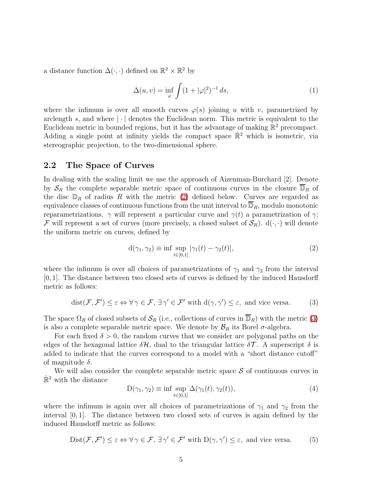a distance function  $\Delta(\cdot, \cdot)$  defined on  $\mathbb{R}^2 \times \mathbb{R}^2$  by

$$
\Delta(u,v) = \inf_{\varphi} \int (1 + |\varphi|^2)^{-1} ds,\tag{1}
$$

where the infimum is over all smooth curves  $\varphi(s)$  joining u with v, parametrized by arclength s, and where  $|\cdot|$  denotes the Euclidean norm. This metric is equivalent to the Euclidean metric in bounded regions, but it has the advantage of making  $\mathbb{R}^2$  precompact. Adding a single point at infinity yields the compact space  $\mathbb{R}^2$  which is isometric, via stereographic projection, to the two-dimensional sphere.

#### <span id="page-4-3"></span>2.2 The Space of Curves

In dealing with the scaling limit we use the approach of Aizenman-Burchard [2]. Denote by  $S_R$  the complete separable metric space of continuous curves in the closure  $\overline{\mathbb{D}}_R$  of the disc  $\mathbb{D}_R$  of radius R with the metric [\(2\)](#page-4-0) defined below. Curves are regarded as equivalence classes of continuous functions from the unit interval to  $\mathbb{D}_R$ , modulo monotonic reparametrizations.  $\gamma$  will represent a particular curve and  $\gamma(t)$  a parametrization of  $\gamma$ ; F will represent a set of curves (more precisely, a closed subset of  $\mathcal{S}_R$ ).  $d(\cdot, \cdot)$  will denote the uniform metric on curves, defined by

<span id="page-4-0"></span>
$$
d(\gamma_1, \gamma_2) \equiv \inf \sup_{t \in [0,1]} |\gamma_1(t) - \gamma_2(t)|,\tag{2}
$$

<span id="page-4-1"></span>where the infimum is over all choices of parametrizations of  $\gamma_1$  and  $\gamma_2$  from the interval [0, 1]. The distance between two closed sets of curves is defined by the induced Hausdorff metric as follows:

$$
dist(\mathcal{F}, \mathcal{F}') \le \varepsilon \Leftrightarrow \forall \gamma \in \mathcal{F}, \exists \gamma' \in \mathcal{F}' \text{ with } d(\gamma, \gamma') \le \varepsilon, \text{ and vice versa.} \tag{3}
$$

The space  $\Omega_R$  of closed subsets of  $\mathcal{S}_R$  (i.e., collections of curves in  $\overline{\mathbb{D}}_R$ ) with the metric [\(3\)](#page-4-1) is also a complete separable metric space. We denote by  $\mathcal{B}_R$  its Borel  $\sigma$ -algebra.

For each fixed  $\delta > 0$ , the random curves that we consider are polygonal paths on the edges of the hexagonal lattice  $\delta \mathcal{H}$ , dual to the triangular lattice  $\delta \mathcal{T}$ . A superscript  $\delta$  is added to indicate that the curves correspond to a model with a "short distance cutoff" of magnitude  $\delta$ .

We will also consider the complete separable metric space  $S$  of continuous curves in  $\mathbb{R}^2$  with the distance

<span id="page-4-2"></span>
$$
D(\gamma_1, \gamma_2) \equiv \inf \sup_{t \in [0,1]} \Delta(\gamma_1(t), \gamma_2(t)), \tag{4}
$$

where the infimum is again over all choices of parametrizations of  $\gamma_1$  and  $\gamma_2$  from the interval  $[0, 1]$ . The distance between two closed sets of curves is again defined by the induced Hausdorff metric as follows:

$$
Dist(\mathcal{F}, \mathcal{F}') \le \varepsilon \Leftrightarrow \forall \gamma \in \mathcal{F}, \exists \gamma' \in \mathcal{F}' \text{ with } D(\gamma, \gamma') \le \varepsilon, \text{ and vice versa.} \tag{5}
$$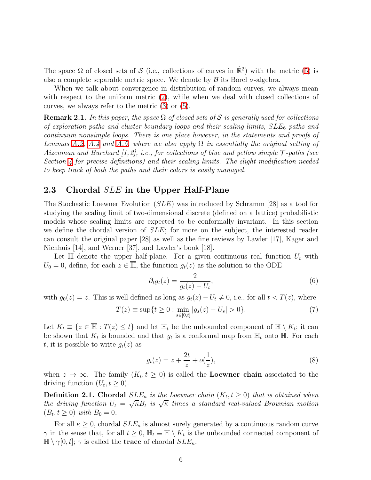The space  $\Omega$  of closed sets of  $\mathcal S$  (i.e., collections of curves in  $\mathbb R^2$ ) with the metric [\(5\)](#page-4-2) is also a complete separable metric space. We denote by  $\beta$  its Borel  $\sigma$ -algebra.

When we talk about convergence in distribution of random curves, we always mean with respect to the uniform metric  $(2)$ , while when we deal with closed collections of curves, we always refer to the metric [\(3\)](#page-4-1) or [\(5\)](#page-4-2).

<span id="page-5-1"></span>**Remark 2.1.** In this paper, the space  $\Omega$  of closed sets of S is generally used for collections *of exploration paths and cluster boundary loops and their scaling limits,* SLE<sup>6</sup> *paths and continuum nonsimple loops. There is one place however, in the statements and proofs of Lemmas* [A.2,](#page-53-0) [A.4](#page-54-1) *and* [A.5,](#page-55-0) *where we also apply*  $\Omega$  *in essentially the original setting of Aizenman and Burchard [1, 2], i.e., for collections of blue and yellow simple* T *-paths (see Section [4](#page-9-0) for precise definitions) and their scaling limits. The slight modification needed to keep track of both the paths and their colors is easily managed.*

#### <span id="page-5-0"></span>2.3 Chordal *SLE* in the Upper Half-Plane

The Stochastic Loewner Evolution (SLE) was introduced by Schramm [28] as a tool for studying the scaling limit of two-dimensional discrete (defined on a lattice) probabilistic models whose scaling limits are expected to be conformally invariant. In this section we define the chordal version of SLE; for more on the subject, the interested reader can consult the original paper [28] as well as the fine reviews by Lawler [17], Kager and Nienhuis [14], and Werner [37], and Lawler's book [18].

Let  $\mathbb H$  denote the upper half-plane. For a given continuous real function  $U_t$  with  $U_0 = 0$ , define, for each  $z \in \overline{\mathbb{H}}$ , the function  $g_t(z)$  as the solution to the ODE

$$
\partial_t g_t(z) = \frac{2}{g_t(z) - U_t},\tag{6}
$$

with  $g_0(z) = z$ . This is well defined as long as  $g_t(z) - U_t \neq 0$ , i.e., for all  $t < T(z)$ , where

$$
T(z) \equiv \sup \{ t \ge 0 : \min_{s \in [0,t]} |g_s(z) - U_s| > 0 \}. \tag{7}
$$

Let  $K_t \equiv \{z \in \overline{\mathbb{H}} : T(z) \leq t\}$  and let  $\mathbb{H}_t$  be the unbounded component of  $\mathbb{H} \setminus K_t$ ; it can be shown that  $K_t$  is bounded and that  $g_t$  is a conformal map from  $\mathbb{H}_t$  onto  $\mathbb{H}$ . For each t, it is possible to write  $q_t(z)$  as

$$
g_t(z) = z + \frac{2t}{z} + o(\frac{1}{z}),
$$
\n(8)

when  $z \to \infty$ . The family  $(K_t, t \geq 0)$  is called the **Loewner chain** associated to the driving function  $(U_t, t \ge 0)$ .

**Definition 2.1. Chordal**  $SLE_{\kappa}$  is the Loewner chain  $(K_t, t \geq 0)$  that is obtained when *the driving function*  $U_t = \sqrt{\kappa} B_t$  *is*  $\sqrt{\kappa}$  *times a standard real-valued Brownian motion*  $(B_t, t \ge 0)$  *with*  $B_0 = 0$ .

For all  $\kappa \geq 0$ , chordal  $SLE_{\kappa}$  is almost surely generated by a continuous random curve  $\gamma$  in the sense that, for all  $t \geq 0$ ,  $\mathbb{H}_t \equiv \mathbb{H} \setminus K_t$  is the unbounded connected component of  $\mathbb{H} \setminus \gamma[0, t]; \gamma$  is called the **trace** of chordal  $SLE_{\kappa}$ .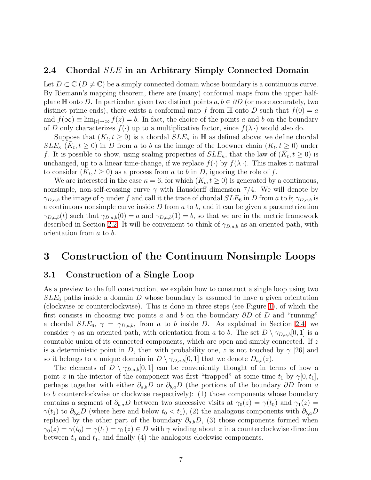#### <span id="page-6-1"></span>2.4 Chordal SLE in an Arbitrary Simply Connected Domain

Let  $D \subset \mathbb{C}$  ( $D \neq \mathbb{C}$ ) be a simply connected domain whose boundary is a continuous curve. By Riemann's mapping theorem, there are (many) conformal maps from the upper halfplane H onto D. In particular, given two distinct points  $a, b \in \partial D$  (or more accurately, two distinct prime ends), there exists a conformal map f from  $\mathbb H$  onto D such that  $f(0) = a$ and  $f(\infty) \equiv \lim_{|z| \to \infty} f(z) = b$ . In fact, the choice of the points a and b on the boundary of D only characterizes  $f(\cdot)$  up to a multiplicative factor, since  $f(\lambda)$  would also do.

Suppose that  $(K_t, t \geq 0)$  is a chordal  $SLE_{\kappa}$  in  $\mathbb{H}$  as defined above; we define chordal  $SLE_{\kappa}$   $(\tilde{K}_t, t \geq 0)$  in D from a to b as the image of the Loewner chain  $(K_t, t \geq 0)$  under f. It is possible to show, using scaling properties of  $SLE_{\kappa}$ , that the law of  $(\tilde{K}_t, t \ge 0)$  is unchanged, up to a linear time-change, if we replace  $f(\cdot)$  by  $f(\lambda \cdot)$ . This makes it natural to consider  $(\tilde{K}_t, t \geq 0)$  as a process from a to b in D, ignoring the role of f.

We are interested in the case  $\kappa = 6$ , for which  $(K_t, t \ge 0)$  is generated by a continuous, nonsimple, non-self-crossing curve  $\gamma$  with Hausdorff dimension 7/4. We will denote by  $\gamma_{D,a,b}$  the image of  $\gamma$  under f and call it the trace of chordal  $SLE_6$  in D from a to b;  $\gamma_{D,a,b}$  is a continuous nonsimple curve inside  $D$  from  $a$  to  $b$ , and it can be given a parametrization  $\gamma_{D,a,b}(t)$  such that  $\gamma_{D,a,b}(0) = a$  and  $\gamma_{D,a,b}(1) = b$ , so that we are in the metric framework described in Section [2.2.](#page-4-3) It will be convenient to think of  $\gamma_{D,a,b}$  as an oriented path, with orientation from a to b.

### <span id="page-6-0"></span>3 Construction of the Continuum Nonsimple Loops

#### <span id="page-6-2"></span>3.1 Construction of a Single Loop

As a preview to the full construction, we explain how to construct a single loop using two  $SLE_6$  paths inside a domain D whose boundary is assumed to have a given orientation (clockwise or counterclockwise). This is done in three steps (see Figure [1\)](#page-7-0), of which the first consists in choosing two points a and b on the boundary  $\partial D$  of D and "running" a chordal  $SLE_6$ ,  $\gamma = \gamma_{D,a,b}$ , from a to b inside D. As explained in Section [2.4,](#page-6-1) we consider  $\gamma$  as an oriented path, with orientation from a to b. The set  $D \setminus \gamma_{D,a,b}[0,1]$  is a countable union of its connected components, which are open and simply connected. If z is a deterministic point in D, then with probability one, z is not touched by  $\gamma$  [26] and so it belongs to a unique domain in  $D \setminus \gamma_{D,a,b}[0,1]$  that we denote  $D_{a,b}(z)$ .

The elements of  $D \setminus \gamma_{D,a,b}[0,1]$  can be conveniently thought of in terms of how a point z in the interior of the component was first "trapped" at some time  $t_1$  by  $\gamma[0, t_1]$ , perhaps together with either  $\partial_{a,b}D$  or  $\partial_{b,a}D$  (the portions of the boundary  $\partial D$  from a to b counterclockwise or clockwise respectively): (1) those components whose boundary contains a segment of  $\partial_{b,a}D$  between two successive visits at  $\gamma_0(z) = \gamma(t_0)$  and  $\gamma_1(z) =$  $\gamma(t_1)$  to  $\partial_{b,a}D$  (where here and below  $t_0 < t_1$ ), (2) the analogous components with  $\partial_{b,a}D$ replaced by the other part of the boundary  $\partial_{a,b}D$ , (3) those components formed when  $\gamma_0(z) = \gamma(t_0) = \gamma(t_1) = \gamma_1(z) \in D$  with  $\gamma$  winding about z in a counterclockwise direction between  $t_0$  and  $t_1$ , and finally (4) the analogous clockwise components.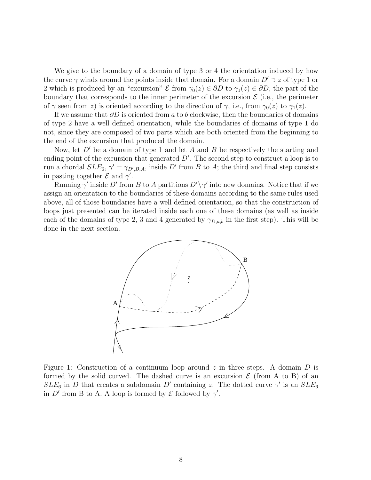We give to the boundary of a domain of type 3 or 4 the orientation induced by how the curve  $\gamma$  winds around the points inside that domain. For a domain  $D' \ni z$  of type 1 or 2 which is produced by an "excursion"  $\mathcal E$  from  $\gamma_0(z) \in \partial D$  to  $\gamma_1(z) \in \partial D$ , the part of the boundary that corresponds to the inner perimeter of the excursion  $\mathcal{E}$  (i.e., the perimeter of  $\gamma$  seen from z) is oriented according to the direction of  $\gamma$ , i.e., from  $\gamma_0(z)$  to  $\gamma_1(z)$ .

If we assume that  $\partial D$  is oriented from a to b clockwise, then the boundaries of domains of type 2 have a well defined orientation, while the boundaries of domains of type 1 do not, since they are composed of two parts which are both oriented from the beginning to the end of the excursion that produced the domain.

Now, let  $D'$  be a domain of type 1 and let A and B be respectively the starting and ending point of the excursion that generated  $D'$ . The second step to construct a loop is to run a chordal  $SLE_6$ ,  $\gamma' = \gamma_{D',B,A}$ , inside  $D'$  from B to A; the third and final step consists in pasting together  $\mathcal E$  and  $\gamma'$ .

Running  $\gamma'$  inside D' from B to A partitions  $D' \setminus \gamma'$  into new domains. Notice that if we assign an orientation to the boundaries of these domains according to the same rules used above, all of those boundaries have a well defined orientation, so that the construction of loops just presented can be iterated inside each one of these domains (as well as inside each of the domains of type 2, 3 and 4 generated by  $\gamma_{D,a,b}$  in the first step). This will be done in the next section.



<span id="page-7-0"></span>Figure 1: Construction of a continuum loop around z in three steps. A domain D is formed by the solid curved. The dashed curve is an excursion  $\mathcal E$  (from A to B) of an  $SLE_6$  in D that creates a subdomain D' containing z. The dotted curve  $\gamma'$  is an  $SLE_6$ in D' from B to A. A loop is formed by  $\mathcal E$  followed by  $\gamma'$ .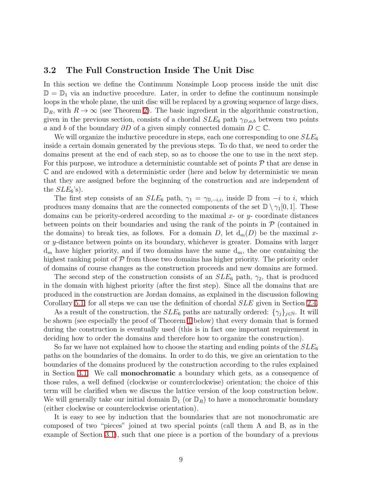#### <span id="page-8-0"></span>3.2 The Full Construction Inside The Unit Disc

In this section we define the Continuum Nonsimple Loop process inside the unit disc  $\mathbb{D} = \mathbb{D}_1$  via an inductive procedure. Later, in order to define the continuum nonsimple loops in the whole plane, the unit disc will be replaced by a growing sequence of large discs,  $\mathbb{D}_R$ , with  $R \to \infty$  (see Theorem [2\)](#page-19-0). The basic ingredient in the algorithmic construction, given in the previous section, consists of a chordal  $SLE_6$  path  $\gamma_{D,a,b}$  between two points a and b of the boundary  $\partial D$  of a given simply connected domain  $D \subset \mathbb{C}$ .

We will organize the inductive procedure in steps, each one corresponding to one  $SLE_6$ inside a certain domain generated by the previous steps. To do that, we need to order the domains present at the end of each step, so as to choose the one to use in the next step. For this purpose, we introduce a deterministic countable set of points  $\mathcal P$  that are dense in C and are endowed with a deterministic order (here and below by deterministic we mean that they are assigned before the beginning of the construction and are independent of the  $SLE_6$ 's).

The first step consists of an  $SLE_6$  path,  $\gamma_1 = \gamma_{\mathbb{D},-i,i}$ , inside  $\mathbb{D}$  from  $-i$  to i, which produces many domains that are the connected components of the set  $\mathbb{D} \setminus \gamma_1[0, 1]$ . These domains can be priority-ordered according to the maximal  $x$ - or  $y$ - coordinate distances between points on their boundaries and using the rank of the points in  $P$  (contained in the domains) to break ties, as follows. For a domain D, let  $d_m(D)$  be the maximal xor y-distance between points on its boundary, whichever is greater. Domains with larger  $d_m$  have higher priority, and if two domains have the same  $d_m$ , the one containing the highest ranking point of  $P$  from those two domains has higher priority. The priority order of domains of course changes as the construction proceeds and new domains are formed.

The second step of the construction consists of an  $SLE_6$  path,  $\gamma_2$ , that is produced in the domain with highest priority (after the first step). Since all the domains that are produced in the construction are Jordan domains, as explained in the discussion following Corollary [5.1,](#page-18-0) for all steps we can use the definition of chordal SLE given in Section [2.4.](#page-6-1)

As a result of the construction, the  $SLE_6$  paths are naturally ordered:  $\{\gamma_i\}_{i\in\mathbb{N}}$ . It will be shown (see especially the proof of Theorem [1](#page-18-1) below) that every domain that is formed during the construction is eventually used (this is in fact one important requirement in deciding how to order the domains and therefore how to organize the construction).

So far we have not explained how to choose the starting and ending points of the  $SLE_6$ paths on the boundaries of the domains. In order to do this, we give an orientation to the boundaries of the domains produced by the construction according to the rules explained in Section [3.1.](#page-6-2) We call monochromatic a boundary which gets, as a consequence of those rules, a well defined (clockwise or counterclockwise) orientation; the choice of this term will be clarified when we discuss the lattice version of the loop construction below. We will generally take our initial domain  $\mathbb{D}_1$  (or  $\mathbb{D}_R$ ) to have a monochromatic boundary (either clockwise or counterclockwise orientation).

It is easy to see by induction that the boundaries that are not monochromatic are composed of two "pieces" joined at two special points (call them A and B, as in the example of Section [3.1\)](#page-6-2), such that one piece is a portion of the boundary of a previous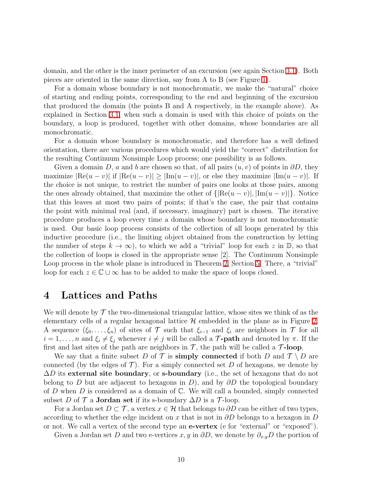domain, and the other is the inner perimeter of an excursion (see again Section [3.1\)](#page-6-2). Both pieces are oriented in the same direction, say from A to B (see Figure [1\)](#page-7-0).

For a domain whose boundary is not monochromatic, we make the "natural" choice of starting and ending points, corresponding to the end and beginning of the excursion that produced the domain (the points B and A respectively, in the example above). As explained in Section [3.1,](#page-6-2) when such a domain is used with this choice of points on the boundary, a loop is produced, together with other domains, whose boundaries are all monochromatic.

For a domain whose boundary is monochromatic, and therefore has a well defined orientation, there are various procedures which would yield the "correct" distribution for the resulting Continuum Nonsimple Loop process; one possibility is as follows.

Given a domain D, a and b are chosen so that, of all pairs  $(u, v)$  of points in  $\partial D$ , they maximize  $|\text{Re}(u - v)|$  if  $|\text{Re}(u - v)| \geq |\text{Im}(u - v)|$ , or else they maximize  $|\text{Im}(u - v)|$ . If the choice is not unique, to restrict the number of pairs one looks at those pairs, among the ones already obtained, that maximize the other of  $\{|\text{Re}(u - v)|, |\text{Im}(u - v)|\}$ . Notice that this leaves at most two pairs of points; if that's the case, the pair that contains the point with minimal real (and, if necessary, imaginary) part is chosen. The iterative procedure produces a loop every time a domain whose boundary is not monochromatic is used. Our basic loop process consists of the collection of all loops generated by this inductive procedure (i.e., the limiting object obtained from the construction by letting the number of steps  $k \to \infty$ , to which we add a "trivial" loop for each z in D, so that the collection of loops is closed in the appropriate sense [2]. The Continuum Nonsimple Loop process in the whole plane is introduced in Theorem [2,](#page-19-0) Section [5.](#page-16-0) There, a "trivial" loop for each  $z \in \mathbb{C} \cup \infty$  has to be added to make the space of loops closed.

### <span id="page-9-0"></span>4 Lattices and Paths

We will denote by  $\mathcal T$  the two-dimensional triangular lattice, whose sites we think of as the elementary cells of a regular hexagonal lattice  $\mathcal H$  embedded in the plane as in Figure [2.](#page-10-0) A sequence  $(\xi_0, \ldots, \xi_n)$  of sites of T such that  $\xi_{i-1}$  and  $\xi_i$  are neighbors in T for all  $i = 1, \ldots, n$  and  $\xi_i \neq \xi_j$  whenever  $i \neq j$  will be called a **T-path** and denoted by  $\pi$ . If the first and last sites of the path are neighbors in  $\mathcal{T}$ , the path will be called a  $\mathcal{T}$ -loop.

We say that a finite subset D of T is simply connected if both D and  $\mathcal{T} \setminus D$  are connected (by the edges of  $\mathcal T$ ). For a simply connected set D of hexagons, we denote by  $\Delta D$  its external site boundary, or s-boundary (i.e., the set of hexagons that do not belong to D but are adjacent to hexagons in D), and by  $\partial D$  the topological boundary of D when D is considered as a domain of  $\mathbb C$ . We will call a bounded, simply connected subset D of  $\mathcal T$  a **Jordan set** if its s-boundary  $\Delta D$  is a  $\mathcal T$ -loop.

For a Jordan set  $D \subset \mathcal{T}$ , a vertex  $x \in \mathcal{H}$  that belongs to  $\partial D$  can be either of two types, according to whether the edge incident on x that is not in  $\partial D$  belongs to a hexagon in D or not. We call a vertex of the second type an e-vertex (e for "external" or "exposed").

Given a Jordan set D and two e-vertices  $x, y$  in  $\partial D$ , we denote by  $\partial_{x,y}D$  the portion of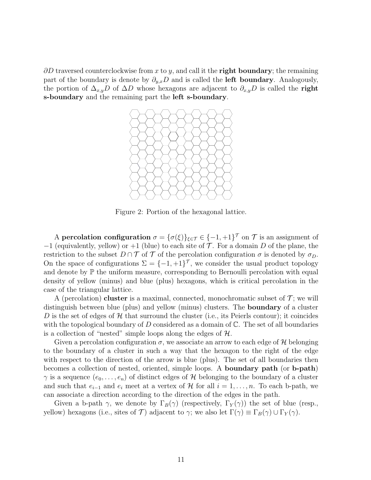$\partial D$  traversed counterclockwise from x to y, and call it the **right boundary**; the remaining part of the boundary is denote by  $\partial_{y,x}D$  and is called the **left boundary**. Analogously, the portion of  $\Delta_{x,y}D$  of  $\Delta D$  whose hexagons are adjacent to  $\partial_{x,y}D$  is called the **right** s-boundary and the remaining part the left s-boundary.



<span id="page-10-0"></span>Figure 2: Portion of the hexagonal lattice.

A percolation configuration  $\sigma = {\{\sigma(\xi)\}}_{\xi \in \mathcal{T}} \in {\{-1,+1\}}^{\mathcal{T}}$  on  $\mathcal{T}$  is an assignment of  $-1$  (equivalently, yellow) or  $+1$  (blue) to each site of  $\mathcal T$ . For a domain D of the plane, the restriction to the subset  $D \cap \mathcal{T}$  of  $\mathcal{T}$  of the percolation configuration  $\sigma$  is denoted by  $\sigma_D$ . On the space of configurations  $\Sigma = \{-1, +1\}^7$ , we consider the usual product topology and denote by  $\mathbb P$  the uniform measure, corresponding to Bernoulli percolation with equal density of yellow (minus) and blue (plus) hexagons, which is critical percolation in the case of the triangular lattice.

A (percolation) **cluster** is a maximal, connected, monochromatic subset of  $\mathcal{T}$ ; we will distinguish between blue (plus) and yellow (minus) clusters. The boundary of a cluster D is the set of edges of  $\mathcal H$  that surround the cluster (i.e., its Peierls contour); it coincides with the topological boundary of D considered as a domain of  $\mathbb{C}$ . The set of all boundaries is a collection of "nested" simple loops along the edges of  $H$ .

Given a percolation configuration  $\sigma$ , we associate an arrow to each edge of H belonging to the boundary of a cluster in such a way that the hexagon to the right of the edge with respect to the direction of the arrow is blue (plus). The set of all boundaries then becomes a collection of nested, oriented, simple loops. A boundary path (or b-path)  $\gamma$  is a sequence  $(e_0, \ldots, e_n)$  of distinct edges of H belonging to the boundary of a cluster and such that  $e_{i-1}$  and  $e_i$  meet at a vertex of H for all  $i = 1, \ldots, n$ . To each b-path, we can associate a direction according to the direction of the edges in the path.

Given a b-path  $\gamma$ , we denote by  $\Gamma_B(\gamma)$  (respectively,  $\Gamma_Y(\gamma)$ ) the set of blue (resp., yellow) hexagons (i.e., sites of T) adjacent to  $\gamma$ ; we also let  $\Gamma(\gamma) \equiv \Gamma_B(\gamma) \cup \Gamma_Y(\gamma)$ .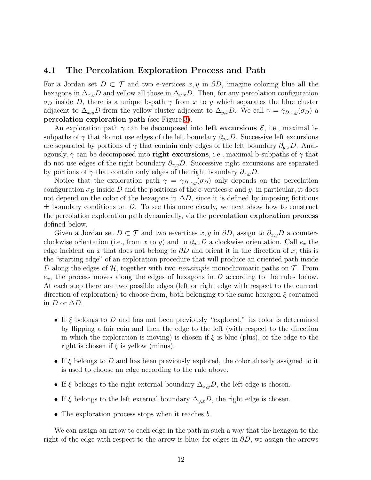#### <span id="page-11-0"></span>4.1 The Percolation Exploration Process and Path

For a Jordan set  $D \subset \mathcal{T}$  and two e-vertices  $x, y$  in  $\partial D$ , imagine coloring blue all the hexagons in  $\Delta_{x,y}D$  and yellow all those in  $\Delta_{y,x}D$ . Then, for any percolation configuration  $\sigma_D$  inside D, there is a unique b-path  $\gamma$  from x to y which separates the blue cluster adjacent to  $\Delta_{x,y}D$  from the yellow cluster adjacent to  $\Delta_{y,x}D$ . We call  $\gamma = \gamma_{D,x,y}(\sigma_D)$  a percolation exploration path (see Figure [3\)](#page-12-0).

An exploration path  $\gamma$  can be decomposed into left excursions  $\mathcal{E}$ , i.e., maximal bsubpaths of  $\gamma$  that do not use edges of the left boundary  $\partial_{y,x}D$ . Successive left excursions are separated by portions of  $\gamma$  that contain only edges of the left boundary  $\partial_{y,x}D$ . Analogously,  $\gamma$  can be decomposed into **right excursions**, i.e., maximal b-subpaths of  $\gamma$  that do not use edges of the right boundary  $\partial_{x,y}D$ . Successive right excursions are separated by portions of  $\gamma$  that contain only edges of the right boundary  $\partial_{x,y}D$ .

Notice that the exploration path  $\gamma = \gamma_{D,x,y}(\sigma_D)$  only depends on the percolation configuration  $\sigma_D$  inside D and the positions of the e-vertices x and y; in particular, it does not depend on the color of the hexagons in  $\Delta D$ , since it is defined by imposing fictitious  $\pm$  boundary conditions on D. To see this more clearly, we next show how to construct the percolation exploration path dynamically, via the percolation exploration process defined below.

Given a Jordan set  $D \subset \mathcal{T}$  and two e-vertices  $x, y$  in  $\partial D$ , assign to  $\partial_{x,y}D$  a counterclockwise orientation (i.e., from x to y) and to  $\partial_{y,x}D$  a clockwise orientation. Call  $e_x$  the edge incident on x that does not belong to  $\partial D$  and orient it in the direction of x; this is the "starting edge" of an exploration procedure that will produce an oriented path inside D along the edges of H, together with two *nonsimple* monochromatic paths on T. From  $e_x$ , the process moves along the edges of hexagons in D according to the rules below. At each step there are two possible edges (left or right edge with respect to the current direction of exploration) to choose from, both belonging to the same hexagon  $\xi$  contained in  $D$  or  $\Delta D$ .

- If  $\xi$  belongs to D and has not been previously "explored," its color is determined by flipping a fair coin and then the edge to the left (with respect to the direction in which the exploration is moving) is chosen if  $\xi$  is blue (plus), or the edge to the right is chosen if  $\xi$  is yellow (minus).
- If  $\xi$  belongs to D and has been previously explored, the color already assigned to it is used to choose an edge according to the rule above.
- If  $\xi$  belongs to the right external boundary  $\Delta_{x,y}D$ , the left edge is chosen.
- If  $\xi$  belongs to the left external boundary  $\Delta_{y,x}D$ , the right edge is chosen.
- $\bullet$  The exploration process stops when it reaches  $b$ .

We can assign an arrow to each edge in the path in such a way that the hexagon to the right of the edge with respect to the arrow is blue; for edges in  $\partial D$ , we assign the arrows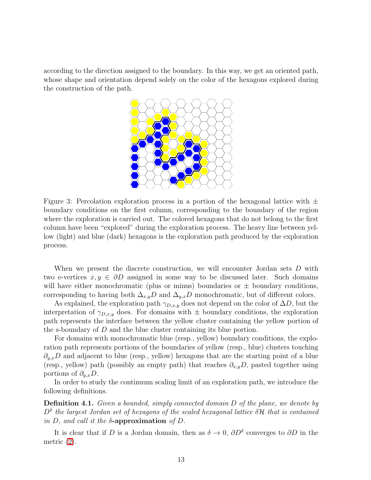according to the direction assigned to the boundary. In this way, we get an oriented path, whose shape and orientation depend solely on the color of the hexagons explored during the construction of the path.



<span id="page-12-0"></span>Figure 3: Percolation exploration process in a portion of the hexagonal lattice with  $\pm$ boundary conditions on the first column, corresponding to the boundary of the region where the exploration is carried out. The colored hexagons that do not belong to the first column have been "explored" during the exploration process. The heavy line between yellow (light) and blue (dark) hexagons is the exploration path produced by the exploration process.

When we present the discrete construction, we will encounter Jordan sets D with two e-vertices  $x, y \in \partial D$  assigned in some way to be discussed later. Such domains will have either monochromatic (plus or minus) boundaries or  $\pm$  boundary conditions, corresponding to having both  $\Delta_{x,y}D$  and  $\Delta_{y,x}D$  monochromatic, but of different colors.

As explained, the exploration path  $\gamma_{D,x,y}$  does not depend on the color of  $\Delta D$ , but the interpretation of  $\gamma_{D,x,y}$  does. For domains with  $\pm$  boundary conditions, the exploration path represents the interface between the yellow cluster containing the yellow portion of the s-boundary of D and the blue cluster containing its blue portion.

For domains with monochromatic blue (resp., yellow) boundary conditions, the exploration path represents portions of the boundaries of yellow (resp., blue) clusters touching  $\partial_{y,x}D$  and adjacent to blue (resp., yellow) hexagons that are the starting point of a blue (resp., yellow) path (possibly an empty path) that reaches  $\partial_{x,y}D$ , pasted together using portions of  $\partial_{u,x}D$ .

<span id="page-12-1"></span>In order to study the continuum scaling limit of an exploration path, we introduce the following definitions.

Definition 4.1. *Given a bounded, simply connected domain* D *of the plane, we denote by*  $D^{\delta}$  the largest Jordan set of hexagons of the scaled hexagonal lattice  $\delta \mathcal{H}$  that is contained *in* D*, and call it the* δ-approximation *of* D*.*

It is clear that if D is a Jordan domain, then as  $\delta \to 0$ ,  $\partial D^{\delta}$  converges to  $\partial D$  in the metric [\(2\)](#page-4-0).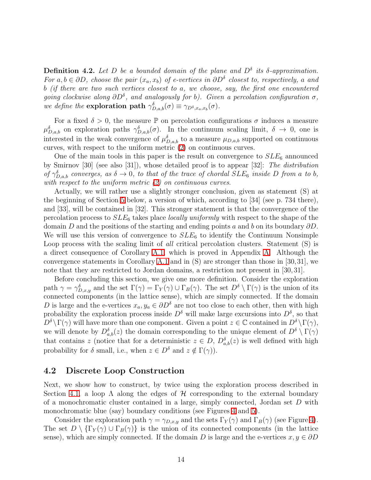**Definition 4.2.** Let D be a bounded domain of the plane and  $D^{\delta}$  its  $\delta$ -approximation. *For*  $a, b \in \partial D$ , choose the pair  $(x_a, x_b)$  of e-vertices in  $\partial D^{\delta}$  closest to, respectively, a and b *(if there are two such vertices closest to* a*, we choose, say, the first one encountered going clockwise along*  $\partial D^{\delta}$ *, and analogously for b). Given a percolation configuration*  $\sigma$ *, we define the* **exploration path**  $\gamma_{D,a,b}^{\delta}(\sigma) \equiv \gamma_{D^{\delta},x_a,x_b}(\sigma)$ *.* 

For a fixed  $\delta > 0$ , the measure P on percolation configurations  $\sigma$  induces a measure  $\mu_{D,a,b}^{\delta}$  on exploration paths  $\gamma_{D,a,b}^{\delta}(\sigma)$ . In the continuum scaling limit,  $\delta \to 0$ , one is interested in the weak convergence of  $\mu_{D,a,b}^{\delta}$  to a measure  $\mu_{D,a,b}$  supported on continuous curves, with respect to the uniform metric [\(2\)](#page-4-0) on continuous curves.

One of the main tools in this paper is the result on convergence to  $SLE_6$  announced by Smirnov [30] (see also [31]), whose detailed proof is to appear [32]: *The distribution of*  $\gamma_{D,a,b}^{\delta}$  *converges, as*  $\delta \to 0$ *, to that of the trace of chordal SLE<sub>6</sub> <i>inside* D *from* a *to b*, *with respect to the uniform metric [\(2\)](#page-4-0) on continuous curves*.

Actually, we will rather use a slightly stronger conclusion, given as statement (S) at the beginning of Section [5](#page-16-0) below, a version of which, according to [34] (see p. 734 there), and [33], will be contained in [32]. This stronger statement is that the convergence of the percolation process to SLE<sup>6</sup> takes place *locally uniformly* with respect to the shape of the domain D and the positions of the starting and ending points a and b on its boundary  $\partial D$ . We will use this version of convergence to  $SLE_6$  to identify the Continuum Nonsimple Loop process with the scaling limit of *all* critical percolation clusters. Statement (S) is a direct consequence of Corollary [A.1,](#page-58-0) which is proved in Appendix [A.](#page-35-0) Although the convergence statements in Corollary [A.1](#page-58-0) and in (S) are stronger than those in [30,31], we note that they are restricted to Jordan domains, a restriction not present in [30, 31].

Before concluding this section, we give one more definition. Consider the exploration path  $\gamma = \gamma_{D,x,y}^{\delta}$  and the set  $\Gamma(\gamma) = \Gamma_Y(\gamma) \cup \Gamma_B(\gamma)$ . The set  $D^{\delta} \setminus \Gamma(\gamma)$  is the union of its connected components (in the lattice sense), which are simply connected. If the domain D is large and the e-vertices  $x_a, y_a \in \partial D^{\delta}$  are not too close to each other, then with high probability the exploration process inside  $D^{\delta}$  will make large excursions into  $D^{\delta}$ , so that  $D^{\delta} \backslash \Gamma(\gamma)$  will have more than one component. Given a point  $z \in \mathbb{C}$  contained in  $D^{\delta} \backslash \Gamma(\gamma)$ , we will denote by  $D_{a,b}^{\delta}(z)$  the domain corresponding to the unique element of  $D^{\delta} \setminus \Gamma(\gamma)$ that contains z (notice that for a deterministic  $z \in D$ ,  $D^{\delta}_{a,b}(z)$  is well defined with high probability for  $\delta$  small, i.e., when  $z \in D^{\delta}$  and  $z \notin \Gamma(\gamma)$ .

#### 4.2 Discrete Loop Construction

Next, we show how to construct, by twice using the exploration process described in Section [4.1,](#page-11-0) a loop  $\Lambda$  along the edges of  $\mathcal H$  corresponding to the external boundary of a monochromatic cluster contained in a large, simply connected, Jordan set D with monochromatic blue (say) boundary conditions (see Figures [4](#page-15-0) and [5\)](#page-16-1).

Consider the exploration path  $\gamma = \gamma_{D,x,y}$  and the sets  $\Gamma_Y(\gamma)$  and  $\Gamma_B(\gamma)$  (see Figure [4\)](#page-15-0). The set  $D \setminus {\{\Gamma_Y(\gamma) \cup \Gamma_B(\gamma)\}}$  is the union of its connected components (in the lattice sense), which are simply connected. If the domain D is large and the e-vertices  $x, y \in \partial D$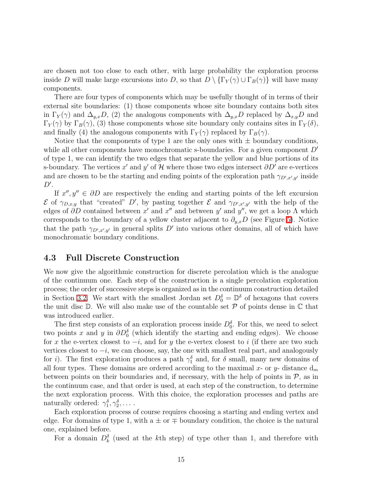are chosen not too close to each other, with large probability the exploration process inside D will make large excursions into D, so that  $D \setminus {\{\Gamma_Y(\gamma) \cup \Gamma_B(\gamma)\}}$  will have many components.

There are four types of components which may be usefully thought of in terms of their external site boundaries: (1) those components whose site boundary contains both sites in  $\Gamma_Y(\gamma)$  and  $\Delta_{y,x}D$ , (2) the analogous components with  $\Delta_{y,x}D$  replaced by  $\Delta_{x,y}D$  and  $\Gamma_Y(\gamma)$  by  $\Gamma_B(\gamma)$ , (3) those components whose site boundary only contains sites in  $\Gamma_Y(\delta)$ , and finally (4) the analogous components with  $\Gamma_Y(\gamma)$  replaced by  $\Gamma_B(\gamma)$ .

Notice that the components of type 1 are the only ones with  $\pm$  boundary conditions, while all other components have monochromatic s-boundaries. For a given component  $D'$ of type 1, we can identify the two edges that separate the yellow and blue portions of its s-boundary. The vertices  $x'$  and  $y'$  of  $\mathcal{H}$  where those two edges intersect  $\partial D'$  are e-vertices and are chosen to be the starting and ending points of the exploration path  $\gamma_{D',x',y'}$  inside  $D^{\prime}$ .

If  $x'', y'' \in \partial D$  are respectively the ending and starting points of the left excursion  $\mathcal E$  of  $\gamma_{D,x,y}$  that "created" D', by pasting together  $\mathcal E$  and  $\gamma_{D',x',y'}$  with the help of the edges of  $\partial D$  contained between x' and x" and between y' and y", we get a loop  $\Lambda$  which corresponds to the boundary of a yellow cluster adjacent to  $\partial_{y,x}D$  (see Figure [5\)](#page-16-1). Notice that the path  $\gamma_{D',x',y'}$  in general splits D' into various other domains, all of which have monochromatic boundary conditions.

#### <span id="page-14-0"></span>4.3 Full Discrete Construction

We now give the algorithmic construction for discrete percolation which is the analogue of the continuum one. Each step of the construction is a single percolation exploration process; the order of successive steps is organized as in the continuum construction detailed in Section [3.2.](#page-8-0) We start with the smallest Jordan set  $D_0^{\delta} = \mathbb{D}^{\delta}$  of hexagons that covers the unit disc  $\mathbb D$ . We will also make use of the countable set  $\mathcal P$  of points dense in  $\mathbb C$  that was introduced earlier.

The first step consists of an exploration process inside  $D_0^{\delta}$ . For this, we need to select two points x and y in  $\partial D_0^{\delta}$  (which identify the starting and ending edges). We choose for x the e-vertex closest to  $-i$ , and for y the e-vertex closest to i (if there are two such vertices closest to  $-i$ , we can choose, say, the one with smallest real part, and analogously for *i*). The first exploration produces a path  $\gamma_1^{\delta}$  and, for  $\delta$  small, many new domains of all four types. These domains are ordered according to the maximal x- or y- distance  $d_m$ between points on their boundaries and, if necessary, with the help of points in  $P$ , as in the continuum case, and that order is used, at each step of the construction, to determine the next exploration process. With this choice, the exploration processes and paths are naturally ordered:  $\gamma_1^{\delta}, \gamma_2^{\delta}, \ldots$ .

Each exploration process of course requires choosing a starting and ending vertex and edge. For domains of type 1, with a  $\pm$  or  $\mp$  boundary condition, the choice is the natural one, explained before.

For a domain  $D_k^{\delta}$  (used at the kth step) of type other than 1, and therefore with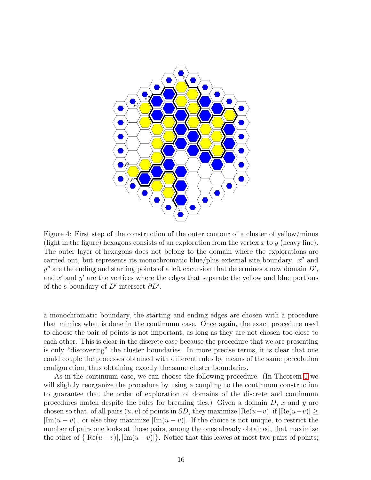

<span id="page-15-0"></span>Figure 4: First step of the construction of the outer contour of a cluster of yellow/minus (light in the figure) hexagons consists of an exploration from the vertex x to y (heavy line). The outer layer of hexagons does not belong to the domain where the explorations are carried out, but represents its monochromatic blue/plus external site boundary.  $x''$  and  $y''$  are the ending and starting points of a left excursion that determines a new domain  $D'$ , and  $x'$  and  $y'$  are the vertices where the edges that separate the yellow and blue portions of the s-boundary of  $D'$  intersect  $\partial D'$ .

a monochromatic boundary, the starting and ending edges are chosen with a procedure that mimics what is done in the continuum case. Once again, the exact procedure used to choose the pair of points is not important, as long as they are not chosen too close to each other. This is clear in the discrete case because the procedure that we are presenting is only "discovering" the cluster boundaries. In more precise terms, it is clear that one could couple the processes obtained with different rules by means of the same percolation configuration, thus obtaining exactly the same cluster boundaries.

As in the continuum case, we can choose the following procedure. (In Theorem [1](#page-18-1) we will slightly reorganize the procedure by using a coupling to the continuum construction to guarantee that the order of exploration of domains of the discrete and continuum procedures match despite the rules for breaking ties.) Given a domain  $D, x$  and y are chosen so that, of all pairs  $(u, v)$  of points in  $\partial D$ , they maximize  $|Re(u-v)|$  if  $|Re(u-v)| \ge$  $|\text{Im}(u - v)|$ , or else they maximize  $|\text{Im}(u - v)|$ . If the choice is not unique, to restrict the number of pairs one looks at those pairs, among the ones already obtained, that maximize the other of  $\{|\text{Re}(u-v)|, |\text{Im}(u-v)|\}$ . Notice that this leaves at most two pairs of points;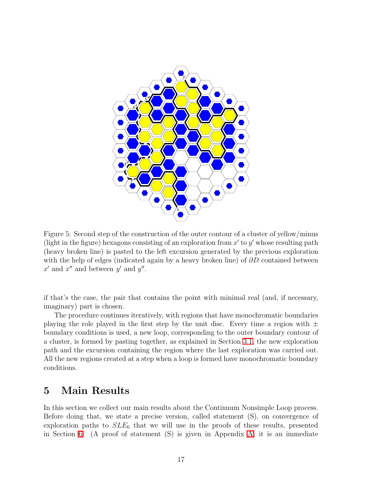

<span id="page-16-1"></span>Figure 5: Second step of the construction of the outer contour of a cluster of yellow/minus (light in the figure) hexagons consisting of an exploration from  $x'$  to  $y'$  whose resulting path (heavy broken line) is pasted to the left excursion generated by the previous exploration with the help of edges (indicated again by a heavy broken line) of  $\partial D$  contained between  $x'$  and  $x''$  and between  $y'$  and  $y''$ .

if that's the case, the pair that contains the point with minimal real (and, if necessary, imaginary) part is chosen.

The procedure continues iteratively, with regions that have monochromatic boundaries playing the role played in the first step by the unit disc. Every time a region with  $\pm$ boundary conditions is used, a new loop, corresponding to the outer boundary contour of a cluster, is formed by pasting together, as explained in Section [3.1,](#page-6-2) the new exploration path and the excursion containing the region where the last exploration was carried out. All the new regions created at a step when a loop is formed have monochromatic boundary conditions.

### <span id="page-16-0"></span>5 Main Results

In this section we collect our main results about the Continuum Nonsimple Loop process. Before doing that, we state a precise version, called statement (S), on convergence of exploration paths to  $SLE_6$  that we will use in the proofs of these results, presented in Section [6.](#page-21-0) (A proof of statement (S) is given in Appendix [A;](#page-35-0) it is an immediate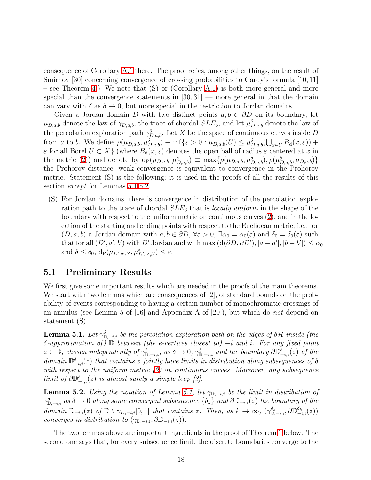consequence of Corollary [A.1](#page-58-0) there. The proof relies, among other things, on the result of Smirnov [30] concerning convergence of crossing probabilities to Cardy's formula [10, 11] – see Theorem [4.](#page-36-0)) We note that (S) or (Corollary [A.1\)](#page-58-0) is both more general and more special than the convergence statements in  $[30, 31]$  — more general in that the domain can vary with  $\delta$  as  $\delta \to 0$ , but more special in the restriction to Jordan domains.

Given a Jordan domain D with two distinct points  $a, b \in \partial D$  on its boundary, let  $\mu_{D,a,b}$  denote the law of  $\gamma_{D,a,b}$ , the trace of chordal  $SLE_6$ , and let  $\mu_{D,a,b}^{\delta}$  denote the law of the percolation exploration path  $\gamma_{D,a,b}^{\delta}$ . Let X be the space of continuous curves inside D from a to b. We define  $\rho(\mu_{D,a,b}, \mu_{D,a,b}^{\delta}) \equiv \inf \{ \varepsilon > 0 : \mu_{D,a,b}(U) \leq \mu_{D,a,b}^{\delta}(\bigcup_{x \in U} B_d(x, \varepsilon)) +$  $\varepsilon$  for all Borel  $U \subset X$  (where  $B_d(x, \varepsilon)$  denotes the open ball of radius  $\varepsilon$  centered at x in the metric [\(2\)](#page-4-0)) and denote by  $d_P(\mu_{D,a,b}, \mu_{D,a,b}^{\delta}) \equiv \max{\{\rho(\mu_{D,a,b}, \mu_{D,a,b}^{\delta}), \rho(\mu_{D,a,b}^{\delta}, \mu_{D,a,b})\}}$ the Prohorov distance; weak convergence is equivalent to convergence in the Prohorov metric. Statement (S) is the following; it is used in the proofs of all the results of this section *except* for Lemmas [5.1](#page-17-0)[-5.2.](#page-17-1)

(S) For Jordan domains, there is convergence in distribution of the percolation exploration path to the trace of chordal SLE<sup>6</sup> that is *locally uniform* in the shape of the boundary with respect to the uniform metric on continuous curves [\(2\)](#page-4-0), and in the location of the starting and ending points with respect to the Euclidean metric; i.e., for  $(D, a, b)$  a Jordan domain with  $a, b \in \partial D$ ,  $\forall \varepsilon > 0$ ,  $\exists \alpha_0 = \alpha_0(\varepsilon)$  and  $\delta_0 = \delta_0(\varepsilon)$  such that for all  $(D', a', b')$  with  $D'$  Jordan and with max  $(d(\partial D, \partial D'), |a - a'|, |b - b'|) \leq \alpha_0$ and  $\delta \leq \delta_0$ ,  $d_P(\mu_{D',a',b'},\mu_{D',a',b'}^{\delta}) \leq \varepsilon$ .

#### 5.1 Preliminary Results

We first give some important results which are needed in the proofs of the main theorems. We start with two lemmas which are consequences of [2], of standard bounds on the probability of events corresponding to having a certain number of monochromatic crossings of an annulus (see Lemma 5 of [16] and Appendix A of [20]), but which do *not* depend on statement (S).

<span id="page-17-0"></span>**Lemma 5.1.** Let  $\gamma_{\mathbb{D},-i,i}^{\delta}$  be the percolation exploration path on the edges of  $\delta \mathcal{H}$  inside (the <sup>δ</sup>*-approximation of )* <sup>D</sup> *between (the e-vertices closest to)* <sup>−</sup><sup>i</sup> *and* <sup>i</sup>*. For any fixed point*  $z \in \mathbb{D}$ , *chosen independently of*  $\gamma_{\mathbb{D},-i,i}^{\delta}$  *as*  $\delta \to 0$ ,  $\gamma_{\mathbb{D},-i,i}^{\delta}$  *and the boundary*  $\partial \mathbb{D}_{-i,i}^{\delta}(z)$  *of the*  $domain \mathbb{D}_{-i,i}^{\delta}(z)$  *that contains* z *jointly have limits in distribution along subsequences of*  $\delta$ *with respect to the uniform metric [\(2\)](#page-4-0) on continuous curves. Moreover, any subsequence limit of*  $\partial \mathbb{D}_{-i,i}^{\delta}(z)$  *is almost surely a simple loop [3].* 

<span id="page-17-1"></span>**Lemma 5.2.** *Using the notation of Lemma [5.1,](#page-17-0) let*  $\gamma_{\mathbb{D},-i,i}$  *be the limit in distribution of*  $\gamma_{\mathbb{D},-i,i}^{\delta}$  *as*  $\delta \to 0$  *along some convergent subsequence*  $\{\delta_k\}$  *and*  $\partial \mathbb{D}_{-i,i}(z)$  *the boundary of the*  $domain \mathbb{D}_{-i,i}(z)$  *of*  $\mathbb{D} \setminus \gamma_{D,-i,i}[0,1]$  *that contains* z. Then, as  $k \to \infty$ ,  $(\gamma_{\mathbb{D},-i,i}^{\delta_k}, \partial \mathbb{D}_{-i,i}^{\delta_k}(z))$ *converges in distribution to*  $(\gamma_{\mathbb{D},-i,i}, \partial \mathbb{D}_{-i,i}(z)).$ 

The two lemmas above are important ingredients in the proof of Theorem [1](#page-18-1) below. The second one says that, for every subsequence limit, the discrete boundaries converge to the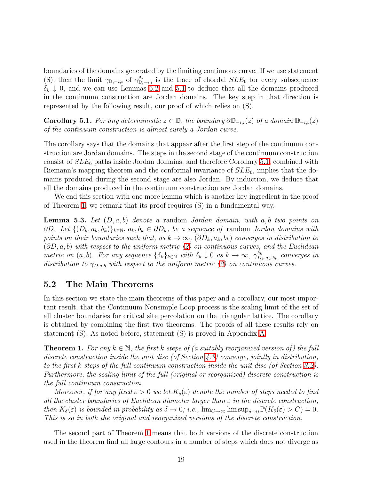boundaries of the domains generated by the limiting continuous curve. If we use statement (S), then the limit  $\gamma_{\mathbb{D},-i,i}$  of  $\gamma_{\mathbb{D},-i,i}^{\delta_k}$  is the trace of chordal  $SLE_6$  for every subsequence  $\delta_k \downarrow 0$ , and we can use Lemmas [5.2](#page-17-1) and [5.1](#page-17-0) to deduce that all the domains produced in the continuum construction are Jordan domains. The key step in that direction is represented by the following result, our proof of which relies on (S).

<span id="page-18-0"></span>Corollary 5.1. *For any deterministic*  $z \in \mathbb{D}$ , the boundary  $\partial \mathbb{D}_{-i,i}(z)$  of a domain  $\mathbb{D}_{-i,i}(z)$ *of the continuum construction is almost surely a Jordan curve.*

The corollary says that the domains that appear after the first step of the continuum construction are Jordan domains. The steps in the second stage of the continuum construction consist of  $SLE_6$  paths inside Jordan domains, and therefore Corollary [5.1,](#page-18-0) combined with Riemann's mapping theorem and the conformal invariance of  $SLE_6$ , implies that the domains produced during the second stage are also Jordan. By induction, we deduce that all the domains produced in the continuum construction are Jordan domains.

<span id="page-18-2"></span>We end this section with one more lemma which is another key ingredient in the proof of Theorem [1;](#page-18-1) we remark that its proof requires (S) in a fundamental way.

Lemma 5.3. *Let* (D, a, b) *denote a* random *Jordan domain, with* a, b *two points on* ∂D. Let  $\{(D_k, a_k, b_k)\}_{k\in\mathbb{N}}, a_k, b_k \in \partial D_k$ , be a sequence of random *Jordan domains with points on their boundaries such that, as*  $k \to \infty$ ,  $(\partial D_k, a_k, b_k)$  *converges in distribution to* (∂D, a, b) *with respect to the uniform metric [\(2\)](#page-4-0) on continuous curves, and the Euclidean metric on*  $(a, b)$ *. For any sequence*  $\{\delta_k\}_{k \in \mathbb{N}}$  *with*  $\delta_k \downarrow 0$  *as*  $k \to \infty$ ,  $\gamma_{D_i}^{\delta_k}$  $\overset{o_k}{D_k},_{a_k,b_k}$  converges in *distribution to*  $\gamma_{D,a,b}$  *with respect to the uniform metric* [\(2\)](#page-4-0) *on continuous curves.* 

#### 5.2 The Main Theorems

In this section we state the main theorems of this paper and a corollary, our most important result, that the Continuum Nonsimple Loop process is the scaling limit of the set of all cluster boundaries for critical site percolation on the triangular lattice. The corollary is obtained by combining the first two theorems. The proofs of all these results rely on statement (S). As noted before, statement (S) is proved in Appendix [A.](#page-35-0)

<span id="page-18-1"></span>**Theorem 1.** For any  $k \in \mathbb{N}$ , the first k steps of (a suitably reorganized version of) the full *discrete construction inside the unit disc (of Section [4.3\)](#page-14-0) converge, jointly in distribution, to the first* k *steps of the full continuum construction inside the unit disc (of Section [3.2\)](#page-8-0). Furthermore, the scaling limit of the full (original or reorganized) discrete construction is the full continuum construction.*

*Moreover, if for any fixed*  $\varepsilon > 0$  *we let*  $K_{\delta}(\varepsilon)$  *denote the number of steps needed to find all the cluster boundaries of Euclidean diameter larger than* ε *in the discrete construction, then*  $K_{\delta}(\varepsilon)$  *is bounded in probability as*  $\delta \to 0$ *; i.e.,*  $\lim_{C \to \infty} \lim_{\delta \to 0} \mathbb{P}(K_{\delta}(\varepsilon) > C) = 0$ *. This is so in both the original and reorganized versions of the discrete construction.*

The second part of Theorem [1](#page-18-1) means that both versions of the discrete construction used in the theorem find all large contours in a number of steps which does not diverge as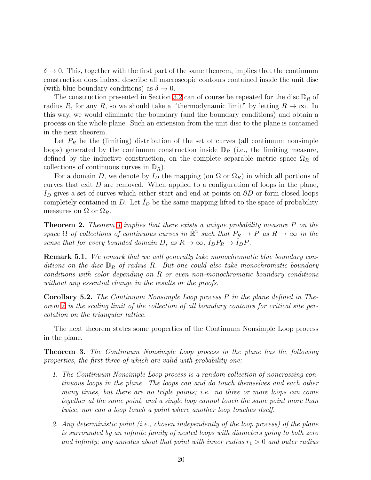$\delta \to 0$ . This, together with the first part of the same theorem, implies that the continuum construction does indeed describe all macroscopic contours contained inside the unit disc (with blue boundary conditions) as  $\delta \to 0$ .

The construction presented in Section [3.2](#page-8-0) can of course be repeated for the disc  $\mathbb{D}_R$  of radius R, for any R, so we should take a "thermodynamic limit" by letting  $R \to \infty$ . In this way, we would eliminate the boundary (and the boundary conditions) and obtain a process on the whole plane. Such an extension from the unit disc to the plane is contained in the next theorem.

Let  $P_R$  be the (limiting) distribution of the set of curves (all continuum nonsimple loops) generated by the continuum construction inside  $\mathbb{D}_R$  (i.e., the limiting measure, defined by the inductive construction, on the complete separable metric space  $\Omega_R$  of collections of continuous curves in  $\mathbb{D}_R$ ).

For a domain D, we denote by  $I_D$  the mapping (on  $\Omega$  or  $\Omega_R$ ) in which all portions of curves that exit  $D$  are removed. When applied to a configuration of loops in the plane, I<sub>D</sub> gives a set of curves which either start and end at points on  $\partial D$  or form closed loops completely contained in  $D$ . Let  $I_D$  be the same mapping lifted to the space of probability measures on  $\Omega$  or  $\Omega_R$ .

<span id="page-19-0"></span>Theorem 2. *Theorem [1](#page-18-1) implies that there exists a unique probability measure* P *on the space*  $\Omega$  *of collections of continuous curves in*  $\mathbb{R}^2$  *such that*  $P_R \to P$  *as*  $R \to \infty$  *in the sense that for every bounded domain*  $D$ *, as*  $R \to \infty$ *,*  $\hat{I}_D P_R \to \hat{I}_D P$ *.* 

Remark 5.1. *We remark that we will generally take monochromatic blue boundary conditions on the disc* D<sup>R</sup> *of radius* R*. But one could also take monochromatic boundary conditions with color depending on* R *or even non-monochromatic boundary conditions without any essential change in the results or the proofs.*

<span id="page-19-1"></span>Corollary 5.2. *The Continuum Nonsimple Loop process* P *in the plane defined in Theorem [2](#page-19-0) is the scaling limit of the collection of all boundary contours for critical site percolation on the triangular lattice.*

<span id="page-19-2"></span>The next theorem states some properties of the Continuum Nonsimple Loop process in the plane.

Theorem 3. *The Continuum Nonsimple Loop process in the plane has the following properties, the first three of which are valid with probability one:*

- *1. The Continuum Nonsimple Loop process is a random collection of noncrossing continuous loops in the plane. The loops can and do touch themselves and each other many times, but there are no triple points; i.e. no three or more loops can come together at the same point, and a single loop cannot touch the same point more than twice, nor can a loop touch a point where another loop touches itself.*
- *2. Any deterministic point (i.e., chosen independently of the loop process) of the plane is surrounded by an infinite family of nested loops with diameters going to both zero and infinity; any annulus about that point with inner radius*  $r_1 > 0$  *and outer radius*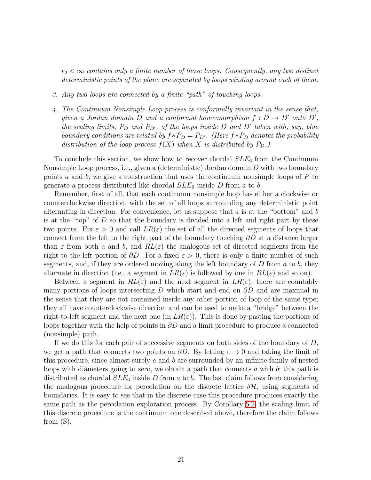$r_2 < \infty$  *contains only a finite number of those loops. Consequently, any two distinct deterministic points of the plane are separated by loops winding around each of them.*

- *3. Any two loops are connected by a finite "path" of touching loops.*
- *4. The Continuum Nonsimple Loop process is conformally invariant in the sense that, given a Jordan domain*  $D$  *and a conformal homeomorphism*  $f : D \to D'$  *onto*  $D'$ *, the scaling limits,*  $P_D$  *and*  $P_{D'}$ *, of the loops inside*  $D$  *and*  $D'$  *taken with, say, blue boundary conditions are related by*  $f * P_D = P_{D'}$ *. (Here*  $f * P_D$  *denotes the probability distribution of the loop process*  $f(X)$  *when* X *is distributed by*  $P_D$ *.*)

To conclude this section, we show how to recover chordal  $SLE_6$  from the Continuum Nonsimple Loop process, i.e., given a (deterministic) Jordan domain D with two boundary points a and b, we give a construction that uses the continuum nonsimple loops of  $P$  to generate a process distributed like chordal  $SLE_6$  inside D from a to b.

Remember, first of all, that each continuum nonsimple loop has either a clockwise or counterclockwise direction, with the set of all loops surrounding any deterministic point alternating in direction. For convenience, let us suppose that  $a$  is at the "bottom" and  $b$ is at the "top" of  $D$  so that the boundary is divided into a left and right part by these two points. Fix  $\varepsilon > 0$  and call  $LR(\varepsilon)$  the set of all the directed segments of loops that connect from the left to the right part of the boundary touching  $\partial D$  at a distance larger than  $\varepsilon$  from both a and b, and  $RL(\varepsilon)$  the analogous set of directed segments from the right to the left portion of  $\partial D$ . For a fixed  $\varepsilon > 0$ , there is only a finite number of such segments, and, if they are ordered moving along the left boundary of  $D$  from  $a$  to  $b$ , they alternate in direction (i.e., a segment in  $LR(\varepsilon)$  is followed by one in  $RL(\varepsilon)$  and so on).

Between a segment in  $RL(\varepsilon)$  and the next segment in  $LR(\varepsilon)$ , there are countably many portions of loops intersecting D which start and end on  $\partial D$  and are maximal in the sense that they are not contained inside any other portion of loop of the same type; they all have counterclockwise direction and can be used to make a "bridge" between the right-to-left segment and the next one (in  $LR(\varepsilon)$ ). This is done by pasting the portions of loops together with the help of points in  $\partial D$  and a limit procedure to produce a connected (nonsimple) path.

If we do this for each pair of successive segments on both sides of the boundary of  $D$ , we get a path that connects two points on  $\partial D$ . By letting  $\varepsilon \to 0$  and taking the limit of this procedure, since almost surely a and b are surrounded by an infinite family of nested loops with diameters going to zero, we obtain a path that connects a with b; this path is distributed as chordal  $SLE_6$  inside D from a to b. The last claim follows from considering the analogous procedure for percolation on the discrete lattice  $\delta \mathcal{H}$ , using segments of boundaries. It is easy to see that in the discrete case this procedure produces exactly the same path as the percolation exploration process. By Corollary [5.2,](#page-19-1) the scaling limit of this discrete procedure is the continuum one described above, therefore the claim follows from (S).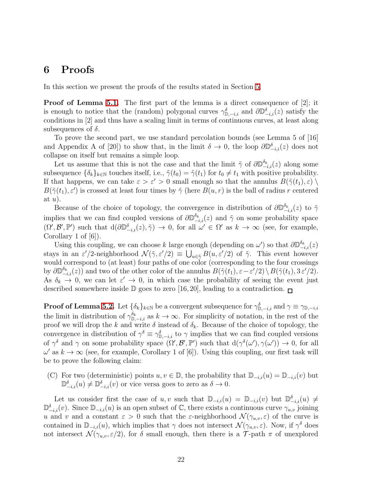### <span id="page-21-0"></span>6 Proofs

In this section we present the proofs of the results stated in Section [5.](#page-16-0)

**Proof of Lemma [5.1.](#page-17-0)** The first part of the lemma is a direct consequence of [2]; it is enough to notice that the (random) polygonal curves  $\gamma_{\mathbb{D},-i,i}^{\delta}$  and  $\partial \mathbb{D}_{-i,i}^{\delta}(z)$  satisfy the conditions in [2] and thus have a scaling limit in terms of continuous curves, at least along subsequences of  $\delta$ .

To prove the second part, we use standard percolation bounds (see Lemma 5 of [16] and Appendix A of [20]) to show that, in the limit  $\delta \to 0$ , the loop  $\partial \mathbb{D}_{-i,i}^{\delta}(z)$  does not collapse on itself but remains a simple loop.

Let us assume that this is not the case and that the limit  $\tilde{\gamma}$  of  $\partial \mathbb{D}_{-i,i}^{\delta_k}(z)$  along some subsequence  $\{\delta_k\}_{k\in\mathbb{N}}$  touches itself, i.e.,  $\tilde{\gamma}(t_0) = \tilde{\gamma}(t_1)$  for  $t_0 \neq t_1$  with positive probability. If that happens, we can take  $\varepsilon > \varepsilon' > 0$  small enough so that the annulus  $B(\tilde{\gamma}(t_1), \varepsilon)$  $B(\tilde{\gamma}(t_1), \varepsilon')$  is crossed at least four times by  $\tilde{\gamma}$  (here  $B(u, r)$  is the ball of radius r centered at  $u$ ).

Because of the choice of topology, the convergence in distribution of  $\partial \mathbb{D}_{-i,i}^{\delta_k}(z)$  to  $\tilde{\gamma}$ implies that we can find coupled versions of  $\partial \mathbb{D}_{-i,i}^{\delta_k}(z)$  and  $\tilde{\gamma}$  on some probability space  $(\Omega', \mathcal{B}', \mathbb{P}')$  such that  $d(\partial \mathbb{D}_{-i,i}^{\delta}(z), \tilde{\gamma}) \to 0$ , for all  $\omega' \in \Omega'$  as  $k \to \infty$  (see, for example, Corollary 1 of [6]).

Using this coupling, we can choose k large enough (depending on  $\omega'$ ) so that  $\partial \mathbb{D}_{-i,i}^{\delta_k}(z)$ stays in an  $\varepsilon'/2$ -neighborhood  $\mathcal{N}(\tilde{\gamma}, \varepsilon'/2) \equiv \bigcup_{u \in \tilde{\gamma}} B(u, \varepsilon'/2)$  of  $\tilde{\gamma}$ . This event however would correspond to (at least) four paths of one color (corresponding to the four crossings by  $\partial \mathbb{D}_{-i,i}^{\delta_k}(z)$  and two of the other color of the annulus  $B(\tilde{\gamma}(t_1), \varepsilon - \varepsilon'/2) \setminus B(\tilde{\gamma}(t_1), 3 \varepsilon'/2)$ . As  $\delta_k \to 0$ , we can let  $\varepsilon' \to 0$ , in which case the probability of seeing the event just described somewhere inside  $\mathbb D$  goes to zero [16, 20], leading to a contradiction.  $\Box$ 

**Proof of Lemma [5.2.](#page-17-1)** Let  $\{\delta_k\}_{k\in\mathbb{N}}$  be a convergent subsequence for  $\gamma_{\mathbb{D},-i,i}^{\delta}$  and  $\gamma\equiv\gamma_{\mathbb{D},-i,i}$ the limit in distribution of  $\gamma_{\mathbb{D},-i,i}^{\delta_k}$  as  $k \to \infty$ . For simplicity of notation, in the rest of the proof we will drop the k and write  $\delta$  instead of  $\delta_k$ . Because of the choice of topology, the convergence in distribution of  $\gamma^{\delta} \equiv \gamma_{\mathbb{D},-i,i}^{\delta}$  to  $\gamma$  implies that we can find coupled versions of  $\gamma^{\delta}$  and  $\gamma$  on some probability space  $(\Omega', \mathcal{B}', \mathbb{P}')$  such that  $d(\gamma^{\delta}(\omega'), \gamma(\omega')) \to 0$ , for all  $\omega'$  as  $k \to \infty$  (see, for example, Corollary 1 of [6]). Using this coupling, our first task will be to prove the following claim:

(C) For two (deterministic) points  $u, v \in \mathbb{D}$ , the probability that  $\mathbb{D}_{-i,i}(u) = \mathbb{D}_{-i,i}(v)$  but  $\mathbb{D}^{\delta}_{-i,i}(u) \neq \mathbb{D}^{\delta}_{-i,i}(v)$  or vice versa goes to zero as  $\delta \to 0$ .

Let us consider first the case of u, v such that  $\mathbb{D}_{-i,i}(u) = \mathbb{D}_{-i,i}(v)$  but  $\mathbb{D}_{-i,i}^{\delta}(u) \neq$  $\mathbb{D}_{-i,i}^{\delta}(v)$ . Since  $\mathbb{D}_{-i,i}(u)$  is an open subset of  $\mathbb{C}$ , there exists a continuous curve  $\gamma_{u,v}$  joining u and v and a constant  $\varepsilon > 0$  such that the  $\varepsilon$ -neighborhood  $\mathcal{N}(\gamma_{u,v}, \varepsilon)$  of the curve is contained in  $\mathbb{D}_{-i,i}(u)$ , which implies that  $\gamma$  does not intersect  $\mathcal{N}(\gamma_{u,v}, \varepsilon)$ . Now, if  $\gamma^{\delta}$  does not intersect  $\mathcal{N}(\gamma_{u,v}, \varepsilon/2)$ , for  $\delta$  small enough, then there is a  $\mathcal{T}$ -path  $\pi$  of unexplored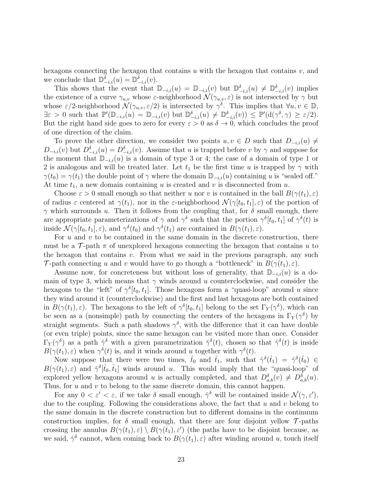hexagons connecting the hexagon that contains u with the hexagon that contains  $v$ , and we conclude that  $\mathbb{D}^{\delta}_{-i,i}(u) = \mathbb{D}^{\delta}_{-i,i}(v)$ .

This shows that the event that  $\mathbb{D}_{-i,i}(u) = \mathbb{D}_{-i,i}(v)$  but  $\mathbb{D}_{-i,i}^{\delta}(u) \neq \mathbb{D}_{-i,i}^{\delta}(v)$  implies the existence of a curve  $\gamma_{u,v}$  whose  $\varepsilon$ -neighborhood  $\mathcal{N}(\gamma_{u,v}, \varepsilon)$  is not intersected by  $\gamma$  but whose  $\varepsilon/2$ -neighborhood  $\mathcal{N}(\gamma_{u,v}, \varepsilon/2)$  is intersected by  $\gamma^{\delta}$ . This implies that  $\forall u, v \in \mathbb{D}$ ,  $\exists \varepsilon > 0$  such that  $\mathbb{P}'(\mathbb{D}_{-i,i}(u) = \mathbb{D}_{-i,i}(v)$  but  $\mathbb{D}_{-i,i}^{\delta}(u) \neq \mathbb{D}_{-i,i}^{\delta}(v) \leq \mathbb{P}'(\mathrm{d}(\gamma^{\delta}, \gamma) \geq \varepsilon/2)$ . But the right hand side goes to zero for every  $\varepsilon > 0$  as  $\delta \to 0$ , which concludes the proof of one direction of the claim.

To prove the other direction, we consider two points  $u, v \in D$  such that  $D_{-i,i}(u) \neq$  $D_{-i,i}(v)$  but  $D_{-i,i}^{\delta}(u) = D_{-i,i}^{\delta}(v)$ . Assume that u is trapped before v by  $\gamma$  and suppose for the moment that  $\mathbb{D}_{-i,i}(u)$  is a domain of type 3 or 4; the case of a domain of type 1 or 2 is analogous and will be treated later. Let  $t_1$  be the first time u is trapped by  $\gamma$  with  $\gamma(t_0) = \gamma(t_1)$  the double point of  $\gamma$  where the domain  $\mathbb{D}_{-i,i}(u)$  containing u is "sealed off." At time  $t_1$ , a new domain containing u is created and v is disconnected from u.

Choose  $\varepsilon > 0$  small enough so that neither u nor v is contained in the ball  $B(\gamma(t_1), \varepsilon)$ of radius  $\varepsilon$  centered at  $\gamma(t_1)$ , nor in the  $\varepsilon$ -neighborhood  $\mathcal{N}(\gamma[t_0, t_1], \varepsilon)$  of the portion of  $\gamma$  which surrounds u. Then it follows from the coupling that, for  $\delta$  small enough, there are appropriate parameterizations of  $\gamma$  and  $\gamma^{\delta}$  such that the portion  $\gamma^{\delta}[t_0, t_1]$  of  $\gamma^{\delta}(t)$  is inside  $\mathcal{N}(\gamma[t_0, t_1], \varepsilon)$ , and  $\gamma^{\delta}(t_0)$  and  $\gamma^{\delta}(t_1)$  are contained in  $B(\gamma(t_1), \varepsilon)$ .

For  $u$  and  $v$  to be contained in the same domain in the discrete construction, there must be a  $\mathcal{T}$ -path  $\pi$  of unexplored hexagons connecting the hexagon that contains u to the hexagon that contains  $v$ . From what we said in the previous paragraph, any such T-path connecting u and v would have to go though a "bottleneck" in  $B(\gamma(t_1), \varepsilon)$ .

Assume now, for concreteness but without loss of generality, that  $\mathbb{D}_{-i,i}(u)$  is a domain of type 3, which means that  $\gamma$  winds around u counterclockwise, and consider the hexagons to the "left" of  $\gamma^{\delta}[t_0, t_1]$ . Those hexagons form a "quasi-loop" around u since they wind around it (counterclockwise) and the first and last hexagons are both contained in  $B(\gamma(t_1),\varepsilon)$ . The hexagons to the left of  $\gamma^{\delta}[t_0,t_1]$  belong to the set  $\Gamma_Y(\gamma^{\delta})$ , which can be seen as a (nonsimple) path by connecting the centers of the hexagons in  $\Gamma_Y(\gamma^{\delta})$  by straight segments. Such a path shadows  $\gamma^{\delta}$ , with the difference that it can have double (or even triple) points, since the same hexagon can be visited more than once. Consider  $\Gamma_Y(\gamma^{\delta})$  as a path  $\hat{\gamma}^{\delta}$  with a given parametrization  $\hat{\gamma}^{\delta}(t)$ , chosen so that  $\hat{\gamma}^{\delta}(t)$  is inside  $B(\gamma(t_1), \varepsilon)$  when  $\gamma^{\delta}(t)$  is, and it winds around u together with  $\gamma^{\delta}(t)$ .

Now suppose that there were two times,  $\hat{t}_0$  and  $\hat{t}_1$ , such that  $\hat{\gamma}^{\delta}(\hat{t}_1) = \hat{\gamma}^{\delta}(\hat{t}_0) \in$  $B(\gamma(t_1),\varepsilon)$  and  $\hat{\gamma}^{\delta}[\hat{t}_0,\hat{t}_1]$  winds around u. This would imply that the "quasi-loop" of explored yellow hexagons around u is actually completed, and that  $D_{a,b}^{\delta}(v) \neq D_{a,b}^{\delta}(u)$ . Thus, for  $u$  and  $v$  to belong to the same discrete domain, this cannot happen.

For any  $0 < \varepsilon' < \varepsilon$ , if we take  $\delta$  small enough,  $\hat{\gamma}^{\delta}$  will be contained inside  $\mathcal{N}(\gamma, \varepsilon')$ , due to the coupling. Following the considerations above, the fact that  $u$  and  $v$  belong to the same domain in the discrete construction but to different domains in the continuum construction implies, for  $\delta$  small enough, that there are four disjoint yellow  $\mathcal{T}\text{-paths}$ crossing the annulus  $B(\gamma(t_1), \varepsilon) \setminus B(\gamma(t_1), \varepsilon')$  (the paths have to be disjoint because, as we said,  $\hat{\gamma}^{\delta}$  cannot, when coming back to  $B(\gamma(t_1), \varepsilon)$  after winding around u, touch itself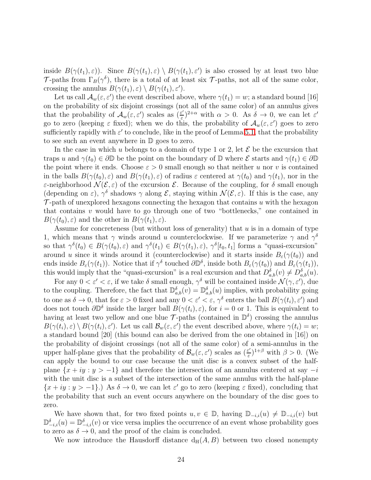inside  $B(\gamma(t_1),\varepsilon)$ . Since  $B(\gamma(t_1),\varepsilon) \setminus B(\gamma(t_1),\varepsilon')$  is also crossed by at least two blue T-paths from  $\Gamma_B(\gamma^{\delta})$ , there is a total of at least six T-paths, not all of the same color, crossing the annulus  $B(\gamma(t_1), \varepsilon) \setminus B(\gamma(t_1), \varepsilon')$ .

Let us call  $\mathcal{A}_w(\varepsilon,\varepsilon')$  the event described above, where  $\gamma(t_1) = w$ ; a standard bound [16] on the probability of six disjoint crossings (not all of the same color) of an annulus gives that the probability of  $\mathcal{A}_w(\varepsilon,\varepsilon')$  scales as  $\left(\frac{\varepsilon'}{\varepsilon}\right)$  $(\frac{\varepsilon'}{\varepsilon})^{2+\alpha}$  with  $\alpha > 0$ . As  $\delta \to 0$ , we can let  $\varepsilon'$ go to zero (keeping  $\varepsilon$  fixed); when we do this, the probability of  $\mathcal{A}_w(\varepsilon,\varepsilon')$  goes to zero sufficiently rapidly with  $\varepsilon'$  to conclude, like in the proof of Lemma [5.1,](#page-17-0) that the probability to see such an event anywhere in D goes to zero.

In the case in which u belongs to a domain of type 1 or 2, let  $\mathcal E$  be the excursion that traps u and  $\gamma(t_0) \in \partial \mathbb{D}$  be the point on the boundary of  $\mathbb{D}$  where  $\mathcal{E}$  starts and  $\gamma(t_1) \in \partial \mathbb{D}$ the point where it ends. Choose  $\varepsilon > 0$  small enough so that neither u nor v is contained in the balls  $B(\gamma(t_0),\varepsilon)$  and  $B(\gamma(t_1),\varepsilon)$  of radius  $\varepsilon$  centered at  $\gamma(t_0)$  and  $\gamma(t_1)$ , nor in the ε-neighborhood  $\mathcal{N}(\mathcal{E}, \varepsilon)$  of the excursion  $\mathcal{E}$ . Because of the coupling, for δ small enough (depending on  $\varepsilon$ ),  $\gamma^{\delta}$  shadows  $\gamma$  along  $\mathcal{E}$ , staying within  $\mathcal{N}(\mathcal{E}, \varepsilon)$ . If this is the case, any  $\mathcal{T}$ -path of unexplored hexagons connecting the hexagon that contains u with the hexagon that contains  $v$  would have to go through one of two "bottlenecks," one contained in  $B(\gamma(t_0),\varepsilon)$  and the other in  $B(\gamma(t_1),\varepsilon)$ .

Assume for concreteness (but without loss of generality) that  $u$  is in a domain of type 1, which means that  $\gamma$  winds around u counterclockwise. If we parameterize  $\gamma$  and  $\gamma^{\delta}$ so that  $\gamma^{\delta}(t_0) \in B(\gamma(t_0), \varepsilon)$  and  $\gamma^{\delta}(t_1) \in B(\gamma(t_1), \varepsilon)$ ,  $\gamma^{\delta}[t_0, t_1]$  forms a "quasi-excursion" around u since it winds around it (counterclockwise) and it starts inside  $B_{\varepsilon}(\gamma(t_0))$  and ends inside  $B_\varepsilon(\gamma(t_1))$ . Notice that if  $\gamma^{\delta}$  touched  $\partial \mathbb{D}^{\delta}$ , inside both  $B_\varepsilon(\gamma(t_0))$  and  $B_\varepsilon(\gamma(t_1))$ , this would imply that the "quasi-excursion" is a real excursion and that  $D_{a,b}^{\delta}(v) \neq D_{a,b}^{\delta}(u)$ .

For any  $0 < \varepsilon' < \varepsilon$ , if we take  $\delta$  small enough,  $\gamma^{\delta}$  will be contained inside  $\mathcal{N}(\gamma, \varepsilon')$ , due to the coupling. Therefore, the fact that  $\mathbb{D}_{a,b}^{\delta}(v) = \mathbb{D}_{a,b}^{\delta}(u)$  implies, with probability going to one as  $\delta \to 0$ , that for  $\varepsilon > 0$  fixed and any  $0 < \varepsilon' < \varepsilon$ ,  $\gamma^{\delta}$  enters the ball  $B(\gamma(t_i), \varepsilon')$  and does not touch  $\partial \mathbb{D}^{\delta}$  inside the larger ball  $B(\gamma(t_i), \varepsilon)$ , for  $i = 0$  or 1. This is equivalent to having at least two yellow and one blue  $\mathcal{T}$ -paths (contained in  $\mathbb{D}^{\delta}$ ) crossing the annulus  $B(\gamma(t_i),\varepsilon) \setminus B(\gamma(t_i),\varepsilon')$ . Let us call  $\mathcal{B}_w(\varepsilon,\varepsilon')$  the event described above, where  $\gamma(t_i) = w$ ; a standard bound [20] (this bound can also be derived from the one obtained in [16]) on the probability of disjoint crossings (not all of the same color) of a semi-annulus in the upper half-plane gives that the probability of  $\mathcal{B}_{w}(\varepsilon, \varepsilon')$  scales as  $(\frac{\varepsilon'}{\varepsilon})$  $(\frac{\varepsilon'}{\varepsilon})^{1+\beta}$  with  $\beta > 0$ . (We can apply the bound to our case because the unit disc is a convex subset of the halfplane  $\{x + iy : y > -1\}$  and therefore the intersection of an annulus centered at say  $-i$ with the unit disc is a subset of the intersection of the same annulus with the half-plane  $\{x+iy: y > -1\}$ .) As  $\delta \to 0$ , we can let  $\varepsilon'$  go to zero (keeping  $\varepsilon$  fixed), concluding that the probability that such an event occurs anywhere on the boundary of the disc goes to zero.

We have shown that, for two fixed points  $u, v \in \mathbb{D}$ , having  $\mathbb{D}_{-i,i}(u) \neq \mathbb{D}_{-i,i}(v)$  but  $\mathbb{D}^{\delta}_{-i,i}(u) = \mathbb{D}^{\delta}_{-i,i}(v)$  or vice versa implies the occurrence of an event whose probability goes to zero as  $\delta \to 0$ , and the proof of the claim is concluded.

We now introduce the Hausdorff distance  $d_H(A, B)$  between two closed nonempty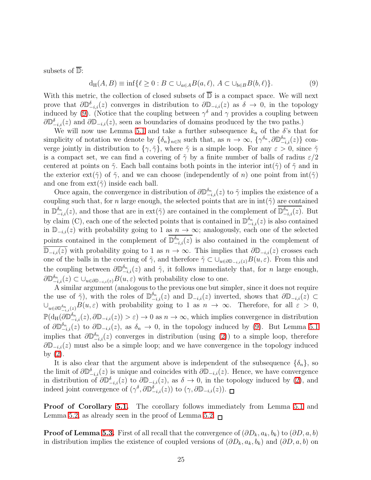<span id="page-24-0"></span>subsets of  $\overline{\mathbb{D}}$ :

$$
d_H(A, B) \equiv \inf \{ \ell \ge 0 : B \subset \cup_{a \in A} B(a, \ell), A \subset \cup_{b \in B} B(b, \ell) \}. \tag{9}
$$

With this metric, the collection of closed subsets of  $\overline{D}$  is a compact space. We will next prove that  $\partial \mathbb{D}_{i,i}^{\delta}(z)$  converges in distribution to  $\partial \mathbb{D}_{i,i}(z)$  as  $\delta \to 0$ , in the topology induced by [\(9\)](#page-24-0). (Notice that the coupling between  $\gamma^{\delta}$  and  $\gamma$  provides a coupling between  $\partial \mathbb{D}_{i,i}^{\delta}(z)$  and  $\partial \mathbb{D}_{-i,i}(z)$ , seen as boundaries of domains produced by the two paths.)

We will now use Lemma [5.1](#page-17-0) and take a further subsequence  $k_n$  of the  $\delta$ 's that for simplicity of notation we denote by  $\{\delta_n\}_{n\in\mathbb{N}}$  such that, as  $n \to \infty$ ,  $\{\gamma^{\delta_n}, \partial \mathbb{D}_{-i,i}^{\delta_n}(z)\}\)$  converge jointly in distribution to  $\{\gamma, \tilde{\gamma}\}\$ , where  $\tilde{\gamma}$  is a simple loop. For any  $\varepsilon > 0$ , since  $\tilde{\gamma}$ is a compact set, we can find a covering of  $\tilde{\gamma}$  by a finite number of balls of radius  $\varepsilon/2$ centered at points on  $\tilde{\gamma}$ . Each ball contains both points in the interior int( $\tilde{\gamma}$ ) of  $\tilde{\gamma}$  and in the exterior ext( $\tilde{\gamma}$ ) of  $\tilde{\gamma}$ , and we can choose (independently of n) one point from  $int(\tilde{\gamma})$ and one from  $ext(\tilde{\gamma})$  inside each ball.

Once again, the convergence in distribution of  $\partial \mathbb{D}_{-i,i}^{\delta_n}(z)$  to  $\tilde{\gamma}$  implies the existence of a coupling such that, for n large enough, the selected points that are in  $int(\tilde{\gamma})$  are contained in  $\mathbb{D}_{-i,i}^{\delta_n}(z)$ , and those that are in  $ext(\tilde{\gamma})$  are contained in the complement of  $\mathbb{D}_{-i,i}^{\delta_n}(z)$ . But by claim (C), each one of the selected points that is contained in  $\mathbb{D}_{-i,i}^{\delta_n}(z)$  is also contained in  $\mathbb{D}_{-i,i}(z)$  with probability going to 1 as  $n \to \infty$ ; analogously, each one of the selected points contained in the complement of  $\mathbb{D}_{-i,i}^{\delta_n}(z)$  is also contained in the complement of  $\mathbb{D}_{-i,i}(z)$  with probability going to 1 as  $n \to \infty$ . This implies that  $\partial \mathbb{D}_{-i,i}(z)$  crosses each one of the balls in the covering of  $\tilde{\gamma}$ , and therefore  $\tilde{\gamma} \subset \bigcup_{u \in \partial \mathbb{D}_{-i,i}(z)} B(u, \varepsilon)$ . From this and the coupling between  $\partial \mathbb{D}_{-i,i}^{\delta_n}(z)$  and  $\tilde{\gamma}$ , it follows immediately that, for *n* large enough,  $\partial \mathbb{D}^{\delta_n}_{-i,i}(z) \subset \bigcup_{u \in \partial \mathbb{D}_{-i,i}(z)} B(u,\varepsilon)$  with probability close to one.

A similar argument (analogous to the previous one but simpler, since it does not require the use of  $\tilde{\gamma}$ ), with the roles of  $\mathbb{D}_{-i,i}^{\delta_n}(z)$  and  $\mathbb{D}_{-i,i}(z)$  inverted, shows that  $\partial \mathbb{D}_{-i,i}(z) \subset$  $\cup_{u\in\partial\mathbb{D}_{-i,i}^{\delta_n}(z)}B(u,\varepsilon)$  with probability going to 1 as  $n\to\infty$ . Therefore, for all  $\varepsilon>0$ ,  $\mathbb{P}(\mathrm{d}_{\mathrm{H}}(\partial \mathbb{D}_{-i,i}^{\delta_n}(z),\partial \mathbb{D}_{-i,i}(z)) > \varepsilon) \to 0$  as  $n \to \infty$ , which implies convergence in distribution of  $\partial \mathbb{D}_{-i,i}^{\delta_n}(z)$  to  $\partial \mathbb{D}_{-i,i}(z)$ , as  $\delta_n \to 0$ , in the topology induced by [\(9\)](#page-24-0). But Lemma [5.1](#page-17-0) implies that  $\partial \mathbb{D}_{-i,i}^{\delta_n}(z)$  converges in distribution (using [\(2\)](#page-4-0)) to a simple loop, therefore  $\partial \mathbb{D}_{-i,i}(z)$  must also be a simple loop; and we have convergence in the topology induced by [\(2\)](#page-4-0).

It is also clear that the argument above is independent of the subsequence  $\{\delta_n\}$ , so the limit of  $\partial \mathbb{D}_{-i,i}^{\delta}(z)$  is unique and coincides with  $\partial \mathbb{D}_{-i,i}(z)$ . Hence, we have convergence in distribution of  $\partial \mathbb{D}_{-i,i}^{\delta}(z)$  to  $\partial \mathbb{D}_{-i,i}(z)$ , as  $\delta \to 0$ , in the topology induced by [\(2\)](#page-4-0), and indeed joint convergence of  $(\gamma^{\delta}, \partial \mathbb{D}_{-i,i}^{\delta}(z))$  to  $(\gamma, \partial \mathbb{D}_{-i,i}(z))$ .

Proof of Corollary [5.1.](#page-18-0) The corollary follows immediately from Lemma [5.1](#page-17-0) and Lemma [5.2,](#page-17-1) as already seen in the proof of Lemma [5.2.](#page-17-1)  $\Box$ 

**Proof of Lemma [5.3.](#page-18-2)** First of all recall that the convergence of  $(\partial D_k, a_k, b_k)$  to  $(\partial D, a, b)$ in distribution implies the existence of coupled versions of  $(\partial D_k, a_k, b_k)$  and  $(\partial D, a, b)$  on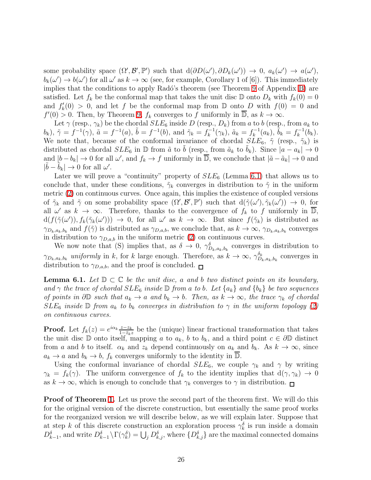some probability space  $(\Omega', \mathcal{B}', \mathbb{P}')$  such that  $d(\partial D(\omega'), \partial D_k(\omega')) \to 0$ ,  $a_k(\omega') \to a(\omega')$ ,  $b_k(\omega') \to b(\omega')$  for all  $\omega'$  as  $k \to \infty$  (see, for example, Corollary 1 of [6]). This immediately implies that the conditions to apply Radó's theorem (see Theorem [9](#page-59-1) of Appendix [B\)](#page-59-0) are satisfied. Let  $f_k$  be the conformal map that takes the unit disc  $\mathbb D$  onto  $D_k$  with  $f_k(0) = 0$ and  $f'_k(0) > 0$ , and let f be the conformal map from  $\mathbb D$  onto  $D$  with  $f(0) = 0$  and  $f'(0) > 0$ . Then, by Theorem [9,](#page-59-1)  $f_k$  converges to f uniformly in  $\overline{\mathbb{D}}$ , as  $k \to \infty$ .

Let  $\gamma$  (resp.,  $\gamma_k$ ) be the chordal  $SLE_6$  inside D (resp.,  $D_k$ ) from a to b (resp., from  $a_k$  to  $(b_k)$ ,  $\tilde{\gamma} = f^{-1}(\gamma)$ ,  $\tilde{a} = f^{-1}(a)$ ,  $\tilde{b} = f^{-1}(b)$ , and  $\tilde{\gamma}_k = f_k^{-1}(\gamma_k)$ ,  $\tilde{a}_k = f_k^{-1}(a_k)$ ,  $\tilde{b}_k = f_k^{-1}(b_k)$ . We note that, because of the conformal invariance of chordal  $SLE_6$ ,  $\tilde{\gamma}$  (resp.,  $\tilde{\gamma}_k$ ) is distributed as chordal  $SLE_6$  in  $\mathbb D$  from  $\tilde{a}$  to b (resp., from  $\tilde{a}_k$  to  $b_k$ ). Since  $|a - a_k| \to 0$ and  $|b - b_k| \to 0$  for all  $\omega'$ , and  $f_k \to f$  uniformly in  $\overline{\mathbb{D}}$ , we conclude that  $|\tilde{a} - \tilde{a}_k| \to 0$  and  $|\tilde{b} - \tilde{b}_k| \to 0$  for all  $\omega'$ .

Later we will prove a "continuity" property of  $SLE_6$  (Lemma [6.1\)](#page-25-0) that allows us to conclude that, under these conditions,  $\tilde{\gamma}_k$  converges in distribution to  $\tilde{\gamma}$  in the uniform metric [\(2\)](#page-4-0) on continuous curves. Once again, this implies the existence of coupled versions of  $\tilde{\gamma}_k$  and  $\tilde{\gamma}$  on some probability space  $(\Omega', \mathcal{B}', \mathbb{P}')$  such that  $d(\tilde{\gamma}(\omega'), \tilde{\gamma}_k(\omega')) \to 0$ , for all  $\omega'$  as  $k \to \infty$ . Therefore, thanks to the convergence of  $f_k$  to f uniformly in  $\overline{\mathbb{D}}$ ,  $d(f(\tilde{\gamma}(\omega')), f_k(\tilde{\gamma}_k(\omega'))) \to 0$ , for all  $\omega'$  as  $k \to \infty$ . But since  $f(\tilde{\gamma}_k)$  is distributed as  $\gamma_{D_k,a_k,b_k}$  and  $f(\tilde{\gamma})$  is distributed as  $\gamma_{D,a,b}$ , we conclude that, as  $k \to \infty$ ,  $\gamma_{D_k,a_k,b_k}$  converges in distribution to  $\gamma_{D,a,b}$  in the uniform metric [\(2\)](#page-4-0) on continuous curves.

We now note that (S) implies that, as  $\delta \to 0$ ,  $\gamma_{D_k,a_k,b_k}^{\delta}$  converges in distribution to  $\gamma_{D_k,a_k,b_k}$  *uniformly* in k, for k large enough. Therefore, as  $k \to \infty$ ,  $\gamma_{D_j}^{\delta_k}$  $b_{k,a_k,b_k}^{\delta_k}$  converges in distribution to  $\gamma_{D,a,b}$ , and the proof is concluded.  $\Box$ 

<span id="page-25-0"></span>**Lemma 6.1.** *Let*  $\mathbb{D} \subset \mathbb{C}$  *be the unit disc, a and b two distinct points on its boundary, and*  $\gamma$  *the trace of chordal*  $SLE_6$  *inside*  $\mathbb{D}$  *from* a *to b.* Let  $\{a_k\}$  *and*  $\{b_k\}$  *be two sequences of points in*  $\partial \mathbb{D}$  *such that*  $a_k \to a$  *and*  $b_k \to b$ *. Then, as*  $k \to \infty$ *, the trace*  $\gamma_k$  *of chordal*  $SLE_6$  *inside*  $\mathbb{D}$  *from*  $a_k$  *to*  $b_k$  *converges in distribution to*  $\gamma$  *in the uniform topology* [\(2\)](#page-4-0) *on continuous curves.*

**Proof.** Let  $f_k(z) = e^{i\alpha_k} \frac{z-z_k}{1-\overline{z}_k}$  $\frac{z-z_k}{1-\bar{z}_kz}$  be the (unique) linear fractional transformation that takes the unit disc D onto itself, mapping a to  $a_k$ , b to  $b_k$ , and a third point  $c \in \partial \mathbb{D}$  distinct from a and b to itself.  $\alpha_k$  and  $z_k$  depend continuously on  $a_k$  and  $b_k$ . As  $k \to \infty$ , since  $a_k \to a$  and  $b_k \to b$ ,  $f_k$  converges uniformly to the identity in  $\mathbb{D}$ .

Using the conformal invariance of chordal  $SLE_6$ , we couple  $\gamma_k$  and  $\gamma$  by writing  $\gamma_k = f_k(\gamma)$ . The uniform convergence of  $f_k$  to the identity implies that  $d(\gamma, \gamma_k) \to 0$ as  $k \to \infty$ , which is enough to conclude that  $\gamma_k$  converges to  $\gamma$  in distribution.  $\blacksquare$ 

**Proof of Theorem [1.](#page-18-1)** Let us prove the second part of the theorem first. We will do this for the original version of the discrete construction, but essentially the same proof works for the reorganized version we will describe below, as we will explain later. Suppose that at step k of this discrete construction an exploration process  $\gamma_k^{\delta}$  is run inside a domain  $D_{k-1}^{\delta}$ , and write  $D_{k-1}^{\delta} \setminus \Gamma(\gamma_k^{\delta}) = \bigcup_j D_{k,j}^{\delta}$ , where  $\{D_{k,j}^{\delta}\}$  are the maximal connected domains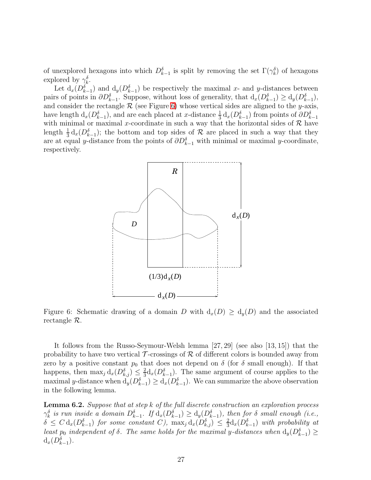of unexplored hexagons into which  $D_{k-1}^{\delta}$  is split by removing the set  $\Gamma(\gamma_k^{\delta})$  of hexagons explored by  $\gamma_k^{\delta}$ .

Let  $d_x(D_{k-1}^{\delta})$  and  $d_y(D_{k-1}^{\delta})$  be respectively the maximal x- and y-distances between pairs of points in  $\partial D_{k-1}^{\delta}$ . Suppose, without loss of generality, that  $d_x(D_{k-1}^{\delta}) \geq d_y(D_{k-1}^{\delta})$ , and consider the rectangle  $R$  (see Figure [6\)](#page-26-0) whose vertical sides are aligned to the y-axis, have length  $d_x(D_{k-1}^{\delta})$ , and are each placed at x-distance  $\frac{1}{3} d_x(D_{k-1}^{\delta})$  from points of  $\partial D_{k-1}^{\delta}$ with minimal or maximal x-coordinate in such a way that the horizontal sides of  $R$  have length  $\frac{1}{3} d_x(D_{k-1}^{\delta})$ ; the bottom and top sides of R are placed in such a way that they are at equal y-distance from the points of  $\partial D_{k-1}^{\delta}$  with minimal or maximal y-coordinate, respectively.



<span id="page-26-0"></span>Figure 6: Schematic drawing of a domain D with  $d_x(D) \geq d_y(D)$  and the associated rectangle R.

It follows from the Russo-Seymour-Welsh lemma [27, 29] (see also [13, 15]) that the probability to have two vertical  $\mathcal T$ -crossings of  $\mathcal R$  of different colors is bounded away from zero by a positive constant  $p_0$  that does not depend on  $\delta$  (for  $\delta$  small enough). If that happens, then  $\max_j d_x(D_{k,j}^{\delta}) \leq \frac{2}{3}$  $\frac{2}{3}d_x(D_{k-1}^{\delta})$ . The same argument of course applies to the maximal y-distance when  $d_y(D_{k-1}^{\delta}) \geq d_x(D_{k-1}^{\delta})$ . We can summarize the above observation in the following lemma.

<span id="page-26-1"></span>Lemma 6.2. *Suppose that at step* k *of the full discrete construction an exploration process*  $\gamma_k^{\delta}$  is run inside a domain  $D_{k-1}^{\delta}$ . If  $d_x(D_{k-1}^{\delta}) \geq d_y(D_{k-1}^{\delta})$ , then for  $\delta$  small enough (i.e.,  $\delta \leq C \, \mathrm{d}_x(D^{\delta}_{k-1})$  for some constant C),  $\max_j \mathrm{d}_x(D^{\delta}_{k,j}) \leq \frac{2}{3}$  $\frac{2}{3}d_x(D_{k-1}^{\delta})$  *with probability at least*  $p_0$  *independent of*  $\delta$ *. The same holds for the maximal y-distances when*  $d_y(D_{k-1}^{\delta}) \ge$  $d_x(D_{k-1}^{\delta}).$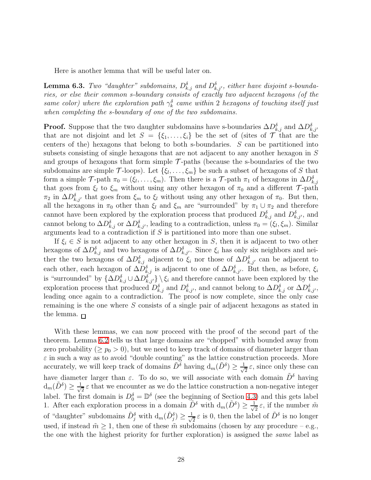Here is another lemma that will be useful later on.

<span id="page-27-0"></span>**Lemma 6.3.** *Two "daughter" subdomains,*  $D_{k,j}^{\delta}$  and  $D_{k,j'}^{\delta}$ , either have disjoint s-bounda*ries, or else their common s-boundary consists of exactly two adjacent hexagons (of the same color)* where the exploration path  $\gamma_k^{\delta}$  came within 2 hexagons of touching itself just *when completing the s-boundary of one of the two subdomains.*

**Proof.** Suppose that the two daughter subdomains have s-boundaries  $\Delta D_{k,j}^{\delta}$  and  $\Delta D_{k,j'}^{\delta}$ that are not disjoint and let  $S = \{\xi_1, \ldots, \xi_i\}$  be the set of (sites of  $\mathcal T$  that are the centers of the) hexagons that belong to both s-boundaries. S can be partitioned into subsets consisting of single hexagons that are not adjacent to any another hexagon in S and groups of hexagons that form simple  $\mathcal{T}\text{-paths}$  (because the s-boundaries of the two subdomains are simple  $\mathcal{T}$ -loops). Let  $\{\xi_1, \ldots, \xi_m\}$  be such a subset of hexagons of S that form a simple  $\mathcal{T}$ -path  $\pi_0 = (\xi_1, \ldots, \xi_m)$ . Then there is a  $\mathcal{T}$ -path  $\pi_1$  of hexagons in  $\Delta D_{k,j}^{\delta}$ that goes from  $\xi_l$  to  $\xi_m$  without using any other hexagon of  $\pi_0$  and a different  $\mathcal{T}$ -path  $\pi_2$  in  $\Delta D_{k,j'}^{\delta}$  that goes from  $\xi_m$  to  $\xi_l$  without using any other hexagon of  $\pi_0$ . But then, all the hexagons in  $\pi_0$  other than  $\xi_l$  and  $\xi_m$  are "surrounded" by  $\pi_1 \cup \pi_2$  and therefore cannot have been explored by the exploration process that produced  $D_{k,j}^{\delta}$  and  $D_{k,j'}^{\delta}$ , and cannot belong to  $\Delta D_{k,j}^{\delta}$  or  $\Delta D_{k,j'}^{\delta}$ , leading to a contradiction, unless  $\pi_0 = (\xi_l, \xi_m)$ . Similar arguments lead to a contradiction if S is partitioned into more than one subset.

If  $\xi_i \in S$  is not adjacent to any other hexagon in S, then it is adjacent to two other hexagons of  $\Delta D_{k,j}^{\delta}$  and two hexagons of  $\Delta D_{k,j'}^{\delta}$ . Since  $\xi_i$  has only six neighbors and neither the two hexagons of  $\Delta D_{k,j}^{\delta}$  adjacent to  $\xi_i$  nor those of  $\Delta D_{k,j'}^{\delta}$  can be adjacent to each other, each hexagon of  $\Delta D_{k,j}^{\delta}$  is adjacent to one of  $\Delta D_{k,j'}^{\delta}$ . But then, as before,  $\xi_i$ is "surrounded" by  $\{\Delta D_{k,j}^{\delta} \cup \Delta D_{k,j'}^{\delta}\}\$   $\xi_i$  and therefore cannot have been explored by the exploration process that produced  $D_{k,j}^{\delta}$  and  $D_{k,j'}^{\delta}$ , and cannot belong to  $\Delta D_{k,j}^{\delta}$  or  $\Delta D_{k,j'}^{\delta}$ , leading once again to a contradiction. The proof is now complete, since the only case remaining is the one where S consists of a single pair of adjacent hexagons as stated in the lemma.  $\Box$ 

With these lemmas, we can now proceed with the proof of the second part of the theorem. Lemma [6.2](#page-26-1) tells us that large domains are "chopped" with bounded away from zero probability ( $\geq p_0 > 0$ ), but we need to keep track of domains of diameter larger than  $\varepsilon$  in such a way as to avoid "double counting" as the lattice construction proceeds. More accurately, we will keep track of domains  $\tilde{D}^{\delta}$  having  $d_m(\tilde{D}^{\delta}) \geq \frac{1}{\sqrt{n}}$  $\frac{1}{2}\varepsilon$ , since only these can have diameter larger than  $\varepsilon$ . To do so, we will associate with each domain  $\tilde{D}^{\delta}$  having  $d_m(\tilde{D}^{\delta}) \geq \frac{1}{\sqrt{\delta}}$  $\frac{1}{2} \varepsilon$  that we encounter as we do the lattice construction a non-negative integer label. The first domain is  $D_0^{\delta} = \mathbb{D}^{\delta}$  (see the beginning of Section [4.3\)](#page-14-0) and this gets label 1. After each exploration process in a domain  $\tilde{D}^{\delta}$  with  $d_m(\tilde{D}^{\delta}) \geq \frac{1}{\sqrt{\delta}}$  $\frac{1}{2}\varepsilon$ , if the number  $\tilde{m}$ of "daughter" subdomains  $\tilde{D}_j^{\delta}$  with  $d_m(\tilde{D}_j^{\delta}) \geq \frac{1}{\sqrt{n}}$  $\frac{1}{2} \varepsilon$  is 0, then the label of  $\tilde{D}^{\delta}$  is no longer used, if instead  $\tilde{m} \geq 1$ , then one of these  $\tilde{m}$  subdomains (chosen by any procedure – e.g., the one with the highest priority for further exploration) is assigned the *same* label as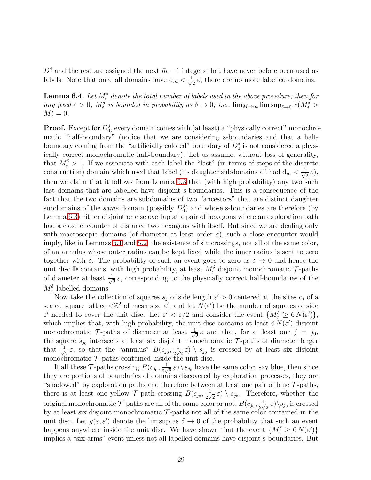<span id="page-28-0"></span> $\tilde{D}^{\delta}$  and the rest are assigned the next  $\tilde{m} - 1$  integers that have never before been used as labels. Note that once all domains have  $d_m < \frac{1}{\sqrt{2}}$  $\frac{1}{2}\varepsilon$ , there are no more labelled domains.

**Lemma 6.4.** Let  $M_{\varepsilon}^{\delta}$  denote the total number of labels used in the above procedure; then for  $\lim_{M \to \infty} \frac{d}{dx} \varepsilon > 0$ ,  $M_{\varepsilon}^{\delta}$  is bounded in probability as  $\delta \to 0$ ; i.e.,  $\lim_{M \to \infty} \limsup_{\delta \to 0} \mathbb{P}(M_{\varepsilon}^{\delta} > 0)$  $M$ ) = 0.

**Proof.** Except for  $D_0^{\delta}$ , every domain comes with (at least) a "physically correct" monochromatic "half-boundary" (notice that we are considering s-boundaries and that a halfboundary coming from the "artificially colored" boundary of  $D_0^{\delta}$  is not considered a physically correct monochromatic half-boundary). Let us assume, without loss of generality, that  $M_{\varepsilon}^{\delta} > 1$ . If we associate with each label the "last" (in terms of steps of the discrete construction) domain which used that label (its daughter subdomains all had  $d_m < \frac{1}{\sqrt{n}}$  $\frac{1}{2}$   $\varepsilon$ ), then we claim that it follows from Lemma [6.3](#page-27-0) that (with high probability) any two such last domains that are labelled have disjoint s-boundaries. This is a consequence of the fact that the two domains are subdomains of two "ancestors" that are distinct daughter subdomains of the *same* domain (possibly  $D_0^{\delta}$ ) and whose s-boundaries are therefore (by Lemma [6.3\)](#page-27-0) either disjoint or else overlap at a pair of hexagons where an exploration path had a close encounter of distance two hexagons with itself. But since we are dealing only with macroscopic domains (of diameter at least order  $\varepsilon$ ), such a close encounter would imply, like in Lemmas [5.1](#page-17-0) and [5.2,](#page-17-1) the existence of six crossings, not all of the same color, of an annulus whose outer radius can be kept fixed while the inner radius is sent to zero together with  $\delta$ . The probability of such an event goes to zero as  $\delta \to 0$  and hence the unit disc  $\mathbb D$  contains, with high probability, at least  $M_{\varepsilon}^{\delta}$  disjoint monochromatic  $\mathcal T$ -paths of diameter at least  $\frac{1}{\sqrt{2}}$  $\frac{1}{2}\varepsilon$ , corresponding to the physically correct half-boundaries of the  $M_{\varepsilon}^{\delta}$  labelled domains.

Now take the collection of squares  $s_j$  of side length  $\varepsilon' > 0$  centered at the sites  $c_j$  of a scaled square lattice  $\varepsilon' \mathbb{Z}^2$  of mesh size  $\varepsilon'$ , and let  $N(\varepsilon')$  be the number of squares of side  $\varepsilon'$  needed to cover the unit disc. Let  $\varepsilon' < \varepsilon/2$  and consider the event  $\{M_{\varepsilon}^{\delta} \geq 6 N(\varepsilon')\},\$ which implies that, with high probability, the unit disc contains at least  $6 N(\epsilon')$  disjoint monochromatic  $\mathcal{T}$ -paths of diameter at least  $\frac{1}{\sqrt{2}}$  $\frac{1}{2} \varepsilon$  and that, for at least one  $j = j_0$ , the square  $s_{j_0}$  intersects at least six disjoint monochromatic  $\mathcal{T}$ -paths of diameter larger that  $\frac{1}{\sqrt{2}}$  $\frac{1}{2}\varepsilon$ , so that the "annulus"  $B(c_{j_0}, \frac{1}{2y})$  $\frac{1}{2\sqrt{2}}\epsilon$   $\setminus$   $s_{j_0}$  is crossed by at least six disjoint monochromatic  $\mathcal{T}$ -paths contained inside the unit disc.

If all these  $\mathcal{T}$ -paths crossing  $B(c_{j_0}, \frac{1}{2\sqrt{N}})$  $(\frac{1}{2\sqrt{2}}\varepsilon)\setminus s_{j_0}$  have the same color, say blue, then since they are portions of boundaries of domains discovered by exploration processes, they are "shadowed" by exploration paths and therefore between at least one pair of blue  $\mathcal{T}$ -paths, there is at least one yellow  $\mathcal{T}$ -path crossing  $B(c_{j_0}, \frac{1}{2\sqrt{N}})$  $\frac{1}{2\sqrt{2}}\epsilon$   $\setminus$   $s_{j_0}$ . Therefore, whether the original monochromatic  ${\cal T}$ -paths are all of the same color or not,  $B(c_{j_0}, \frac{1}{2\sqrt{N}})$  $\frac{1}{2\sqrt{2}}\epsilon)$  \s<sub>j0</sub> is crossed by at least six disjoint monochromatic  $\mathcal{T}$ -paths not all of the same color contained in the unit disc. Let  $g(\varepsilon, \varepsilon')$  denote the lim sup as  $\delta \to 0$  of the probability that such an event happens anywhere inside the unit disc. We have shown that the event  ${M_{\varepsilon}^{\delta} \ge 6 N(\varepsilon') }$ implies a "six-arms" event unless not all labelled domains have disjoint s-boundaries. But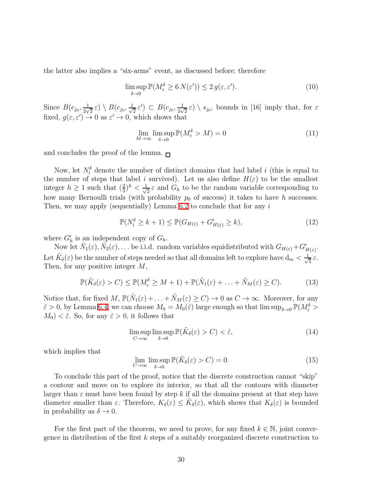the latter also implies a "six-arms" event, as discussed before; therefore

$$
\limsup_{\delta \to 0} \mathbb{P}(M_{\varepsilon}^{\delta} \ge 6 N(\varepsilon')) \le 2 g(\varepsilon, \varepsilon'). \tag{10}
$$

Since  $B(c_{j_0}, \frac{1}{2\sqrt{2}})$  $\frac{1}{2\sqrt{2}}\,\varepsilon)\setminus B(c_{j_0},\frac{1}{\sqrt{2}})$  $(\frac{1}{2} \varepsilon') \subset B(c_{j_0}, \frac{1}{2\sqrt{j_0}})$  $\frac{1}{2\sqrt{2}}\epsilon$   $\setminus$   $s_{j_0}$ , bounds in [16] imply that, for  $\epsilon$ fixed,  $g(\varepsilon, \varepsilon') \to 0$  as  $\varepsilon' \to 0$ , which shows that

$$
\lim_{M \to \infty} \limsup_{\delta \to 0} \mathbb{P}(M_{\varepsilon}^{\delta} > M) = 0
$$
\n(11)

and concludes the proof of the lemma.  $\Box$ 

Now, let  $N_i^{\delta}$  denote the number of distinct domains that had label i (this is equal to the number of steps that label i survived). Let us also define  $H(\varepsilon)$  to be the smallest integer  $h \geq 1$  such that  $(\frac{2}{3})^h < \frac{1}{\sqrt{2}}$  $\frac{1}{2} \varepsilon$  and  $G_h$  to be the random variable corresponding to how many Bernoulli trials (with probability  $p_0$  of success) it takes to have h successes. Then, we may apply (sequentially) Lemma [6.2](#page-26-1) to conclude that for any  $i$ 

$$
\mathbb{P}(N_i^{\delta} \ge k+1) \le \mathbb{P}(G_{H(\varepsilon)} + G'_{H(\varepsilon)} \ge k),\tag{12}
$$

where  $G'_{h}$  is an independent copy of  $G_{h}$ .

Now let  $\tilde{N}_1(\varepsilon), \tilde{N}_2(\varepsilon), \ldots$  be i.i.d. random variables equidistributed with  $G_{H(\varepsilon)} + G'_{H(\varepsilon)}$ . Let  $\tilde{K}_\delta(\varepsilon)$  be the number of steps needed so that all domains left to explore have  $d_m < \frac{1}{\sqrt{\delta}}$  $\frac{1}{2}$   $\varepsilon$ . Then, for any positive integer M,

$$
\mathbb{P}(\tilde{K}_{\delta}(\varepsilon) > C) \le \mathbb{P}(M_{\varepsilon}^{\delta} \ge M + 1) + \mathbb{P}(\tilde{N}_1(\varepsilon) + \dots + \tilde{N}_M(\varepsilon) \ge C). \tag{13}
$$

Notice that, for fixed  $M$ ,  $\mathbb{P}(\tilde{N}_1(\varepsilon) + \ldots + \tilde{N}_M(\varepsilon) \ge C) \to 0$  as  $C \to \infty$ . Moreover, for any  $\hat{\varepsilon} > 0$ , by Lemma [6.4,](#page-28-0) we can choose  $M_0 = M_0(\hat{\varepsilon})$  large enough so that  $\limsup_{\delta \to 0} \mathbb{P}(M_{\varepsilon}^{\delta} >$  $M_0$ )  $< \hat{\varepsilon}$ . So, for any  $\hat{\varepsilon} > 0$ , it follows that

$$
\limsup_{C \to \infty} \limsup_{\delta \to 0} \mathbb{P}(\tilde{K}_{\delta}(\varepsilon) > C) < \hat{\varepsilon},\tag{14}
$$

which implies that

$$
\lim_{C \to \infty} \limsup_{\delta \to 0} \mathbb{P}(\tilde{K}_{\delta}(\varepsilon) > C) = 0.
$$
\n(15)

To conclude this part of the proof, notice that the discrete construction cannot "skip" a contour and move on to explore its interior, so that all the contours with diameter larger than  $\varepsilon$  must have been found by step k if all the domains present at that step have diameter smaller than  $\varepsilon$ . Therefore,  $K_{\delta}(\varepsilon) \leq \tilde{K}_{\delta}(\varepsilon)$ , which shows that  $K_{\delta}(\varepsilon)$  is bounded in probability as  $\delta \to 0$ .

For the first part of the theorem, we need to prove, for any fixed  $k \in \mathbb{N}$ , joint convergence in distribution of the first  $k$  steps of a suitably reorganized discrete construction to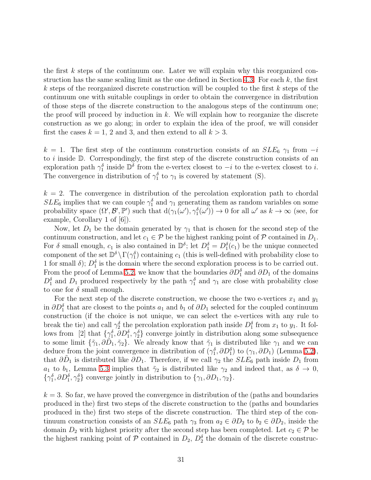the first k steps of the continuum one. Later we will explain why this reorganized con-struction has the same scaling limit as the one defined in Section [4.3.](#page-14-0) For each  $k$ , the first k steps of the reorganized discrete construction will be coupled to the first  $k$  steps of the continuum one with suitable couplings in order to obtain the convergence in distribution of those steps of the discrete construction to the analogous steps of the continuum one; the proof will proceed by induction in  $k$ . We will explain how to reorganize the discrete construction as we go along; in order to explain the idea of the proof, we will consider first the cases  $k = 1, 2$  and 3, and then extend to all  $k > 3$ .

k = 1. The first step of the continuum construction consists of an  $SLE_6$   $\gamma_1$  from  $-i$ to  $i$  inside  $D$ . Correspondingly, the first step of the discrete construction consists of an exploration path  $\gamma_1^{\delta}$  inside  $\mathbb{D}^{\delta}$  from the e-vertex closest to  $-i$  to the e-vertex closest to i. The convergence in distribution of  $\gamma_1^{\delta}$  to  $\gamma_1$  is covered by statement (S).

 $k = 2$ . The convergence in distribution of the percolation exploration path to chordal  $SLE_6$  implies that we can couple  $\gamma_1^{\delta}$  and  $\gamma_1$  generating them as random variables on some probability space  $(\Omega', \mathcal{B}', \mathbb{P}')$  such that  $d(\gamma_1(\omega'), \gamma_1(\omega')) \to 0$  for all  $\omega'$  as  $k \to \infty$  (see, for example, Corollary 1 of [6]).

Now, let  $D_1$  be the domain generated by  $\gamma_1$  that is chosen for the second step of the continuum construction, and let  $c_1 \in \mathcal{P}$  be the highest ranking point of  $\mathcal P$  contained in  $D_1$ . For  $\delta$  small enough,  $c_1$  is also contained in  $\mathbb{D}^{\delta}$ ; let  $D_1^{\delta} = D_1^{\delta}(c_1)$  be the unique connected component of the set  $\mathbb{D}^{\delta} \setminus \Gamma(\gamma_1^{\delta})$  containing  $c_1$  (this is well-defined with probability close to 1 for small  $\delta$ );  $D_1^{\delta}$  is the domain where the second exploration process is to be carried out. From the proof of Lemma [5.2,](#page-17-1) we know that the boundaries  $\partial D_1^{\delta}$  and  $\partial D_1$  of the domains  $D_1^{\delta}$  and  $D_1$  produced respectively by the path  $\gamma_1^{\delta}$  and  $\gamma_1$  are close with probability close to one for  $\delta$  small enough.

For the next step of the discrete construction, we choose the two e-vertices  $x_1$  and  $y_1$ in  $\partial D_1^{\delta}$  that are closest to the points  $a_1$  and  $b_1$  of  $\partial D_1$  selected for the coupled continuum construction (if the choice is not unique, we can select the e-vertices with any rule to break the tie) and call  $\gamma_2^{\delta}$  the percolation exploration path inside  $D_1^{\delta}$  from  $x_1$  to  $y_1$ . It follows from [2] that  $\{\gamma_1^{\delta}, \partial D_1^{\delta}, \gamma_2^{\delta}\}$  converge jointly in distribution along some subsequence to some limit  $\{\tilde{\gamma}_1, \partial \tilde{D}_1, \tilde{\gamma}_2\}$ . We already know that  $\tilde{\gamma}_1$  is distributed like  $\gamma_1$  and we can deduce from the joint convergence in distribution of  $(\gamma_1^{\delta}, \partial D_1^{\delta})$  to  $(\gamma_1, \partial D_1)$  (Lemma [5.2\)](#page-17-1), that  $\partial \tilde{D}_1$  is distributed like  $\partial D_1$ . Therefore, if we call  $\gamma_2$  the  $SLE_6$  path inside  $D_1$  from  $a_1$  to  $b_1$ , Lemma [5.3](#page-18-2) implies that  $\tilde{\gamma}_2$  is distributed like  $\gamma_2$  and indeed that, as  $\delta \to 0$ ,  $\{\gamma_1^{\delta}, \partial D_1^{\delta}, \gamma_2^{\delta}\}\)$  converge jointly in distribution to  $\{\gamma_1, \partial D_1, \gamma_2\}.$ 

 $k = 3$ . So far, we have proved the convergence in distribution of the (paths and boundaries produced in the) first two steps of the discrete construction to the (paths and boundaries produced in the) first two steps of the discrete construction. The third step of the continuum construction consists of an  $SLE_6$  path  $\gamma_3$  from  $a_2 \in \partial D_2$  to  $b_2 \in \partial D_2$ , inside the domain  $D_2$  with highest priority after the second step has been completed. Let  $c_2 \in \mathcal{P}$  be the highest ranking point of  $P$  contained in  $D_2$ ,  $D_2^{\delta}$  the domain of the discrete construc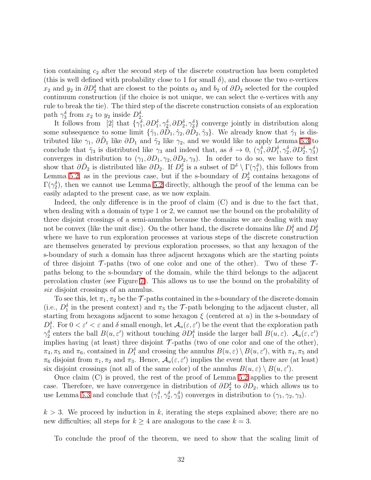tion containing  $c_2$  after the second step of the discrete construction has been completed (this is well defined with probability close to 1 for small  $\delta$ ), and choose the two e-vertices  $x_2$  and  $y_2$  in  $\partial D_2^{\delta}$  that are closest to the points  $a_2$  and  $b_2$  of  $\partial D_2$  selected for the coupled continuum construction (if the choice is not unique, we can select the e-vertices with any rule to break the tie). The third step of the discrete construction consists of an exploration path  $\gamma_3^{\delta}$  from  $x_2$  to  $y_2$  inside  $D_2^{\delta}$ .

It follows from [2] that  $\{\gamma_1^{\delta}, \partial D_1^{\delta}, \gamma_2^{\delta}, \partial D_2^{\delta}, \gamma_3^{\delta}\}\)$  converge jointly in distribution along some subsequence to some limit  $\{\tilde{\gamma}_1, \partial \tilde{D}_1, \tilde{\gamma}_2, \partial \tilde{D}_2, \tilde{\gamma}_3\}$ . We already know that  $\tilde{\gamma}_1$  is distributed like  $\gamma_1$ ,  $\partial \tilde{D}_1$  like  $\partial D_1$  and  $\tilde{\gamma}_2$  like  $\gamma_2$ , and we would like to apply Lemma [5.3](#page-18-2) to conclude that  $\tilde{\gamma}_3$  is distributed like  $\gamma_3$  and indeed that, as  $\delta \to 0$ ,  $(\gamma_1^{\delta}, \partial D_1^{\delta}, \gamma_2^{\delta}, \partial D_2^{\delta}, \gamma_3^{\delta})$ converges in distribution to  $(\gamma_1, \partial D_1, \gamma_2, \partial D_2, \gamma_3)$ . In order to do so, we have to first show that  $\partial \tilde{D}_2$  is distributed like  $\partial D_2$ . If  $D_2^{\delta}$  is a subset of  $\mathbb{D}^{\delta} \setminus \Gamma(\gamma_1^{\delta})$ , this follows from Lemma [5.2,](#page-17-1) as in the previous case, but if the s-boundary of  $D_2^{\delta}$  contains hexagons of  $\Gamma(\gamma_2^{\delta})$ , then we cannot use Lemma [5.2](#page-17-1) directly, although the proof of the lemma can be easily adapted to the present case, as we now explain.

Indeed, the only difference is in the proof of claim  $(C)$  and is due to the fact that, when dealing with a domain of type 1 or 2, we cannot use the bound on the probability of three disjoint crossings of a semi-annulus because the domains we are dealing with may not be convex (like the unit disc). On the other hand, the discrete domains like  $D_1^{\delta}$  and  $D_2^{\delta}$ where we have to run exploration processes at various steps of the discrete construction are themselves generated by previous exploration processes, so that any hexagon of the s-boundary of such a domain has three adjacent hexagons which are the starting points of three disjoint  $\mathcal{T}$ -paths (two of one color and one of the other). Two of these  $\mathcal{T}$ paths belong to the s-boundary of the domain, while the third belongs to the adjacent percolation cluster (see Figure [7\)](#page-32-0). This allows us to use the bound on the probability of *six* disjoint crossings of an annulus.

To see this, let  $\pi_1, \pi_2$  be the  $\mathcal T$ -paths contained in the s-boundary of the discrete domain (i.e.,  $D_1^{\delta}$  in the present context) and  $\pi_3$  the  $\mathcal{T}$ -path belonging to the adjacent cluster, all starting from hexagons adjacent to some hexagon  $\xi$  (centered at u) in the s-boundary of  $D_1^{\delta}$ . For  $0 < \varepsilon' < \varepsilon$  and  $\delta$  small enough, let  $\mathcal{A}_u(\varepsilon, \varepsilon')$  be the event that the exploration path  $\gamma_2^{\delta}$  enters the ball  $B(u,\varepsilon')$  without touching  $\partial D_1^{\delta}$  inside the larger ball  $B(u,\varepsilon)$ .  $\mathcal{A}_u(\varepsilon,\varepsilon')$ implies having (at least) three disjoint  $\mathcal{T}\text{-paths}$  (two of one color and one of the other),  $\pi_4$ ,  $\pi_5$  and  $\pi_6$ , contained in  $D_1^{\delta}$  and crossing the annulus  $B(u,\varepsilon) \setminus B(u,\varepsilon')$ , with  $\pi_4$ ,  $\pi_5$  and  $\pi_6$  disjoint from  $\pi_1, \pi_2$  and  $\pi_3$ . Hence,  $\mathcal{A}_u(\varepsilon, \varepsilon')$  implies the event that there are (at least) six disjoint crossings (not all of the same color) of the annulus  $B(u, \varepsilon) \setminus B(u, \varepsilon')$ .

Once claim (C) is proved, the rest of the proof of Lemma [5.2](#page-17-1) applies to the present case. Therefore, we have convergence in distribution of  $\partial D_2^{\delta}$  to  $\partial D_2$ , which allows us to use Lemma [5.3](#page-18-2) and conclude that  $(\gamma_1^{\delta}, \gamma_2^{\delta}, \gamma_3^{\delta})$  converges in distribution to  $(\gamma_1, \gamma_2, \gamma_3)$ .

 $k > 3$ . We proceed by induction in k, iterating the steps explained above; there are no new difficulties; all steps for  $k \geq 4$  are analogous to the case  $k = 3$ .

To conclude the proof of the theorem, we need to show that the scaling limit of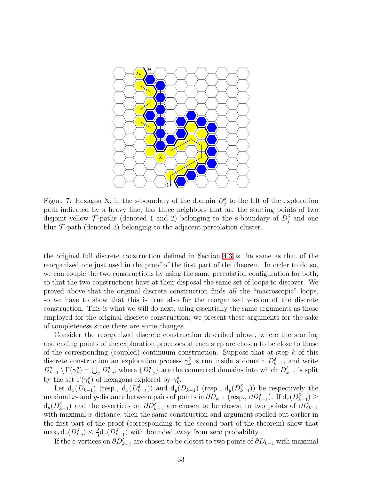

<span id="page-32-0"></span>Figure 7: Hexagon X, in the s-boundary of the domain  $D_j^{\delta}$  to the left of the exploration path indicated by a heavy line, has three neighbors that are the starting points of two disjoint yellow  $\mathcal{T}$ -paths (denoted 1 and 2) belonging to the s-boundary of  $D_j^{\delta}$  and one blue  $\mathcal{T}$ -path (denoted 3) belonging to the adjacent percolation cluster.

the original full discrete construction defined in Section [4.3](#page-14-0) is the same as that of the reorganized one just used in the proof of the first part of the theorem. In order to do so, we can couple the two constructions by using the same percolation configuration for both, so that the two constructions have at their disposal the same set of loops to discover. We proved above that the original discrete construction finds *all* the "macroscopic" loops, so we have to show that this is true also for the reorganized version of the discrete construction. This is what we will do next, using essentially the same arguments as those employed for the original discrete construction; we present these arguments for the sake of completeness since there are some changes.

Consider the reorganized discrete construction described above, where the starting and ending points of the exploration processes at each step are chosen to be close to those of the corresponding (coupled) continuum construction. Suppose that at step  $k$  of this discrete construction an exploration process  $\gamma_k^{\delta}$  is run inside a domain  $D_{k-1}^{\delta}$ , and write  $D_{k-1}^{\delta} \setminus \Gamma(\gamma_k^{\delta}) = \bigcup_j D_{k,j}^{\delta}$ , where  $\{D_{k,j}^{\delta}\}\$ are the connected domains into which  $D_{k-1}^{\delta}$  is split by the set  $\Gamma(\gamma_k^{\delta})$  of hexagons explored by  $\gamma_k^{\delta}$ .

Let  $d_x(D_{k-1})$  (resp.,  $d_x(D_{k-1}^{\delta})$ ) and  $d_y(D_{k-1})$  (resp.,  $d_y(D_{k-1}^{\delta})$ ) be respectively the maximal x- and y-distance between pairs of points in  $\partial D_{k-1}$  (resp.,  $\partial D_{k-1}^{\delta}$ ). If  $d_x(D_{k-1}^{\delta}) \ge$  $d_y(D_{k-1}^{\delta})$  and the e-vertices on  $\partial D_{k-1}^{\delta}$  are chosen to be closest to two points of  $\partial D_{k-1}$ with maximal  $x$ -distance, then the same construction and argument spelled out earlier in the first part of the proof (corresponding to the second part of the theorem) show that  $\max_j \mathrm{d}_x(D_{k,j}^{\delta}) \leq \frac{2}{3}$  $\frac{2}{3}d_x(D_{k-1}^{\delta})$  with bounded away from zero probability.

If the e-vertices on  $\partial D_{k-1}^{\delta}$  are chosen to be closest to two points of  $\partial D_{k-1}$  with maximal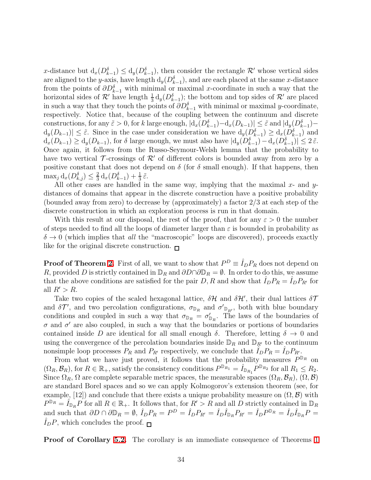x-distance but  $d_x(D_{k-1}^{\delta}) \leq d_y(D_{k-1}^{\delta})$ , then consider the rectangle  $\mathcal{R}'$  whose vertical sides x−ustance but  $a_x(D_{k-1}) \le a_y(D_{k-1})$ , then consider the rectangle  $\Lambda$  whose vertical sides<br>are aligned to the y-axis, have length  $d_y(D_{k-1}^{\delta})$ , and are each placed at the same x-distance from the points of  $\partial D_{k-1}^{\delta}$  with minimal or maximal x-coordinate in such a way that the horizontal sides of  $\mathcal{R}'$  have length  $\frac{1}{3} d_y(D_{k-1}^{\delta})$ ; the bottom and top sides of  $\mathcal{R}'$  are placed in such a way that they touch the points of  $\partial D_{k-1}^{\delta}$  with minimal or maximal y-coordinate, respectively. Notice that, because of the coupling between the continuum and discrete constructions, for any  $\tilde{\varepsilon} > 0$ , for k large enough,  $|d_x(D_{k-1}^{\delta}) - d_x(D_{k-1})| \leq \tilde{\varepsilon}$  and  $|d_y(D_{k-1}^{\delta}) - d_x(D_{k-1}^{\delta})|$  $d_y(D_{k-1}) \leq \tilde{\varepsilon}$ . Since in the case under consideration we have  $d_y(D_{k-1}^{\delta}) \geq d_x(D_{k-1}^{\delta})$  and  $d_x(D_{k-1}) \ge d_y(D_{k-1}),$  for  $\delta$  large enough, we must also have  $|d_y(D_{k-1}^{\delta}) - d_x(D_{k-1}^{\delta})| \le 2 \tilde{\varepsilon}.$ Once again, it follows from the Russo-Seymour-Welsh lemma that the probability to have two vertical  $\mathcal T$ -crossings of  $\mathcal R'$  of different colors is bounded away from zero by a positive constant that does not depend on  $\delta$  (for  $\delta$  small enough). If that happens, then  $\max_j \mathrm{d}_x(D_{k,j}^{\delta}) \leq \frac{2}{3}$  $\frac{2}{3}d_x(D_{k-1}^{\delta})+\frac{1}{3}\tilde{\varepsilon}.$ 

All other cases are handled in the same way, implying that the maximal  $x$ - and  $y$ distances of domains that appear in the discrete construction have a positive probability (bounded away from zero) to decrease by (approximately) a factor 2/3 at each step of the discrete construction in which an exploration process is run in that domain.

With this result at our disposal, the rest of the proof, that for any  $\varepsilon > 0$  the number of steps needed to find all the loops of diameter larger than  $\varepsilon$  is bounded in probability as  $\delta \rightarrow 0$  (which implies that *all* the "macroscopic" loops are discovered), proceeds exactly like for the original discrete construction.  $\Box$ 

**Proof of Theorem [2.](#page-19-0)** First of all, we want to show that  $P^D \equiv \hat{I}_D P_R$  does not depend on R, provided D is strictly contained in  $\mathbb{D}_R$  and  $\partial D \cap \partial \mathbb{D}_R = \emptyset$ . In order to do this, we assume that the above conditions are satisfied for the pair D, R and show that  $I_D P_R = I_D P_{R'}$  for all  $R' > R$ .

Take two copies of the scaled hexagonal lattice,  $\delta \mathcal{H}$  and  $\delta \mathcal{H}'$ , their dual lattices  $\delta \mathcal{T}$ and  $\delta \mathcal{T}'$ , and two percolation configurations,  $\sigma_{\mathbb{D}_R}$  and  $\sigma'_{\mathbb{D}_{R'}}$ , both with blue boundary conditions and coupled in such a way that  $\sigma_{\mathbb{D}_R} = \sigma'_{\mathbb{D}_R}$ . The laws of the boundaries of  $\sigma$  and  $\sigma'$  are also coupled, in such a way that the boundaries or portions of boundaries contained inside D are identical for all small enough  $\delta$ . Therefore, letting  $\delta \to 0$  and using the convergence of the percolation boundaries inside  $\mathbb{D}_R$  and  $\mathbb{D}_{R'}$  to the continuum nonsimple loop processes  $P_R$  and  $P_{R'}$  respectively, we conclude that  $\hat{I}_D P_R = \hat{I}_D P_{R'}$ .

From what we have just proved, it follows that the probability measures  $P^{\mathbb{D}_R}$  on  $(\Omega_R, \mathcal{B}_R)$ , for  $R \in \mathbb{R}_+$ , satisfy the consistency conditions  $P^{\mathbb{D}_{R_1}} = \hat{I}_{\mathbb{D}_{R_1}} P^{\mathbb{D}_{R_2}}$  for all  $R_1 \leq R_2$ . Since  $\Omega_R$ ,  $\Omega$  are complete separable metric spaces, the measurable spaces  $(\Omega_R, \mathcal{B}_R)$ ,  $(\Omega, \mathcal{B})$ are standard Borel spaces and so we can apply Kolmogorov's extension theorem (see, for example, [12]) and conclude that there exists a unique probability measure on  $(\Omega, \mathcal{B})$  with  $P^{\mathbb{D}_R} = \hat{I}_{\mathbb{D}_R} P$  for all  $R \in \mathbb{R}_+$ . It follows that, for  $R' > R$  and all D strictly contained in  $\mathbb{D}_R$ and such that  $\partial D \cap \partial \mathbb{D}_R = \emptyset$ ,  $\hat{I}_D P_R = P^D = \hat{I}_D P_{R'} = \hat{I}_D \hat{I}_{\mathbb{D}_R} P_R = \hat{I}_D P^{\mathbb{D}_R} = \hat{I}_D \hat{I}_{\mathbb{D}_R} P =$  $I_D P$ , which concludes the proof.  $\Box$ 

Proof of Corollary [5.2.](#page-19-1) The corollary is an immediate consequence of Theorems [1](#page-18-1)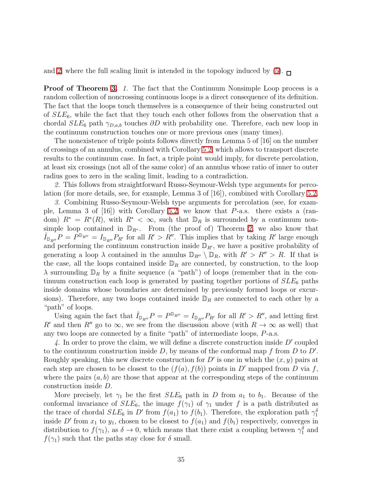and [2,](#page-19-0) where the full scaling limit is intended in the topology induced by  $(5)$ .

**Proof of Theorem [3.](#page-19-2)** 1. The fact that the Continuum Nonsimple Loop process is a random collection of noncrossing continuous loops is a direct consequence of its definition. The fact that the loops touch themselves is a consequence of their being constructed out of  $SLE_6$ , while the fact that they touch each other follows from the observation that a chordal  $SLE_6$  path  $\gamma_{D,a,b}$  touches  $\partial D$  with probability one. Therefore, each new loop in the continuum construction touches one or more previous ones (many times).

The nonexistence of triple points follows directly from Lemma 5 of [16] on the number of crossings of an annulus, combined with Corollary [5.2,](#page-19-1) which allows to transport discrete results to the continuum case. In fact, a triple point would imply, for discrete percolation, at least six crossings (not all of the same color) of an annulus whose ratio of inner to outer radius goes to zero in the scaling limit, leading to a contradiction.

*2.* This follows from straightforward Russo-Seymour-Welsh type arguments for percolation (for more details, see, for example, Lemma 3 of [16]), combined with Corollary [5.2.](#page-19-1)

*3.* Combining Russo-Seymour-Welsh type arguments for percolation (see, for example, Lemma 3 of  $(16)$ ) with Corollary [5.2,](#page-19-1) we know that P-a.s. there exists a (random)  $R^* = R^*(R)$ , with  $R^* < \infty$ , such that  $\mathbb{D}_R$  is surrounded by a continuum nonsimple loop contained in  $\mathbb{D}_{R^*}$ . From (the proof of) Theorem [2,](#page-19-0) we also know that  $\hat{I}_{\mathbb{D}_{R''}}P = P^{\mathbb{D}_{R''}} = I_{\mathbb{D}_{R''}}P_{R'}$  for all  $R' > R''$ . This implies that by taking R' large enough and performing the continuum construction inside  $\mathbb{D}_{R'}$ , we have a positive probability of generating a loop  $\lambda$  contained in the annulus  $\mathbb{D}_{R''} \setminus \mathbb{D}_R$ , with  $R' > R'' > R$ . If that is the case, all the loops contained inside  $\mathbb{D}_R$  are connected, by construction, to the loop  $\lambda$  surrounding  $\mathbb{D}_R$  by a finite sequence (a "path") of loops (remember that in the continuum construction each loop is generated by pasting together portions of  $SLE_6$  paths inside domains whose boundaries are determined by previously formed loops or excursions). Therefore, any two loops contained inside  $\mathbb{D}_R$  are connected to each other by a "path" of loops.

Using again the fact that  $\hat{I}_{\mathbb{D}_{R''}}P = P^{\mathbb{D}_{R''}} = I_{\mathbb{D}_{R''}}P_{R'}$  for all  $R' > R''$ , and letting first R' and then R'' go to  $\infty$ , we see from the discussion above (with  $R \to \infty$  as well) that any two loops are connected by a finite "path" of intermediate loops,  $P$ -a.s.

4. In order to prove the claim, we will define a discrete construction inside D' coupled to the continuum construction inside  $D$ , by means of the conformal map f from  $D$  to  $D'$ . Roughly speaking, this new discrete construction for  $D'$  is one in which the  $(x, y)$  pairs at each step are chosen to be closest to the  $(f(a), f(b))$  points in D' mapped from D via f, where the pairs  $(a, b)$  are those that appear at the corresponding steps of the continuum construction inside D.

More precisely, let  $\gamma_1$  be the first  $SLE_6$  path in D from  $a_1$  to  $b_1$ . Because of the conformal invariance of  $SLE_6$ , the image  $f(\gamma_1)$  of  $\gamma_1$  under f is a path distributed as the trace of chordal  $SLE_6$  in D' from  $f(a_1)$  to  $f(b_1)$ . Therefore, the exploration path  $\gamma_1^{\delta}$ inside D' from  $x_1$  to  $y_1$ , chosen to be closest to  $f(a_1)$  and  $f(b_1)$  respectively, converges in distribution to  $f(\gamma_1)$ , as  $\delta \to 0$ , which means that there exist a coupling between  $\gamma_1^{\delta}$  and  $f(\gamma_1)$  such that the paths stay close for  $\delta$  small.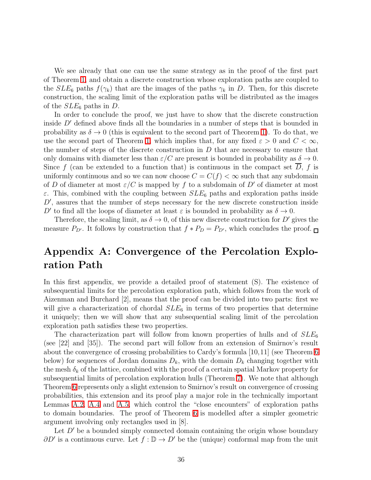We see already that one can use the same strategy as in the proof of the first part of Theorem [1,](#page-18-1) and obtain a discrete construction whose exploration paths are coupled to the  $SLE_6$  paths  $f(\gamma_k)$  that are the images of the paths  $\gamma_k$  in D. Then, for this discrete construction, the scaling limit of the exploration paths will be distributed as the images of the  $SLE_6$  paths in D.

In order to conclude the proof, we just have to show that the discrete construction inside  $D'$  defined above finds all the boundaries in a number of steps that is bounded in probability as  $\delta \to 0$  (this is equivalent to the second part of Theorem [1\)](#page-18-1). To do that, we use the second part of Theorem [1,](#page-18-1) which implies that, for any fixed  $\varepsilon > 0$  and  $C < \infty$ , the number of steps of the discrete construction in  $D$  that are necessary to ensure that only domains with diameter less than  $\varepsilon/C$  are present is bounded in probability as  $\delta \to 0$ . Since  $f$  (can be extended to a function that) is continuous in the compact set  $D$ ,  $f$  is uniformly continuous and so we can now choose  $C = C(f) < \infty$  such that any subdomain of D of diameter at most  $\varepsilon/C$  is mapped by f to a subdomain of D' of diameter at most  $\varepsilon$ . This, combined with the coupling between  $SLE_6$  paths and exploration paths inside D', assures that the number of steps necessary for the new discrete construction inside D' to find all the loops of diameter at least  $\varepsilon$  is bounded in probability as  $\delta \to 0$ .

Therefore, the scaling limit, as  $\delta \to 0$ , of this new discrete construction for D' gives the measure  $P_{D'}$ . It follows by construction that  $f * P_D = P_{D'}$ , which concludes the proof.

## Appendix A: Convergence of the Percolation Exploration Path

<span id="page-35-0"></span>In this first appendix, we provide a detailed proof of statement (S). The existence of subsequential limits for the percolation exploration path, which follows from the work of Aizenman and Burchard [2], means that the proof can be divided into two parts: first we will give a characterization of chordal  $SLE_6$  in terms of two properties that determine it uniquely; then we will show that any subsequential scaling limit of the percolation exploration path satisfies these two properties.

The characterization part will follow from known properties of hulls and of  $SLE_6$ (see [22] and [35]). The second part will follow from an extension of Smirnov's result about the convergence of crossing probabilities to Cardy's formula [10,11] (see Theorem [6](#page-42-0) below) for sequences of Jordan domains  $D_k$ , with the domain  $D_k$  changing together with the mesh  $\delta_k$  of the lattice, combined with the proof of a certain spatial Markov property for subsequential limits of percolation exploration hulls (Theorem [7\)](#page-48-0). We note that although Theorem [6](#page-42-0) represents only a slight extension to Smirnov's result on convergence of crossing probabilities, this extension and its proof play a major role in the technically important Lemmas [A.2,](#page-53-0) [A.4](#page-54-1) and [A.5,](#page-55-0) which control the "close encounters" of exploration paths to domain boundaries. The proof of Theorem [6](#page-42-0) is modelled after a simpler geometric argument involving only rectangles used in [8].

Let  $D'$  be a bounded simply connected domain containing the origin whose boundary  $\partial D'$  is a continuous curve. Let  $f: \mathbb{D} \to D'$  be the (unique) conformal map from the unit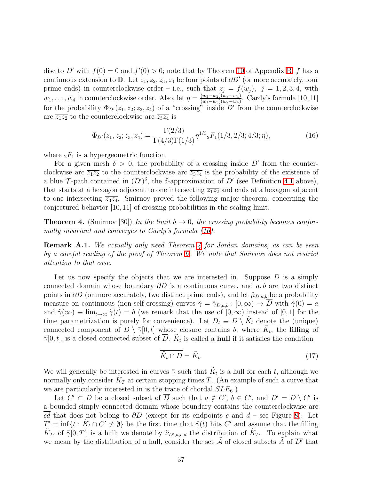disc to D' with  $f(0) = 0$  and  $f'(0) > 0$ ; note that by Theorem [10](#page-60-0) of Appendix [B,](#page-59-0) f has a continuous extension to  $\overline{\mathbb{D}}$ . Let  $z_1, z_2, z_3, z_4$  be four points of  $\partial D'$  (or more accurately, four prime ends) in counterclockwise order – i.e., such that  $z_j = f(w_j)$ ,  $j = 1, 2, 3, 4$ , with  $w_1, \ldots, w_4$  in counterclockwise order. Also, let  $\eta = \frac{(w_1 - w_2)(w_3 - w_4)}{(w_1 - w_3)(w_2 - w_4)}$  $\frac{(w_1-w_2)(w_3-w_4)}{(w_1-w_3)(w_2-w_4)}$ . Cardy's formula [10,11] for the probability  $\Phi_{D'}(z_1, z_2; z_3, z_4)$  of a "crossing" inside  $D'$  from the counterclockwise arc  $\overline{z_1z_2}$  to the counterclockwise arc  $\overline{z_3z_4}$  is

<span id="page-36-1"></span>
$$
\Phi_{D'}(z_1, z_2; z_3, z_4) = \frac{\Gamma(2/3)}{\Gamma(4/3)\Gamma(1/3)} \eta^{1/3} {}_2F_1(1/3, 2/3; 4/3; \eta),\tag{16}
$$

where  ${}_2F_1$  is a hypergeometric function.

For a given mesh  $\delta > 0$ , the probability of a crossing inside D' from the counterclockwise arc  $\overline{z_1z_2}$  to the counterclockwise arc  $\overline{z_3z_4}$  is the probability of the existence of a blue  $\mathcal{T}$ -path contained in  $(D')^{\delta}$ , the  $\delta$ -approximation of  $D'$  (see Definition [4.1](#page-12-1) above), that starts at a hexagon adjacent to one intersecting  $\overline{z_1z_2}$  and ends at a hexagon adjacent to one intersecting  $\overline{z_3z_4}$ . Smirnov proved the following major theorem, concerning the conjectured behavior [10, 11] of crossing probabilities in the scaling limit.

<span id="page-36-0"></span>**Theorem 4.** (Smirnov [30]) In the limit  $\delta \to 0$ , the crossing probability becomes confor*mally invariant and converges to Cardy's formula [\(16\)](#page-36-1).*

Remark A.1. *We actually only need Theorem [4](#page-36-0) for Jordan domains, as can be seen by a careful reading of the proof of Theorem [6.](#page-42-0) We note that Smirnov does not restrict attention to that case.*

Let us now specify the objects that we are interested in. Suppose  $D$  is a simply connected domain whose boundary  $\partial D$  is a continuous curve, and a, b are two distinct points in  $\partial D$  (or more accurately, two distinct prime ends), and let  $\tilde{\mu}_{D,a,b}$  be a probability measure on continuous (non-self-crossing) curves  $\tilde{\gamma} = \tilde{\gamma}_{D,a,b} : [0, \infty) \to \overline{D}$  with  $\tilde{\gamma}(0) = a$ and  $\tilde{\gamma}(\infty) \equiv \lim_{t \to \infty} \tilde{\gamma}(t) = b$  (we remark that the use of  $[0, \infty)$  instead of  $[0, 1]$  for the time parametrization is purely for convenience). Let  $D_t \equiv D \setminus \tilde{K}_t$  denote the (unique) connected component of  $D \setminus \tilde{\gamma}[0, t]$  whose closure contains b, where  $\tilde{K}_t$ , the filling of  $\tilde{\gamma}[0,t]$ , is a closed connected subset of  $\overline{D}$ .  $\tilde{K}_t$  is called a **hull** if it satisfies the condition

<span id="page-36-2"></span>
$$
\widetilde{K}_t \cap D = \widetilde{K}_t. \tag{17}
$$

We will generally be interested in curves  $\tilde{\gamma}$  such that  $\tilde{K}_t$  is a hull for each t, although we normally only consider  $\tilde{K}_T$  at certain stopping times T. (An example of such a curve that we are particularly interested in is the trace of chordal  $SLE_6$ .)

Let  $C' \subset D$  be a closed subset of D such that  $a \notin C'$ ,  $b \in C'$ , and  $D' = D \setminus C'$  is a bounded simply connected domain whose boundary contains the counterclockwise arc cd that does not belong to  $\partial D$  (except for its endpoints c and d – see Figure [8\)](#page-37-0). Let  $T' = \inf\{t : \tilde{K}_t \cap C' \neq \emptyset\}$  be the first time that  $\tilde{\gamma}(t)$  hits  $C'$  and assume that the filling  $\tilde{K}_{T'}$  of  $\tilde{\gamma}[0,T']$  is a hull; we denote by  $\tilde{\nu}_{D',a,c,d}$  the distribution of  $\tilde{K}_{T'}$ . To explain what we mean by the distribution of a hull, consider the set  $\tilde{A}$  of closed subsets  $\tilde{A}$  of  $\overline{D'}$  that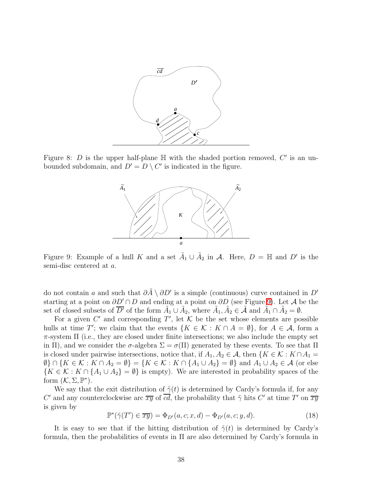

<span id="page-37-0"></span>Figure 8: D is the upper half-plane  $\mathbb H$  with the shaded portion removed,  $C'$  is an unbounded subdomain, and  $D' = D \setminus C'$  is indicated in the figure.



<span id="page-37-1"></span>Figure 9: Example of a hull K and a set  $\tilde{A}_1 \cup \tilde{A}_2$  in A. Here,  $D = \mathbb{H}$  and  $D'$  is the semi-disc centered at a.

do not contain a and such that  $\partial \tilde{A} \setminus \partial D'$  is a simple (continuous) curve contained in D' starting at a point on  $\partial D' \cap D$  and ending at a point on  $\partial D$  (see Figure [9\)](#page-37-1). Let A be the set of closed subsets of  $\overline{D'}$  of the form  $\tilde{A}_1 \cup \tilde{A}_2$ , where  $\tilde{A}_1, \tilde{A}_2 \in \tilde{\mathcal{A}}$  and  $\tilde{A}_1 \cap \tilde{A}_2 = \emptyset$ .

For a given  $C'$  and corresponding  $T'$ , let  $K$  be the set whose elements are possible hulls at time T'; we claim that the events  $\{K \in \mathcal{K} : K \cap A = \emptyset\}$ , for  $A \in \mathcal{A}$ , form a  $\pi$ -system  $\Pi$  (i.e., they are closed under finite intersections; we also include the empty set in Π), and we consider the  $\sigma$ -algebra  $\Sigma = \sigma(\Pi)$  generated by these events. To see that Π is closed under pairwise intersections, notice that, if  $A_1, A_2 \in \mathcal{A}$ , then  $\{K \in \mathcal{K} : K \cap A_1 =$  $\emptyset$ }  $\cap$  { $K \in \mathcal{K} : K \cap A_2 = \emptyset$ } = { $K \in \mathcal{K} : K \cap \{A_1 \cup A_2\} = \emptyset$ } and  $A_1 \cup A_2 \in \mathcal{A}$  (or else  ${K \in \mathcal{K} : K \cap {A_1 \cup A_2} = \emptyset}$  is empty). We are interested in probability spaces of the form  $(K, \Sigma, \mathbb{P}^*).$ 

We say that the exit distribution of  $\tilde{\gamma}(t)$  is determined by Cardy's formula if, for any C' and any counterclockwise arc  $\overline{xy}$  of cd, the probability that  $\tilde{\gamma}$  hits C' at time T' on  $\overline{xy}$ is given by

$$
\mathbb{P}^*(\tilde{\gamma}(T') \in \overline{xy}) = \Phi_{D'}(a, c; x, d) - \Phi_{D'}(a, c; y, d). \tag{18}
$$

It is easy to see that if the hitting distribution of  $\tilde{\gamma}(t)$  is determined by Cardy's formula, then the probabilities of events in  $\Pi$  are also determined by Cardy's formula in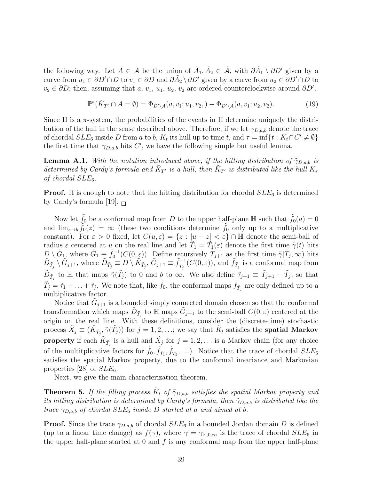the following way. Let  $A \in \mathcal{A}$  be the union of  $\tilde{A}_1, \tilde{A}_2 \in \tilde{\mathcal{A}}$ , with  $\partial \tilde{A}_1 \setminus \partial D'$  given by a curve from  $u_1 \in \partial D' \cap D$  to  $v_1 \in \partial D$  and  $\partial \tilde{A}_2 \setminus \partial D'$  given by a curve from  $u_2 \in \partial D' \cap D$  to  $v_2 \in \partial D$ ; then, assuming that a,  $v_1$ ,  $u_1$ ,  $u_2$ ,  $v_2$  are ordered counterclockwise around  $\partial D'$ ,

$$
\mathbb{P}^*(\tilde{K}_{T'} \cap A = \emptyset) = \Phi_{D' \setminus A}(a, v_1; u_1, v_2, ) - \Phi_{D' \setminus A}(a, v_1; u_2, v_2).
$$
\n(19)

Since  $\Pi$  is a  $\pi$ -system, the probabilities of the events in  $\Pi$  determine uniquely the distribution of the hull in the sense described above. Therefore, if we let  $\gamma_{D,a,b}$  denote the trace of chordal  $SLE_6$  inside D from a to b,  $K_t$  its hull up to time t, and  $\tau = \inf\{t : K_t \cap C' \neq \emptyset\}$ the first time that  $\gamma_{D,a,b}$  hits C', we have the following simple but useful lemma.

<span id="page-38-0"></span>**Lemma A.1.** *With the notation introduced above, if the hitting distribution of*  $\tilde{\gamma}_{DA,b}$  *is determined by Cardy's formula and*  $\tilde{K}_{T'}$  *is a hull, then*  $\tilde{K}_{T'}$  *is distributed like the hull*  $K_{\tau}$ *of chordal* SLE6*.*

**Proof.** It is enough to note that the hitting distribution for chordal  $SLE_6$  is determined by Cardy's formula [19].  $\Box$ 

Now let  $\tilde{f}_0$  be a conformal map from D to the upper half-plane H such that  $\tilde{f}_0(a) = 0$ and  $\lim_{z\to b} \tilde{f}_0(z) = \infty$  (these two conditions determine  $\tilde{f}_0$  only up to a multiplicative constant). For  $\varepsilon > 0$  fixed, let  $C(u, \varepsilon) = \{z : |u - z| < \varepsilon\} \cap \mathbb{H}$  denote the semi-ball of radius  $\varepsilon$  centered at u on the real line and let  $\tilde{T}_1 = \tilde{T}_1(\varepsilon)$  denote the first time  $\tilde{\gamma}(t)$  hits  $D \setminus \tilde{G}_{1}$ , where  $\tilde{G}_1 \equiv \tilde{f}_0^{-1}(C(0,\varepsilon))$ . Define recursively  $\tilde{T}_{j+1}$  as the first time  $\tilde{\gamma}[\tilde{T}_j,\infty)$  hits  $\tilde{D}_{\tilde{T}_j} \setminus \tilde{G}_{j+1}$ , where  $\tilde{D}_{\tilde{T}_j} \equiv D \setminus \tilde{K}_{\tilde{T}_j}, \tilde{G}_{j+1} \equiv \tilde{f}_{\tilde{T}_j}^{-1}(C(0, \varepsilon)),$  and  $\tilde{f}_{\tilde{T}_j}$  is a conformal map from  $\tilde{D}_{\tilde{T}_j}$  to  $\mathbb H$  that maps  $\tilde{\gamma}(\tilde{T}_j)$  to 0 and b to  $\infty$ . We also define  $\tilde{\tau}_{j+1} \equiv \tilde{T}_{j+1} - \tilde{T}_j$ , so that  $\tilde{T}_j = \tilde{\tau}_1 + \ldots + \tilde{\tau}_j$ . We note that, like  $\tilde{f}_0$ , the conformal maps  $\tilde{f}_{\tilde{T}_j}$  are only defined up to a multiplicative factor.

Notice that  $\tilde{G}_{j+1}$  is a bounded simply connected domain chosen so that the conformal transformation which maps  $\tilde{D}_{\tilde{T}_j}$  to  $\mathbb{H}$  maps  $\tilde{G}_{j+1}$  to the semi-ball  $C(0,\varepsilon)$  centered at the origin on the real line. With these definitions, consider the (discrete-time) stochastic process  $\tilde{X}_j \equiv (\tilde{K}_{\tilde{T}_j}, \tilde{\gamma}(\tilde{T}_j))$  for  $j = 1, 2, \ldots$ ; we say that  $\tilde{K}_t$  satisfies the **spatial Markov property** if each  $\tilde{K}_{\tilde{T}_j}$  is a hull and  $\tilde{X}_j$  for  $j = 1, 2, \ldots$  is a Markov chain (for any choice of the multitplicative factors for  $\tilde{f}_0$ ,  $\tilde{f}_{\tilde{T}_1}$ ,  $\tilde{f}_{\tilde{T}_2}$ ,...). Notice that the trace of chordal  $SLE_6$ satisfies the spatial Markov property, due to the conformal invariance and Markovian properties [28] of  $SLE_6$ .

Next, we give the main characterization theorem.

<span id="page-38-1"></span>**Theorem 5.** If the filling process  $\tilde{K}_t$  of  $\tilde{\gamma}_{D,a,b}$  satisfies the spatial Markov property and *its hitting distribution is determined by Cardy's formula, then*  $\tilde{\gamma}_{D,a,b}$  *is distributed like the trace*  $\gamma_{D,a,b}$  *of chordal*  $SLE_6$  *inside* D *started at a and aimed at b.* 

**Proof.** Since the trace  $\gamma_{D,a,b}$  of chordal  $SLE_6$  in a bounded Jordan domain D is defined (up to a linear time change) as  $f(\gamma)$ , where  $\gamma = \gamma_{\text{H},0,\infty}$  is the trace of chordal  $SLE_6$  in the upper half-plane started at 0 and  $f$  is any conformal map from the upper half-plane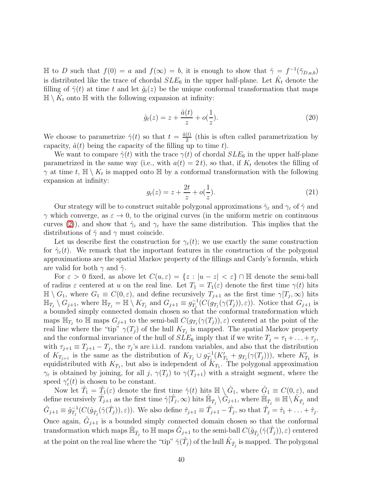$\mathbb{H}$  to *D* such that  $f(0) = a$  and  $f(\infty) = b$ , it is enough to show that  $\hat{\gamma} = f^{-1}(\tilde{\gamma}_{D,a,b})$ is distributed like the trace of chordal  $SLE_6$  in the upper half-plane. Let  $\hat{K}_t$  denote the filling of  $\hat{\gamma}(t)$  at time t and let  $\hat{g}_t(z)$  be the unique conformal transformation that maps  $\mathbb{H} \setminus \hat{K}_t$  onto  $\mathbb{H}$  with the following expansion at infinity:

<span id="page-39-0"></span>
$$
\hat{g}_t(z) = z + \frac{\hat{a}(t)}{z} + o(\frac{1}{z}).
$$
\n(20)

We choose to parametrize  $\hat{\gamma}(t)$  so that  $t = \frac{\hat{a}(t)}{2}$  $\frac{v}{2}$  (this is often called parametrization by capacity,  $\hat{a}(t)$  being the capacity of the filling up to time t).

<span id="page-39-1"></span>We want to compare  $\hat{\gamma}(t)$  with the trace  $\gamma(t)$  of chordal  $SLE_6$  in the upper half-plane parametrized in the same way (i.e., with  $a(t) = 2t$ ), so that, if  $K_t$  denotes the filling of  $\gamma$  at time t,  $\mathbb{H} \setminus K_t$  is mapped onto  $\mathbb{H}$  by a conformal transformation with the following expansion at infinity:

$$
g_t(z) = z + \frac{2t}{z} + o(\frac{1}{z}).
$$
\n(21)

Our strategy will be to construct suitable polygonal approximations  $\hat{\gamma}_{\varepsilon}$  and  $\gamma_{\varepsilon}$  of  $\hat{\gamma}$  and  $\gamma$  which converge, as  $\varepsilon \to 0$ , to the original curves (in the uniform metric on continuous curves [\(2\)](#page-4-0)), and show that  $\hat{\gamma}_{\varepsilon}$  and  $\gamma_{\varepsilon}$  have the same distribution. This implies that the distributions of  $\hat{\gamma}$  and  $\gamma$  must coincide.

Let us describe first the construction for  $\gamma_{\varepsilon}(t)$ ; we use exactly the same construction for  $\hat{\gamma}_{\varepsilon}(t)$ . We remark that the important features in the construction of the polygonal approximations are the spatial Markov property of the fillings and Cardy's formula, which are valid for both  $\gamma$  and  $\hat{\gamma}$ .

For  $\varepsilon > 0$  fixed, as above let  $C(u, \varepsilon) = \{z : |u - z| < \varepsilon\} \cap \mathbb{H}$  denote the semi-ball of radius  $\varepsilon$  centered at u on the real line. Let  $T_1 = T_1(\varepsilon)$  denote the first time  $\gamma(t)$  hits  $\mathbb{H} \setminus G_1$ , where  $G_1 \equiv C(0,\varepsilon)$ , and define recursively  $T_{j+1}$  as the first time  $\gamma[T_j,\infty)$  hits  $\mathbb{H}_{T_j} \setminus G_{j+1}$ , where  $\mathbb{H}_{T_j} = \mathbb{H} \setminus K_{T_j}$  and  $G_{j+1} \equiv g_{T_j}^{-1}(C(g_{T_j}(\gamma(T_j)), \varepsilon))$ . Notice that  $G_{j+1}$  is a bounded simply connected domain chosen so that the conformal transformation which maps  $\mathbb{H}_{T_j}$  to  $\mathbb{H}$  maps  $G_{j+1}$  to the semi-ball  $C(g_{T_j}(\gamma(T_j)), \varepsilon)$  centered at the point of the real line where the "tip"  $\gamma(T_j)$  of the hull  $K_{T_j}$  is mapped. The spatial Markov property and the conformal invariance of the hull of  $SLE_6$  imply that if we write  $T_j = \tau_1 + \ldots + \tau_j$ , with  $\tau_{j+1} \equiv T_{j+1} - T_j$ , the  $\tau_j$ 's are i.i.d. random variables, and also that the distribution of  $K_{T_{j+1}}$  is the same as the distribution of  $K_{T_j} \cup g_{T_j}^{-1}(K'_{T_1} + g_{T_j}(\gamma(T_j))),$  where  $K'_{T_1}$  is equidistributed with  $K_{T_1}$ , but also is independent of  $K_{T_1}$ . The polygonal approximation  $\gamma_{\varepsilon}$  is obtained by joining, for all j,  $\gamma(T_i)$  to  $\gamma(T_{i+1})$  with a straight segment, where the speed  $\gamma'_{\varepsilon}(t)$  is chosen to be constant.

Now let  $\hat{T}_1 = \hat{T}_1(\varepsilon)$  denote the first time  $\hat{\gamma}(t)$  hits  $\mathbb{H} \setminus \hat{G}_1$ , where  $\hat{G}_1 \equiv C(0,\varepsilon)$ , and define recursively  $\hat{T}_{j+1}$  as the first time  $\hat{\gamma}[\hat{T}_j,\infty)$  hits  $\hat{\mathbb{H}}_{\hat{T}_j} \setminus \hat{G}_{j+1}$ , where  $\hat{\mathbb{H}}_{\hat{T}_j} \equiv \mathbb{H} \setminus \hat{K}_{\hat{T}_j}$  and  $\hat{G}_{j+1} \equiv \hat{g}_{T_j}^{-1}(C(\hat{g}_{\hat{T}_j}(\hat{\gamma}(\hat{T}_j)),\varepsilon)).$  We also define  $\hat{\tau}_{j+1} \equiv \hat{T}_{j+1} - \hat{T}_j$ , so that  $\hat{T}_j = \hat{\tau}_1 + \ldots + \hat{\tau}_j$ . Once again,  $\hat{G}_{j+1}$  is a bounded simply connected domain chosen so that the conformal  $\text{transformation which maps } \hat{\mathbb{H}}_{\hat{T}_j} \text{ to } \mathbb{H} \text{ maps } \hat{G}_{j+1} \text{ to the semi-ball } C(\hat{g}_{\hat{T}_j}(\hat{\gamma}(\hat{T}_j)), \varepsilon) \text{ centered}$ at the point on the real line where the "tip"  $\hat{\gamma}(\hat{T}_j)$  of the hull  $\hat{K}_{\hat{T}_j}$  is mapped. The polygonal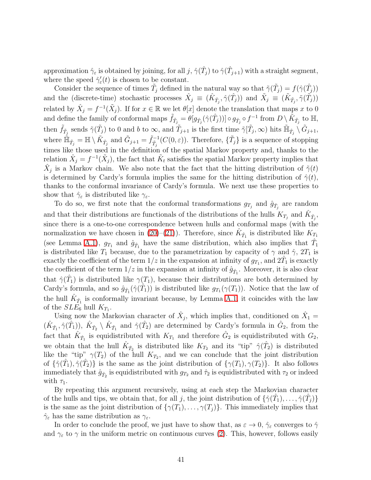approximation  $\hat{\gamma}_{\varepsilon}$  is obtained by joining, for all  $j$ ,  $\hat{\gamma}(\hat{T}_j)$  to  $\hat{\gamma}(\hat{T}_{j+1})$  with a straight segment, where the speed  $\hat{\gamma}_{\varepsilon}'(t)$  is chosen to be constant.

Consider the sequence of times  $\tilde{T}_j$  defined in the natural way so that  $\tilde{\gamma}(\tilde{T}_j) = f(\hat{\gamma}(\hat{T}_j))$ and the (discrete-time) stochastic processes  $\hat{X}_j \equiv (\hat{K}_{\hat{T}_j}, \hat{\gamma}(\hat{T}_j))$  and  $\tilde{X}_j \equiv (\tilde{K}_{\tilde{T}_j}, \tilde{\gamma}(\tilde{T}_j))$ related by  $\hat{X}_j = f^{-1}(\tilde{X}_j)$ . If for  $x \in \mathbb{R}$  we let  $\theta[x]$  denote the translation that maps x to 0 and define the family of conformal maps  $\tilde{f}_{\tilde{T}_j} = \theta[g_{\hat{T}_j}(\hat{\gamma}(\hat{T}_j))] \circ g_{\hat{T}_j} \circ f^{-1}$  from  $D \setminus \tilde{K}_{\tilde{T}_j}$  to  $\mathbb{H}$ , then  $\tilde{f}_{\tilde{T}_j}$  sends  $\tilde{\gamma}(\tilde{T}_j)$  to 0 and b to  $\infty$ , and  $\tilde{T}_{j+1}$  is the first time  $\tilde{\gamma}[\tilde{T}_j,\infty)$  hits  $\tilde{\mathbb{H}}_{\hat{T}_j} \setminus \tilde{G}_{j+1}$ , where  $\tilde{\mathbb{H}}_{\tilde{T}_j} = \mathbb{H} \setminus \tilde{K}_{\hat{T}_j}$  and  $\tilde{G}_{j+1} = \tilde{f}_{\tilde{T}_j}^{-1}(C(0,\varepsilon))$ . Therefore,  $\{\tilde{T}_j\}$  is a sequence of stopping times like those used in the definition of the spatial Markov property and, thanks to the relation  $\hat{X}_j = f^{-1}(\tilde{X}_j)$ , the fact that  $\tilde{K}_t$  satisfies the spatial Markov property implies that  $\hat{X}_j$  is a Markov chain. We also note that the fact that the hitting distribution of  $\tilde{\gamma}(t)$ is determined by Cardy's formula implies the same for the hitting distribution of  $\hat{\gamma}(t)$ , thanks to the conformal invariance of Cardy's formula. We next use these properties to show that  $\hat{\gamma}_{\varepsilon}$  is distributed like  $\gamma_{\varepsilon}$ .

To do so, we first note that the conformal transformations  $g_{T_j}$  and  $\hat{g}_{\hat{T}_j}$  are random and that their distributions are functionals of the distributions of the hulls  $K_{T_j}$  and  $\hat{K}_{\hat{T}_j}$ , since there is a one-to-one correspondence between hulls and conformal maps (with the normalization we have chosen in [\(20\)](#page-39-0)–[\(21\)](#page-39-1)). Therefore, since  $\hat{K}_{\hat{T}_1}$  is distributed like  $K_{T_1}$ (see Lemma [A.1\)](#page-38-0),  $g_{T_1}$  and  $\hat{g}_{\hat{T}_1}$  have the same distribution, which also implies that  $\hat{T}_1$ is distributed like  $T_1$  because, due to the parametrization by capacity of  $\gamma$  and  $\hat{\gamma}$ ,  $2T_1$  is exactly the coefficient of the term  $1/z$  in the expansion at infinity of  $g_{T_1}$ , and  $2\hat{T}_1$  is exactly the coefficient of the term  $1/z$  in the expansion at infinity of  $\hat{g}_{\hat{T}_1}$ . Moreover, it is also clear that  $\hat{\gamma}(\hat{T}_1)$  is distributed like  $\gamma(T_1)$ , because their distributions are both determined by Cardy's formula, and so  $\hat{g}_{\hat{T}_1}(\hat{\gamma}(\hat{T}_1))$  is distributed like  $g_{T_1}(\gamma(T_1))$ . Notice that the law of the hull  $\hat{K}_{\hat{T}_1}$  is conformally invariant because, by Lemma [A.1,](#page-38-0) it coincides with the law of the  $SLE_6$  hull  $K_{T_1}$ .

Using now the Markovian character of  $\hat{X}_j$ , which implies that, conditioned on  $\hat{X}_1$  =  $(\hat{K}_{\hat{T}_1}, \hat{\gamma}(\hat{T}_1)), \hat{K}_{\hat{T}_2} \setminus \hat{K}_{\hat{T}_1}$  and  $\hat{\gamma}(\hat{T}_2)$  are determined by Cardy's formula in  $\hat{G}_2$ , from the fact that  $\hat{K}_{\hat{T}_1}$  is equidistributed with  $K_{T_1}$  and therefore  $\hat{G}_2$  is equidistributed with  $G_2$ , we obtain that the hull  $\hat{K}_{\hat{T}_2}$  is distributed like  $K_{T_2}$  and its "tip"  $\hat{\gamma}(\hat{T}_2)$  is distributed like the "tip"  $\gamma(T_2)$  of the hull  $K_{T_2}$ , and we can conclude that the joint distribution of  $\{\hat{\gamma}(\hat{T}_1), \hat{\gamma}(\hat{T}_2)\}\$ is the same as the joint distribution of  $\{\gamma(T_1), \gamma(T_2)\}\$ . It also follows immediately that  $\hat{g}_{\hat{T}_2}$  is equidistributed with  $g_{T_2}$  and  $\hat{\tau}_2$  is equidistributed with  $\tau_2$  or indeed with  $\tau_1$ .

By repeating this argument recursively, using at each step the Markovian character of the hulls and tips, we obtain that, for all j, the joint distribution of  $\{\hat{\gamma}(\hat{T}_1), \ldots, \hat{\gamma}(\hat{T}_j)\}$ is the same as the joint distribution of  $\{\gamma(T_1), \ldots, \gamma(T_j)\}\)$ . This immediately implies that  $\hat{\gamma}_{\varepsilon}$  has the same distribution as  $\gamma_{\varepsilon}$ .

In order to conclude the proof, we just have to show that, as  $\varepsilon \to 0$ ,  $\hat{\gamma}_{\varepsilon}$  converges to  $\hat{\gamma}$ and  $\gamma_{\varepsilon}$  to  $\gamma$  in the uniform metric on continuous curves [\(2\)](#page-4-0). This, however, follows easily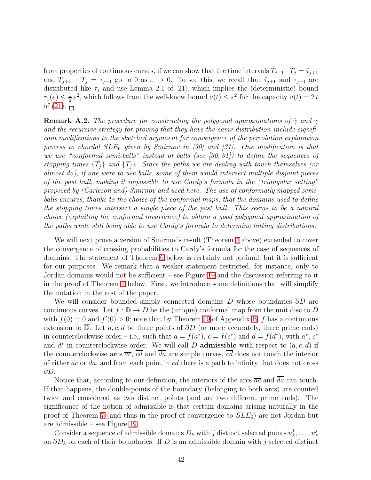from properties of continuous curves, if we can show that the time intervals  $\hat{T}_{j+1} - \hat{T}_j = \hat{\tau}_{j+1}$ and  $T_{j+1} - T_j = \tau_{j+1}$  go to 0 as  $\varepsilon \to 0$ . To see this, we recall that  $\hat{\tau}_{j+1}$  and  $\tau_{j+1}$  are distributed like  $\tau_1$  and use Lemma 2.1 of [21], which implies the (deterministic) bound  $\tau_1(\varepsilon)\leq \frac{1}{2}$  $\frac{1}{2} \varepsilon^2$ , which follows from the well-know bound  $a(t) \leq \varepsilon^2$  for the capacity  $a(t) = 2 t$ of  $(21)$ .  $\Box$ 

<span id="page-41-0"></span>**Remark A.2.** *The procedure for constructing the polygonal approximations of*  $\hat{\gamma}$  *and*  $\gamma$ *and the recursive strategy for proving that they have the same distribution include significant modifications to the sketched argument for convergence of the percolation exploration process to chordal* SLE<sup>6</sup> *given by Smirnov in [30] and [31]. One modification is that we use "conformal semi-balls" instead of balls (see [30, 31]) to define the sequences of stopping times*  $\{\hat{T}_j\}$  *and*  $\{T_j\}$ *. Since the paths we are dealing with touch themselves (or almost do), if one were to use balls, some of them would intersect multiple disjoint pieces of the past hull, making it impossible to use Cardy's formula in the "triangular setting" proposed by (Carleson and) Smirnov and used here. The use of conformally mapped semiballs ensures, thanks to the choice of the conformal maps, that the domains used to define the stopping times intersect a single piece of the past hull. This seems to be a natural choice (exploiting the conformal invariance) to obtain a good polygonal approximation of the paths while still being able to use Cardy's formula to determine hitting distributions.*

We will next prove a version of Smirnov's result (Theorem [4](#page-36-0) above) extended to cover the convergence of crossing probabilities to Cardy's formula for the case of sequences of domains. The statement of Theorem [6](#page-42-0) below is certainly not optimal, but it is sufficient for our purposes. We remark that a weaker statement restricted, for instance, only to Jordan domains would not be sufficient – see Figure [19](#page-53-1) and the discussion referring to it in the proof of Theorem [7](#page-48-0) below. First, we introduce some definitions that will simplify the notation in the rest of the paper.

We will consider bounded simply connected domains D whose boundaries  $\partial D$  are continuous curves. Let  $f : \mathbb{D} \to D$  be the (unique) conformal map from the unit disc to D with  $f(0) = 0$  and  $f'(0) > 0$ ; note that by Theorem [10](#page-60-0) of Appendix [B,](#page-59-0) f has a continuous extension to D. Let a, c, d be three points of  $\partial D$  (or more accurately, three prime ends) in counterclockwise order – i.e., such that  $a = f(a^*)$ ,  $c = f(c^*)$  and  $d = f(d^*)$ , with  $a^*$ ,  $c^*$ and  $d^*$  in counterclockwise order. We will call D **admissible** with respect to  $(a, c, d)$  if the counterclockwise arcs  $\overline{ac}$ ,  $\overline{cd}$  and  $\overline{da}$  are simple curves,  $\overline{cd}$  does not touch the interior of either  $\overline{ac}$  or  $\overline{da}$ , and from each point in  $\overline{cd}$  there is a path to infinity that does not cross ∂D.

Notice that, according to our definition, the interiors of the arcs  $\overline{ac}$  and  $\overline{da}$  can touch. If that happens, the double-points of the boundary (belonging to both arcs) are counted twice and considered as two distinct points (and are two different prime ends). The significance of the notion of admissible is that certain domains arising naturally in the proof of Theorem [7](#page-48-0) (and thus in the proof of convergence to  $SLE_6$ ) are not Jordan but are admissible – see Figure [19.](#page-53-1)

Consider a sequence of admissible domains  $D_k$  with j distinct selected points  $u_k^1, \ldots, u_k^j$ k on  $\partial D_k$  on each of their boundaries. If D is an admissible domain with j selected distinct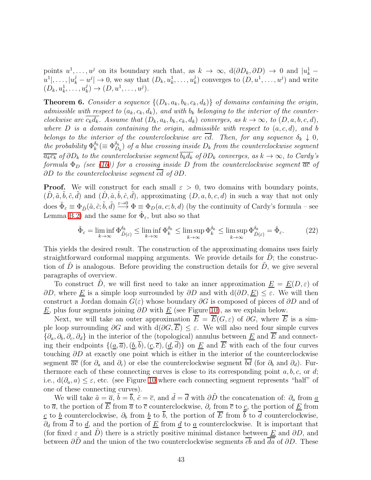points  $u^1, \ldots, u^j$  on its boundary such that, as  $k \to \infty$ ,  $d(\partial D_k, \partial D) \to 0$  and  $|u^1_k |u^1|, \ldots, |u^j_k - u^j| \to 0$ , we say that  $(D_k, u^1_k, \ldots, u^j_k)$  $(k)$  converges to  $(D, u^1, \ldots, u^j)$  and write  $(D_k, u_k^1, \ldots, u_k^j)$  $\lambda_k^j$   $\rightarrow$   $(D, u^1, \ldots, u^j)$ .

<span id="page-42-0"></span>**Theorem 6.** *Consider a sequence*  $\{(D_k, a_k, b_k, c_k, d_k)\}$  *of domains containing the origin, admissible with respect to*  $(a_k, c_k, d_k)$ , and with  $b_k$  belonging to the interior of the counter*clockwise arc*  $\overline{c_kd_k}$ . Assume that  $(D_k, a_k, b_k, c_k, d_k)$  *converges, as*  $k \to \infty$ *, to*  $(D, a, b, c, d)$ *,* where  $D$  is a domain containing the origin, admissible with respect to  $(a, c, d)$ , and b *belongs to the interior of the counterclockwise arc*  $\overline{cd}$ *. Then, for any sequence*  $\delta_k \downarrow 0$ *, the probability*  $\Phi_k^{\delta_k}$  $_{k}^{\delta_{k}}(\equiv\Phi_{D}^{\delta_{k}}% (\varepsilon_{N})\equiv\frac{1}{2}(\delta_{N}\cdot\gamma_{N})\sum_{k}\left( \delta_{k}\right) ^{k}\left( \delta_{k}\right) ^{k}$  $\binom{\delta_{k}}{D_{k}}$  of a blue crossing inside  $D_{k}$  from the counterclockwise segment  $\overline{a_kc_k}$  *of*  $\partial D_k$  *to the counterclockwise segment*  $\overline{b_kd_k}$  *of*  $\partial D_k$  *converges, as*  $k \to \infty$ *, to Cardy's formula*  $\Phi_D$  *(see [\(16\)](#page-36-1)) for a crossing inside* D *from the counterclockwise segment*  $\overline{ac}$  *of* ∂D *to the counterclockwise segment* cd *of* ∂D*.*

**Proof.** We will construct for each small  $\varepsilon > 0$ , two domains with boundary points,  $(\tilde{D}, \tilde{a}, \tilde{b}, \tilde{c}, \tilde{d})$  and  $(\hat{D}, \hat{a}, \hat{b}, \hat{c}, \hat{d})$ , approximating  $(D, a, b, c, d)$  in such a way that not only does  $\tilde{\Phi}_{\varepsilon} \equiv \Phi_{\tilde{D}}(\tilde{a}, \tilde{c}; \tilde{b}, \tilde{d}) \stackrel{\varepsilon \to 0}{\longrightarrow} \Phi \equiv \Phi_D(a, c; b, d)$  (by the continuity of Cardy's formula – see Lemma [B.2\)](#page-63-0) and the same for  $\hat{\Phi}_{\varepsilon}$ , but also so that

<span id="page-42-1"></span>
$$
\tilde{\Phi}_{\varepsilon} = \liminf_{k \to \infty} \Phi_{\tilde{D}(\varepsilon)}^{\delta_k} \le \liminf_{k \to \infty} \Phi_k^{\delta_k} \le \limsup_{k \to \infty} \Phi_k^{\delta_k} \le \limsup_{k \to \infty} \Phi_{\tilde{D}(\varepsilon)}^{\delta_k} = \hat{\Phi}_{\varepsilon}.
$$
 (22)

This yields the desired result. The construction of the approximating domains uses fairly straightforward conformal mapping arguments. We provide details for  $D$ ; the construction of  $\hat{D}$  is analogous. Before providing the construction details for  $\hat{D}$ , we give several paragraphs of overview.

To construct  $\tilde{D}$ , we will first need to take an inner approximation  $\underline{E} = \underline{E}(D, \varepsilon)$  of  $∂D$ , where <u>E</u> is a simple loop surrounded by  $∂D$  and with  $d(∂D, E) ≤ ε$ . We will then construct a Jordan domain  $G(\varepsilon)$  whose boundary  $\partial G$  is composed of pieces of  $\partial D$  and of  $E$ , plus four segments joining  $\partial D$  with  $E$  (see Figure [10\)](#page-43-0), as we explain below.

Next, we will take an outer approximation  $\overline{E} = \overline{E}(G,\varepsilon)$  of  $\partial G$ , where  $\overline{E}$  is a simple loop surrounding  $\partial G$  and with  $d(\partial G, \overline{E}) \leq \varepsilon$ . We will also need four simple curves  $\{\partial_a, \partial_b, \partial_c, \partial_d\}$  in the interior of the (topological) annulus between E and E and connecting their endpoints  $\{(a,\overline{a}), (b, b), (c, \overline{c}), (d, d)\}\$  on  $\underline{E}$  and  $\overline{E}$  with each of the four curves touching ∂D at exactly one point which is either in the interior of the counterclockwise segment  $\overline{ac}$  (for  $\partial_a$  and  $\partial_c$ ) or else the counterclockwise segment  $\overline{bd}$  (for  $\partial_b$  and  $\partial_d$ ). Furthermore each of these connecting curves is close to its corresponding point  $a, b, c,$  or  $d$ ; i.e.,  $d(\partial_a, a) \leq \varepsilon$ , etc. (see Figure [10](#page-43-0) where each connecting segment represents "half" of one of these connecting curves).

We will take  $\tilde{a} = \overline{a}$ ,  $\tilde{b} = \overline{b}$ ,  $\tilde{c} = \overline{c}$ , and  $\tilde{d} = \overline{d}$  with  $\partial \tilde{D}$  the concatenation of:  $\partial_a$  from  $\underline{a}$ to  $\overline{a}$ , the portion of  $\overline{E}$  from  $\overline{a}$  to  $\overline{c}$  counterclockwise,  $\partial_c$  from  $\overline{c}$  to  $\overline{c}$ , the portion of  $\underline{E}$  from <u>c</u> to <u>b</u> counterclockwise,  $\partial_b$  from <u>b</u> to  $\overline{b}$ , the portion of  $\overline{E}$  from  $\overline{b}$  to  $\overline{d}$  counterclockwise,  $\partial_d$  from  $\overline{d}$  to  $\underline{d}$ , and the portion of  $\underline{E}$  from  $\underline{d}$  to  $\underline{a}$  counterclockwise. It is important that (for fixed  $\varepsilon$  and  $\tilde{D}$ ) there is a strictly positive minimal distance between  $\underline{E}$  and  $\partial D$ , and between  $\partial D$  and the union of the two counterclockwise segments cb and da of  $\partial D$ . These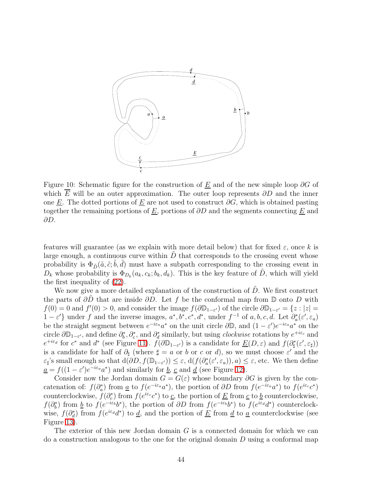

<span id="page-43-0"></span>Figure 10: Schematic figure for the construction of  $E$  and of the new simple loop  $\partial G$  of which E will be an outer approximation. The outer loop represents  $\partial D$  and the inner one E. The dotted portions of E are not used to construct  $\partial G$ , which is obtained pasting together the remaining portions of  $\underline{E}$ , portions of  $\partial D$  and the segments connecting  $\underline{E}$  and ∂D.

features will guarantee (as we explain with more detail below) that for fixed  $\varepsilon$ , once k is large enough, a continuous curve within  $D$  that corresponds to the crossing event whose probability is  $\Phi_{\tilde{D}}(\tilde{a}, \tilde{c}; \tilde{b}, \tilde{d})$  must have a subpath corresponding to the crossing event in  $D_k$  whose probability is  $\Phi_{D_k}(a_k, c_k; b_k, d_k)$ . This is the key feature of  $\tilde{D}$ , which will yield the first inequality of [\(22\)](#page-42-1).

We now give a more detailed explanation of the construction of  $D$ . We first construct the parts of  $\partial D$  that are inside  $\partial D$ . Let f be the conformal map from D onto D with  $f(0) = 0$  and  $f'(0) > 0$ , and consider the image  $f(\partial \mathbb{D}_{1-\varepsilon})$  of the circle  $\partial \mathbb{D}_{1-\varepsilon'} = \{z : |z| = 0\}$  $1 - \varepsilon'$  under f and the inverse images,  $a^*, b^*, c^*, d^*$ , under  $f^{-1}$  of  $a, b, c, d$ . Let  $\partial_a^*(\varepsilon', \varepsilon_a)$ be the straight segment between  $e^{-i\varepsilon_a}a^*$  on the unit circle  $\partial\mathbb{D}$ , and  $(1-\varepsilon')e^{-i\varepsilon_a}a^*$  on the circle  $\partial \mathbb{D}_{1-\varepsilon}$ , and define  $\partial_b^*, \partial_c^*$ , and  $\partial_d^*$  similarly, but using *clockwise* rotations by  $e^{+i\varepsilon_c}$  and  $e^{+i\varepsilon_d}$  for  $c^*$  and  $d^*$  (see Figure [11\)](#page-44-0).  $f(\partial \mathbb{D}_{1-\varepsilon'})$  is a candidate for  $\underline{E}(D,\varepsilon)$  and  $f(\partial_{\sharp}^*(\varepsilon',\varepsilon_{\sharp}))$ is a candidate for half of  $\partial_{\sharp}$  (where  $\sharp = a$  or b or c or d), so we must choose  $\varepsilon'$  and the  $\varepsilon_{\sharp}$ 's small enough so that  $d(\partial D, f(\mathbb{D}_{1-\varepsilon'})) \leq \varepsilon$ ,  $d(f(\partial_a^*(\varepsilon', \varepsilon_a)), a) \leq \varepsilon$ , etc. We then define  $\underline{a} = f((1 - \varepsilon')e^{-i\varepsilon_a}a^*)$  and similarly for <u>b</u>, <u>c</u> and <u>d</u> (see Figure [12\)](#page-44-1).

Consider now the Jordan domain  $G = G(\varepsilon)$  whose boundary  $\partial G$  is given by the concatenation of:  $f(\partial_a^*)$  from <u>a</u> to  $f(e^{-i\varepsilon_a}a^*)$ , the portion of  $\partial D$  from  $f(e^{-i\varepsilon_a}a^*)$  to  $f(e^{i\varepsilon_c}c^*)$ counterclockwise,  $f(\partial_c^*)$  from  $f(e^{i\varepsilon_c}c^*)$  to  $\underline{c}$ , the portion of  $\underline{E}$  from  $\underline{c}$  to  $\underline{b}$  counterclockwise,  $f(\partial_b^*)$  from <u>b</u> to  $f(e^{-i\varepsilon_b}b^*)$ , the portion of  $\partial D$  from  $f(e^{-i\varepsilon_b}b^*)$  to  $f(e^{i\varepsilon_d}d^*)$  counterclockwise,  $f(\partial_d^*)$  from  $f(e^{i\varepsilon_d}d^*)$  to <u>d</u>, and the portion of <u>E</u> from <u>d</u> to <u>a</u> counterclockwise (see Figure [13\)](#page-45-0).

The exterior of this new Jordan domain G is a connected domain for which we can do a construction analogous to the one for the original domain D using a conformal map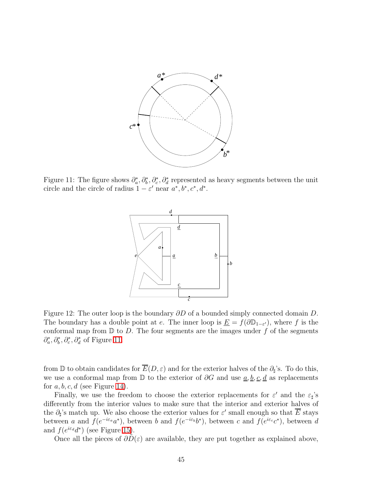

<span id="page-44-0"></span>Figure 11: The figure shows  $\partial_a^*, \partial_b^*, \partial_c^*, \partial_d^*$  represented as heavy segments between the unit circle and the circle of radius  $1 - \varepsilon'$  near  $a^*, b^*, c^*, d^*$ .



<span id="page-44-1"></span>Figure 12: The outer loop is the boundary ∂D of a bounded simply connected domain D. The boundary has a double point at e. The inner loop is  $\underline{E} = f(\partial \mathbb{D}_{1-\varepsilon'})$ , where f is the conformal map from  $\mathbb D$  to D. The four segments are the images under f of the segments  $\partial_a^*, \partial_b^*, \partial_c^*, \partial_d^*$  of Figure [11.](#page-44-0)

from D to obtain candidates for  $\overline{E}(D, \varepsilon)$  and for the exterior halves of the  $\partial_{\sharp}$ 's. To do this, we use a conformal map from  $\mathbb D$  to the exterior of  $\partial G$  and use  $\underline{a}, \underline{b}, \underline{c}, \underline{d}$  as replacements for  $a, b, c, d$  (see Figure [14\)](#page-45-1).

Finally, we use the freedom to choose the exterior replacements for  $\varepsilon'$  and the  $\varepsilon_{\sharp}$ 's differently from the interior values to make sure that the interior and exterior halves of the  $\partial_{\sharp}$ 's match up. We also choose the exterior values for  $\varepsilon'$  small enough so that E stays between a and  $f(e^{-i\varepsilon_a}a^*)$ , between b and  $f(e^{-i\varepsilon_b}b^*)$ , between c and  $f(e^{i\varepsilon_c}c^*)$ , between d and  $f(e^{i\varepsilon_d}d^*)$  (see Figure [15\)](#page-46-0).

Once all the pieces of  $\partial D(\varepsilon)$  are available, they are put together as explained above,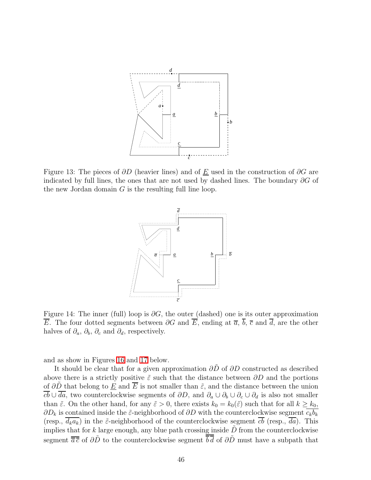

<span id="page-45-0"></span>Figure 13: The pieces of  $\partial D$  (heavier lines) and of E used in the construction of  $\partial G$  are indicated by full lines, the ones that are not used by dashed lines. The boundary  $\partial G$  of the new Jordan domain  $G$  is the resulting full line loop.



<span id="page-45-1"></span>Figure 14: The inner (full) loop is  $\partial G$ , the outer (dashed) one is its outer approximation  $\overline{E}$ . The four dotted segments between  $\partial G$  and  $\overline{E}$ , ending at  $\overline{a}$ ,  $\overline{b}$ ,  $\overline{c}$  and  $\overline{d}$ , are the other halves of  $\partial_a$ ,  $\partial_b$ ,  $\partial_c$  and  $\partial_d$ , respectively.

and as show in Figures [16](#page-46-1) and [17](#page-47-0) below.

It should be clear that for a given approximation  $\partial \hat{D}$  of  $\partial D$  constructed as described above there is a strictly positive  $\tilde{\varepsilon}$  such that the distance between  $\partial D$  and the portions of  $\partial \tilde{D}$  that belong to  $\underline{E}$  and  $\overline{E}$  is not smaller than  $\tilde{\varepsilon}$ , and the distance between the union  $\overline{cb} \cup \overline{da}$ , two counterclockwise segments of  $\partial D$ , and  $\partial_a \cup \partial_b \cup \partial_c \cup \partial_d$  is also not smaller than  $\tilde{\varepsilon}$ . On the other hand, for any  $\tilde{\varepsilon} > 0$ , there exists  $k_0 = k_0(\tilde{\varepsilon})$  such that for all  $k \ge k_0$ ,  $\partial D_k$  is contained inside the  $\tilde{\varepsilon}$ -neighborhood of  $\partial D$  with the counterclockwise segment  $\overline{c_k b_k}$ (resp.,  $\overline{d_k a_k}$ ) in the  $\tilde{\varepsilon}$ -neighborhood of the counterclockwise segment  $\overline{cb}$  (resp.,  $\overline{da}$ ). This implies that for k large enough, any blue path crossing inside  $\tilde{D}$  from the counterclockwise segment  $\overline{\overline{a}\overline{c}}$  of  $\partial\overline{D}$  to the counterclockwise segment  $\overline{\overline{b}\overline{d}}$  of  $\partial\overline{D}$  must have a subpath that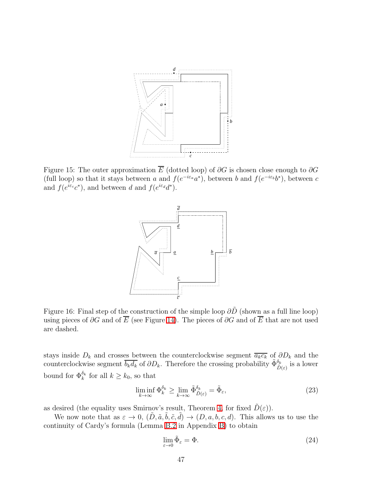

<span id="page-46-0"></span>Figure 15: The outer approximation  $\overline{E}$  (dotted loop) of  $\partial G$  is chosen close enough to  $\partial G$ (full loop) so that it stays between a and  $f(e^{-i\varepsilon_a}a^*)$ , between b and  $f(e^{-i\varepsilon_b}b^*)$ , between c and  $f(e^{i\varepsilon_c}c^*)$ , and between d and  $f(e^{i\varepsilon_d}d^*)$ .



<span id="page-46-1"></span>Figure 16: Final step of the construction of the simple loop  $\partial \tilde{D}$  (shown as a full line loop) using pieces of  $\partial G$  and of  $\overline{E}$  (see Figure [14\)](#page-45-1). The pieces of  $\partial G$  and of  $\overline{E}$  that are not used are dashed.

stays inside  $D_k$  and crosses between the counterclockwise segment  $\overline{a_kc_k}$  of  $\partial D_k$  and the counterclockwise segment  $\overline{b_k d_k}$  of  $\partial D_k$ . Therefore the crossing probability  $\tilde{\Phi}_{\tilde{D}(\varepsilon)}^{\delta_k}$  is a lower bound for  $\Phi_k^{\delta_k}$  for all  $k \geq k_0$ , so that

<span id="page-46-2"></span>
$$
\liminf_{k \to \infty} \Phi_k^{\delta_k} \ge \lim_{k \to \infty} \tilde{\Phi}_{\tilde{D}(\varepsilon)}^{\delta_k} = \tilde{\Phi}_{\varepsilon},\tag{23}
$$

as desired (the equality uses Smirnov's result, Theorem [4,](#page-36-0) for fixed  $\tilde{D}(\varepsilon)$ ).

We now note that as  $\varepsilon \to 0$ ,  $(\tilde{D}, \tilde{a}, \tilde{b}, \tilde{c}, \tilde{d}) \to (D, a, b, c, d)$ . This allows us to use the continuity of Cardy's formula (Lemma [B.2](#page-63-0) in Appendix [B\)](#page-59-0) to obtain

$$
\lim_{\varepsilon \to 0} \tilde{\Phi}_{\varepsilon} = \Phi. \tag{24}
$$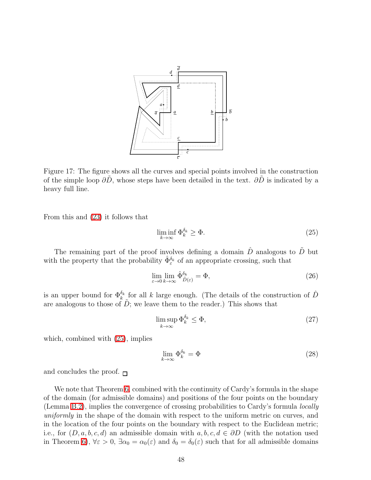

<span id="page-47-0"></span>Figure 17: The figure shows all the curves and special points involved in the construction of the simple loop  $\partial \tilde{D}$ , whose steps have been detailed in the text.  $\partial \tilde{D}$  is indicated by a heavy full line.

From this and [\(23\)](#page-46-2) it follows that

<span id="page-47-1"></span>
$$
\liminf_{k \to \infty} \Phi_k^{\delta_k} \ge \Phi. \tag{25}
$$

The remaining part of the proof involves defining a domain  $\hat{D}$  analogous to  $\tilde{D}$  but with the property that the probability  $\hat{\Phi}_{\varepsilon}^{\delta_k}$  of an appropriate crossing, such that

$$
\lim_{\varepsilon \to 0} \lim_{k \to \infty} \hat{\Phi}_{\hat{D}(\varepsilon)}^{\delta_k} = \Phi,\tag{26}
$$

is an upper bound for  $\Phi_k^{\delta_k}$  for all k large enough. (The details of the construction of  $\hat{D}$ are analogous to those of  $D$ ; we leave them to the reader.) This shows that

$$
\limsup_{k \to \infty} \Phi_k^{\delta_k} \le \Phi,\tag{27}
$$

which, combined with [\(25\)](#page-47-1), implies

$$
\lim_{k \to \infty} \Phi_k^{\delta_k} = \Phi \tag{28}
$$

and concludes the proof.  $\Box$ 

We note that Theorem [6,](#page-42-0) combined with the continuity of Cardy's formula in the shape of the domain (for admissible domains) and positions of the four points on the boundary (Lemma [B.2\)](#page-63-0), implies the convergence of crossing probabilities to Cardy's formula *locally uniformly* in the shape of the domain with respect to the uniform metric on curves, and in the location of the four points on the boundary with respect to the Euclidean metric; i.e., for  $(D, a, b, c, d)$  an admissible domain with  $a, b, c, d \in \partial D$  (with the notation used in Theorem [6\)](#page-42-0),  $\forall \varepsilon > 0$ ,  $\exists \alpha_0 = \alpha_0(\varepsilon)$  and  $\delta_0 = \delta_0(\varepsilon)$  such that for all admissible domains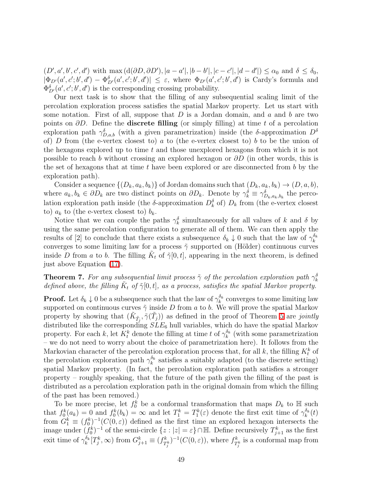$(D', a', b', c', d')$  with  $\max(d(\partial D, \partial D'), |a - a'|, |b - b'|, |c - c'|, |d - d'|) \leq \alpha_0$  and  $\delta \leq \delta_0$ ,  $|\Phi_{D'}(a',c';b',d') - \Phi_{D'}^{\delta}(a',c';b',d')| \leq \varepsilon$ , where  $\Phi_{D'}(a',c';b',d')$  is Cardy's formula and  $\Phi_{D'}^{\delta}(a',c';b',d')$  is the corresponding crossing probability.

Our next task is to show that the filling of any subsequential scaling limit of the percolation exploration process satisfies the spatial Markov property. Let us start with some notation. First of all, suppose that  $D$  is a Jordan domain, and  $a$  and  $b$  are two points on  $\partial D$ . Define the **discrete filling** (or simply filling) at time t of a percolation exploration path  $\gamma_{D,a,b}^{\delta}$  (with a given parametrization) inside (the δ-approximation  $D^{\delta}$ of) D from (the e-vertex closest to) a to (the e-vertex closest to) b to be the union of the hexagons explored up to time  $t$  and those unexplored hexagons from which it is not possible to reach b without crossing an explored hexagon or  $\partial D$  (in other words, this is the set of hexagons that at time  $t$  have been explored or are disconnected from  $b$  by the exploration path).

Consider a sequence  $\{(D_k, a_k, b_k)\}\$  of Jordan domains such that  $(D_k, a_k, b_k) \to (D, a, b),$ where  $a_k, b_k \in \partial D_k$  are two distinct points on  $\partial D_k$ . Denote by  $\gamma_k^{\delta} \equiv \gamma_{D_k,a_k,b_k}^{\delta}$  the percolation exploration path inside (the  $\delta$ -approximation  $D_k^{\delta}$  of)  $D_k$  from (the e-vertex closest to)  $a_k$  to (the e-vertex closest to)  $b_k$ .

Notice that we can couple the paths  $\gamma_k^{\delta}$  simultaneously for all values of k and  $\delta$  by using the same percolation configuration to generate all of them. We can then apply the results of [2] to conclude that there exists a subsequence  $\delta_k \downarrow 0$  such that the law of  $\gamma_k^{\delta_k}$ k converges to some limiting law for a process  $\tilde{\gamma}$  supported on (Hölder) continuous curves inside D from a to b. The filling  $\tilde{K}_t$  of  $\tilde{\gamma}[0,t]$ , appearing in the next theorem, is defined just above Equation [\(17\)](#page-36-2).

<span id="page-48-0"></span>**Theorem 7.** For any subsequential limit process  $\tilde{\gamma}$  of the percolation exploration path  $\gamma_k^{\delta}$ *defined above, the filling*  $\tilde{K}_t$  *of*  $\tilde{\gamma}[0,t]$ *, as a process, satisfies the spatial Markov property.* 

**Proof.** Let  $\delta_k \downarrow 0$  be a subsequence such that the law of  $\gamma_k^{\delta_k}$  $\kappa_k^{\circ_k}$  converges to some limiting law supported on continuous curves  $\tilde{\gamma}$  inside D from a to b. We will prove the spatial Markov property by showing that  $(\tilde{K}_{\tilde{T}_j}, \tilde{\gamma}(\tilde{T}_j))$  as defined in the proof of Theorem [5](#page-38-1) are *jointly* distributed like the corresponding  $SLE_6$  hull variables, which do have the spatial Markov property. For each k, let  $K_t^k$  denote the filling at time t of  $\gamma_k^{\delta_k}$  (with some parametrization – we do not need to worry about the choice of parametrization here). It follows from the Markovian character of the percolation exploration process that, for all k, the filling  $K_t^k$  of the percolation exploration path  $\gamma_k^{\delta_k}$  $\frac{\delta_k}{k}$  satisfies a suitably adapted (to the discrete setting) spatial Markov property. (In fact, the percolation exploration path satisfies a stronger property – roughly speaking, that the future of the path given the filling of the past is distributed as a percolation exploration path in the original domain from which the filling of the past has been removed.)

To be more precise, let  $f_0^k$  be a conformal transformation that maps  $D_k$  to H such that  $f_0^k(a_k) = 0$  and  $f_0^k(b_k) = \infty$  and let  $T_1^k = T_1^k(\varepsilon)$  denote the first exit time of  $\gamma_k^{\delta_k}$  $\binom{o_k}{k}(t)$ from  $G_1^k \equiv (f_0^k)^{-1}(C(0,\varepsilon))$  defined as the first time an explored hexagon intersects the image under  $(f_0^k)^{-1}$  of the semi-circle  $\{z : |z| = \varepsilon\} \cap \mathbb{H}$ . Define recursively  $T_{j+1}^k$  as the first exit time of  $\gamma_k^{\delta_k}$  $\binom{a_k}{k}$   $\left[T_j^k, \infty\right)$  from  $G_{j+1}^k \equiv \left(f_T^k\right)$  $\int_{T_j^k}^{k}$ )<sup>-1</sup>( $C(0,\varepsilon)$ ), where  $f_T^k$  $T_j^k$  is a conformal map from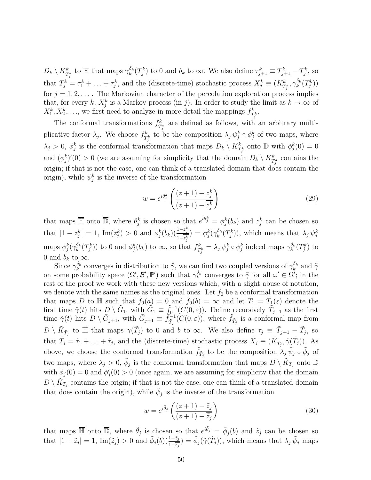$D_k \setminus K_{T_j^k}^k$  to  $\mathbb H$  that maps  $\gamma_k^{\delta_k}$  $\delta_k^{\delta_k}(T_j^k)$  to 0 and  $b_k$  to  $\infty$ . We also define  $\tau_{j+1}^k \equiv T_{j+1}^k - T_j^k$ , so that  $T_j^k = \tau_1^k + \ldots + \tau_j^k$ , and the (discrete-time) stochastic process  $X_j^k \equiv (K_{T_j^k}^k, \gamma_k^{\delta_k})$  $\frac{\delta_k}{k}(T^k_j))$ for  $j = 1, 2, \ldots$ . The Markovian character of the percolation exploration process implies that, for every k,  $X_j^k$  is a Markov process (in j). In order to study the limit as  $k \to \infty$  of  $X_1^k, X_2^k, \ldots$ , we first need to analyze in more detail the mappings  $f_T^k$  $r_k^k\cdot T_j^k$ 

The conformal transformations  $f_T^k$  $\frac{k}{T_j^k}$  are defined as follows, with an arbitrary multiplicative factor  $\lambda_j$ . We choose  $f_T^k$  $\mathcal{L}_{\mathcal{I}_{j}}^{k}$  to be the composition  $\lambda_{j} \psi_{j}^{k} \circ \phi_{j}^{k}$  of two maps, where  $\lambda_j > 0$ ,  $\phi_j^k$  is the conformal transformation that maps  $D_k \setminus K_{T_j^k}^k$  onto  $\mathbb D$  with  $\phi_j^k(0) = 0$ and  $(\phi_j^k)'(0) > 0$  (we are assuming for simplicity that the domain  $D_k \setminus K_{T^k_j}^k$  contains the origin; if that is not the case, one can think of a translated domain that does contain the origin), while  $\psi_j^k$  is the inverse of the transformation

$$
w = e^{i\theta_j^k} \left( \frac{(z+1) - z_j^k}{(z+1) - z_j^k} \right)
$$
\n
$$
(29)
$$

that maps  $\overline{\mathbb{H}}$  onto  $\overline{\mathbb{D}}$ , where  $\theta_j^k$  is chosen so that  $e^{i\theta_j^k} = \phi_j^k(b_k)$  and  $z_j^k$  can be chosen so that  $|1 - z_j^k| = 1$ , Im $(z_j^k) > 0$  and  $\phi_j^k(b_k)(\frac{1 - z_j^k}{1 - z_k^k})$  $\frac{1-z_j^{\kappa}}{1-z_j^k})\,=\,\phi_j^k(\gamma_k^{\delta_k})$  $\int_k^{\delta_k} (T_j^k)$ , which means that  $\lambda_j \psi_j^k$ maps  $\phi_j^k(\gamma_k^{\delta_k})$  $\int_k^{\delta_k} (T_j^k)$  to 0 and  $\phi_j^k(b_k)$  to  $\infty$ , so that  $f_T^k$  $\gamma_{T_j^k}^k = \lambda_j \psi_j^k \circ \phi_j^k$  indeed maps  $\gamma_k^{\delta_k}$  $\frac{\delta_k}{k}(T_j^k)$  to 0 and  $b_k$  to  $\infty$ .

Since  $\gamma_k^{\delta_k}$  converges in distribution to  $\tilde{\gamma}$ , we can find two coupled versions of  $\gamma_k^{\delta_k}$  and  $\tilde{\gamma}$ on some probability space  $(\Omega', \mathcal{B}', \mathbb{P}')$  such that  $\gamma_k^{\delta_k}$ <sup>o<sub>k</sub></sup> converges to  $\tilde{\gamma}$  for all  $\omega' \in \Omega'$ ; in the rest of the proof we work with these new versions which, with a slight abuse of notation, we denote with the same names as the original ones. Let  $\tilde{f}_0$  be a conformal transformation that maps D to  $\mathbb H$  such that  $\tilde{f}_0(a) = 0$  and  $\tilde{f}_0(b) = \infty$  and let  $\tilde{T}_1 = \tilde{T}_1(\varepsilon)$  denote the first time  $\tilde{\gamma}(t)$  hits  $D \setminus \tilde{G}_1$ , with  $\tilde{G}_1 \equiv \tilde{f}_0^{-1}(C(0,\varepsilon))$ . Define recursively  $\tilde{T}_{j+1}$  as the first time  $\tilde{\gamma}(t)$  hits  $D \setminus \tilde{G}_{j+1}$ , with  $\tilde{G}_{j+1} \equiv \tilde{f}_{\tilde{T}_j}^{-1}(C(0, \varepsilon)),$  where  $\tilde{f}_{\tilde{T}_j}$  is a conformal map from  $D \setminus \tilde{K}_{\tilde{T}_j}$  to  $\mathbb{H}$  that maps  $\tilde{\gamma}(\tilde{T}_j)$  to 0 and b to  $\infty$ . We also define  $\tilde{\tau}_j \equiv \tilde{T}_{j+1} - \tilde{T}_j$ , so that  $\tilde{T}_j = \tilde{\tau}_1 + \ldots + \tilde{\tau}_j$ , and the (discrete-time) stochastic process  $\tilde{X}_j \equiv (\tilde{K}_{\tilde{T}_j}, \tilde{\gamma}(\tilde{T}_j))$ . As above, we choose the conformal transformation  $\tilde{f}_{\tilde{T}_j}$  to be the composition  $\lambda_j \tilde{\psi}_j \circ \tilde{\phi}_j$  of two maps, where  $\lambda_j > 0$ ,  $\tilde{\phi}_j$  is the conformal transformation that maps  $D \setminus \tilde{K}_{T_j}$  onto  $\mathbb{D}$ with  $\tilde{\phi}_j(0) = 0$  and  $\tilde{\phi}'_j(0) > 0$  (once again, we are assuming for simplicity that the domain  $D \setminus \tilde{K}_{T_j}$  contains the origin; if that is not the case, one can think of a translated domain that does contain the origin), while  $\tilde{\psi}_j$  is the inverse of the transformation

$$
w = e^{i\tilde{\theta}_j} \left( \frac{(z+1) - \tilde{z}_j}{(z+1) - \overline{\tilde{z}_j}} \right)
$$
(30)

that maps  $\overline{\mathbb{H}}$  onto  $\overline{\mathbb{D}}$ , where  $\tilde{\theta}_j$  is chosen so that  $e^{i\tilde{\theta}_j} = \tilde{\phi}_j(b)$  and  $\tilde{z}_j$  can be chosen so that  $|1-\tilde{z}_j|=1$ ,  $\text{Im}(\tilde{z}_j)>0$  and  $\tilde{\phi}_j(b)(\frac{1-\tilde{z}_j}{1-\tilde{z}_j})=\tilde{\phi}_j(\tilde{\gamma}(\tilde{T}_j))$ , which means that  $\lambda_j \tilde{\psi}_j$  maps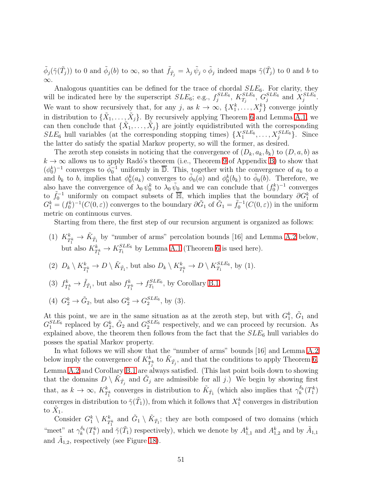$\tilde{\phi}_j(\tilde{\gamma}(\tilde{T}_j))$  to 0 and  $\tilde{\phi}_j(b)$  to  $\infty$ , so that  $\tilde{f}_{\tilde{T}_j} = \lambda_j \tilde{\psi}_j \circ \tilde{\phi}_j$  indeed maps  $\tilde{\gamma}(\tilde{T}_j)$  to 0 and b to ∞.

Analogous quantities can be defined for the trace of chordal  $SLE_6$ . For clarity, they will be indicated here by the superscript  $SLE_6$ ; e.g.,  $f_j^{SLE_6}$  $j^{SLE_6},\ K_{T_j}^{SLE_6}$  $^{SLE_6}_{T_j},\ G^{SLE_6}_{j}$  $j^{SLE_6}$  and  $X_j^{SLE_6}$  $^{SLE_6}_{j}$  . We want to show recursively that, for any j, as  $k \to \infty$ ,  $\{X_1^k, \ldots, X_j^k\}$  converge jointly in distribution to  $\{\tilde{X}_1, \ldots, \tilde{X}_j\}$ . By recursively applying Theorem [6](#page-42-0) and Lemma [A.1,](#page-38-0) we can then conclude that  $\{\tilde{X}_1, \ldots, \tilde{X}_j\}$  are jointly equidistributed with the corresponding  $SLE_6$  hull variables (at the corresponding stopping times)  $\{X_1^{SLE_6}\}$  $\{SLE_6, \ldots, X_j^{SLE_6}\}.$  Since the latter do satisfy the spatial Markov property, so will the former, as desired.

The zeroth step consists in noticing that the convergence of  $(D_k, a_k, b_k)$  to  $(D, a, b)$  as  $k \to \infty$  allows us to apply Radó's theorem (i.e., Theorem [9](#page-59-1) of Appendix [B\)](#page-59-0) to show that  $(\phi_0^k)^{-1}$  converges to  $\tilde{\phi}_0^{-1}$  uniformly in  $\overline{\mathbb{D}}$ . This, together with the convergence of  $a_k$  to a and  $b_k$  to b, implies that  $\phi_0^k(a_k)$  converges to  $\phi_0(a)$  and  $\phi_0^k(b_k)$  to  $\phi_0(b)$ . Therefore, we also have the convergence of  $\lambda_0 \psi_0^k$  to  $\lambda_0 \tilde{\psi}_0$  and we can conclude that  $(f_0^k)^{-1}$  converges to  $\tilde{f}_0^{-1}$  uniformly on compact subsets of  $\overline{\mathbb{H}}$ , which implies that the boundary  $\partial G_1^k$  of  $G_1^k = (f_0^k)^{-1}(C(0, \varepsilon))$  converges to the boundary  $\partial \tilde{G}_1$  of  $\tilde{G}_1 = \tilde{f}_0^{-1}(C(0, \varepsilon))$  in the uniform metric on continuous curves.

Starting from there, the first step of our recursion argument is organized as follows:

- (1)  $K_{T_1^k}^k \to \tilde{K}_{\tilde{T}_1}$  by "number of arms" percolation bounds [16] and Lemma [A.2](#page-53-0) below, but also  $K_{T_1^k}^k \rightarrow K_{T_1}^{SLE_6}$  $T_1^{SLE_6}$  by Lemma [A.1](#page-38-0) (Theorem [6](#page-42-0) is used here).
- (2)  $D_k \setminus K_{T_1^k}^k \to D \setminus \tilde{K}_{\tilde{T}_1}$ , but also  $D_k \setminus K_{T_1^k}^k \to D \setminus K_{T_1}^{SLE_6}$  $T_1^{SLE_6}$ , by (1).
- $(3)$   $f_T^k$  $f_{T_1^k}^k \rightarrow \tilde{f}_{\tilde{T}_1}$ , but also  $f_T^k$  $T_1^k \rightarrow f_{T_1}^{SLE_6}$  $T_1^{SLE6}$ , by Corollary [B.1.](#page-62-0)
- (4)  $G_2^k \rightarrow \tilde{G}_2$ , but also  $G_2^k \rightarrow G_2^{SLE_6}$  $_2^{SLE_6}$ , by (3).

At this point, we are in the same situation as at the zeroth step, but with  $G_1^k$ ,  $\tilde{G}_1$  and  $G_1^{SLE_6}$  ${}_{1}^{SLE_6}$  replaced by  $G_2^k$ ,  $\tilde{G}_2$  and  $G_2^{SLE_6}$  $_2^{SLE_6}$  respectively, and we can proceed by recursion. As explained above, the theorem then follows from the fact that the  $SLE_6$  hull variables do posses the spatial Markov property.

In what follows we will show that the "number of arms" bounds [16] and Lemma [A.2](#page-53-0) below imply the convergence of  $K^k_{T^k_j}$  to  $\tilde{K}_{\tilde{T}_j}$ , and that the conditions to apply Theorem [6,](#page-42-0) Lemma [A.2](#page-53-0) and Corollary [B.1](#page-62-0) are always satisfied. (This last point boils down to showing that the domains  $D \setminus \tilde{K}_{\tilde{T}_j}$  and  $\tilde{G}_j$  are admissible for all j.) We begin by showing first that, as  $k \to \infty$ ,  $K_{T_1^k}^k$  converges in distribution to  $\tilde{K}_{\tilde{T}_1}$  (which also implies that  $\gamma_k^{\delta_k}$  $\frac{\delta_k}{k}(T_1^k)$ converges in distribution to  $\tilde{\gamma}(\tilde{T}_1)$ , from which it follows that  $X_1^k$  converges in distribution to  $\tilde{X}_1$ .

Consider  $G_1^k \setminus K_{T_1^k}^k$  and  $\tilde{G}_1 \setminus \tilde{K}_{\tilde{T}_1}$ ; they are both composed of two domains (which "meet" at  $\gamma_k^{\delta_k}$  $\frac{\delta_k}{k}(T_1^k)$  and  $\tilde{\gamma}(\tilde{T}_1)$  respectively), which we denote by  $A_{1,1}^k$  and  $A_{1,2}^k$  and by  $\tilde{A}_{1,1}$ and  $\tilde{A}_{1,2}$ , respectively (see Figure [18\)](#page-51-0).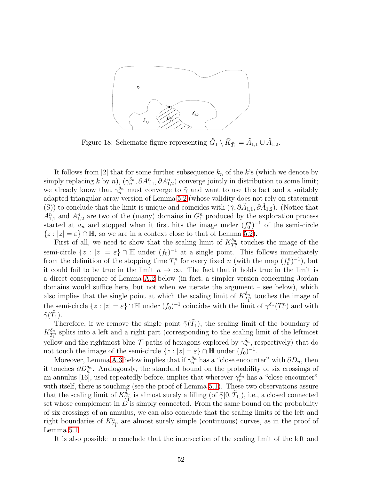

<span id="page-51-0"></span>Figure 18: Schematic figure representing  $\tilde{G}_1 \setminus \tilde{K}_{\tilde{T}_1} = \tilde{A}_{1,1} \cup \tilde{A}_{1,2}$ .

It follows from [2] that for some further subsequence  $k_n$  of the k's (which we denote by simply replacing k by n),  $(\gamma_n^{\delta_n}, \partial A_{1,1}^n, \partial A_{1,2}^n)$  converge jointly in distribution to some limit; we already know that  $\gamma_n^{\delta_n}$  must converge to  $\tilde{\gamma}$  and want to use this fact and a suitably adapted triangular array version of Lemma [5.2](#page-17-1) (whose validity does not rely on statement (S)) to conclude that the limit is unique and coincides with  $(\tilde{\gamma}, \partial \tilde{A}_{1,1}, \partial \tilde{A}_{1,2})$ . (Notice that  $A_{1,1}^n$  and  $A_{1,2}^n$  are two of the (many) domains in  $G_1^n$  produced by the exploration process started at  $a_n$  and stopped when it first hits the image under  $(f_0^n)^{-1}$  of the semi-circle  ${z : |z| = \varepsilon} \cap \mathbb{H}$ , so we are in a context close to that of Lemma [5.2\)](#page-17-1).

First of all, we need to show that the scaling limit of  $K_{T}^{\delta_n}$  $\frac{\delta_n}{T_1^n}$  touches the image of the semi-circle  $\{z : |z| = \varepsilon\} \cap \mathbb{H}$  under  $(f_0)^{-1}$  at a single point. This follows immediately from the definition of the stopping time  $T_1^n$  for every fixed n (with the map  $(f_0^n)^{-1}$ ), but it could fail to be true in the limit  $n \to \infty$ . The fact that it holds true in the limit is a direct consequence of Lemma [A.2](#page-53-0) below (in fact, a simpler version concerning Jordan domains would suffice here, but not when we iterate the argument – see below), which also implies that the single point at which the scaling limit of  $K_{TT}^{\delta_n}$  $\frac{\partial n}{\partial T_1}$  touches the image of the semi-circle  $\{z : |z| = \varepsilon\} \cap \mathbb{H}$  under  $(f_0)^{-1}$  coincides with the limit of  $\gamma^{\delta_n}(T_1^n)$  and with  $\tilde{\gamma}(\tilde{T}_1).$ 

Therefore, if we remove the single point  $\tilde{\gamma}(I)$ , the scaling limit of the boundary of  $K_{T}^{\delta_n}$  $\frac{\delta_n}{T_1^n}$  splits into a left and a right part (corresponding to the scaling limit of the leftmost yellow and the rightmost blue  $\mathcal{T}$ -paths of hexagons explored by  $\gamma_n^{\delta_n}$ , respectively) that do not touch the image of the semi-circle  $\{z : |z| = \varepsilon\} \cap \mathbb{H}$  under  $(f_0)^{-1}$ .

Moreover, Lemma [A.3](#page-54-0) below implies that if  $\gamma_n^{\delta_n}$  has a "close encounter" with  $\partial D_n$ , then it touches  $\partial D_n^{\delta_n}$ . Analogously, the standard bound on the probability of six crossings of an annulus [16], used repeatedly before, implies that wherever  $\gamma_n^{\delta_n}$  has a "close encounter" with itself, there is touching (see the proof of Lemma [5.1\)](#page-17-0). These two observations assure that the scaling limit of  $K_{TT}^{\delta_n}$  $\frac{\delta_n}{T_1^n}$  is almost surely a filling (of  $\tilde{\gamma}[0, \tilde{T}_1]$ ), i.e., a closed connected set whose complement in  $D^{\dagger}$  is simply connected. From the same bound on the probability of six crossings of an annulus, we can also conclude that the scaling limits of the left and right boundaries of  $K_{T_1^n}^n$  are almost surely simple (continuous) curves, as in the proof of Lemma [5.1.](#page-17-0)

It is also possible to conclude that the intersection of the scaling limit of the left and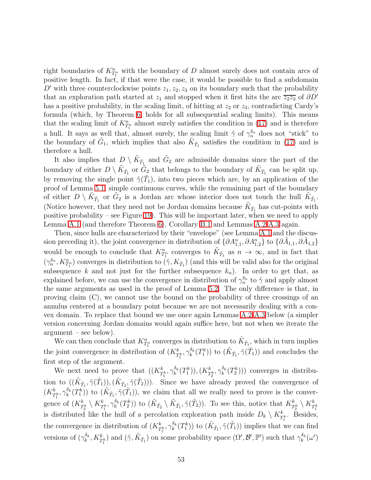right boundaries of  $K_{T_1^n}^n$  with the boundary of D almost surely does not contain arcs of positive length. In fact, if that were the case, it would be possible to find a subdomain D' with three counterclockwise points  $z_1, z_2, z_3$  on its boundary such that the probability that an exploration path started at  $z_1$  and stopped when it first hits the arc  $\overline{z_2z_3}$  of  $\partial D'$ has a positive probability, in the scaling limit, of hitting at  $z_2$  or  $z_3$ , contradicting Cardy's formula (which, by Theorem [6,](#page-42-0) holds for all subsequential scaling limits). This means that the scaling limit of  $K_{T_1^n}^n$  almost surely satisfies the condition in [\(17\)](#page-36-2) and is therefore a hull. It says as well that, almost surely, the scaling limit  $\tilde{\gamma}$  of  $\gamma_n^{\delta_n}$  does not "stick" to the boundary of  $\tilde{G}_1$ , which implies that also  $\tilde{K}_{\tilde{T}_1}$  satisfies the condition in [\(17\)](#page-36-2) and is therefore a hull.

It also implies that  $D \setminus \tilde{K}_{\tilde{T}_{\perp}}$  and  $\tilde{G}_2$  are admissible domains since the part of the boundary of either  $D \setminus \tilde{K}_{\tilde{T}_1}$  or  $\tilde{G}_2$  that belongs to the boundary of  $\tilde{K}_{\tilde{T}_1}$  can be split up, by removing the single point  $\tilde{\gamma}(\tilde{T}_1)$ , into two pieces which are, by an application of the proof of Lemma [5.1,](#page-17-0) simple continuous curves, while the remaining part of the boundary of either  $D \setminus \tilde{K}_{\tilde{T}_1}$  or  $\tilde{G}_2$  is a Jordan arc whose interior does not touch the hull  $\tilde{K}_{\tilde{T}_1}$ . (Notice however, that they need not be Jordan domains because  $\tilde{K}_{\tilde{T}_1}$  has cut-points with positive probability – see Figure [19\)](#page-53-1). This will be important later, when we need to apply Lemma [A.1](#page-38-0) (and therefore Theorem [6\)](#page-42-0), Corollary [B.1](#page-62-0) and Lemmas [A.2-](#page-53-0)[A.3](#page-54-0) again.

Then, since hulls are characterized by their "envelope" (see Lemma [A.1](#page-38-0) and the discussion preceding it), the joint convergence in distribution of  $\{\partial A_{1,1}^n, \partial A_{1,2}^n\}$  to  $\{\partial \tilde{A}_{1,1}, \partial \tilde{A}_{1,2}\}$ would be enough to conclude that  $K_{T_1^n}^n$  converges to  $\tilde{K}_{\tilde{T}_1}$  as  $n \to \infty$ , and in fact that  $(\gamma_n^{\delta_n}, K_{T_1^n}^n)$  converges in distribution to  $(\tilde{\gamma}, K_{\tilde{T}_1})$  (and this will be valid also for the original subsequence k and not just for the further subsequence  $k_n$ ). In order to get that, as explained before, we can use the convergence in distribution of  $\gamma_n^{\delta_n}$  to  $\tilde{\gamma}$  and apply almost the same arguments as used in the proof of Lemma [5.2.](#page-17-1) The only difference is that, in proving claim (C), we cannot use the bound on the probability of three crossings of an annulus centered at a boundary point because we are not necessarily dealing with a convex domain. To replace that bound we use once again Lemmas [A.2-](#page-53-0)[A.3](#page-54-0) below (a simpler version concerning Jordan domains would again suffice here, but not when we iterate the argument – see below).

We can then conclude that  $K_{T_1^n}^n$  converges in distribution to  $\tilde{K}_{\tilde{T}_1}$ , which in turn implies the joint convergence in distribution of  $(K_{T_1^k}^k, \gamma_k^{\delta_k})$  $(\tilde{k}_k(\tilde{T}_1^k))$  to  $(\tilde{K}_{\tilde{T}_1}, \tilde{\gamma}(\tilde{T}_1))$  and concludes the first step of the argument.

We next need to prove that  $((K_{T_1^k}^k, \gamma_k^{\delta_k}(T_1^k)), (K_{T_2^k}^k, \gamma_k^{\delta_k}(T_2^k)))$  converges in distribution to  $((\tilde{K}_{\tilde{T}_1}, \tilde{\gamma}(\tilde{T}_1)),(\tilde{K}_{\tilde{T}_2}, \tilde{\gamma}(\tilde{T}_2)))$ . Since we have already proved the convergence of  $(K^k_{T^k_1},\gamma_k^{\delta_k}$  $(\tilde{k}_k(\tilde{T}_1^k))$  to  $(\tilde{K}_{\tilde{T}_1}, \tilde{\gamma}(\tilde{T}_1)),$  we claim that all we really need to prove is the convergence of  $(K_{T_2^k}^k \setminus K_{T_1^k}^k, \gamma_k^{\delta_k})$  $(\tilde{k}_k^{\delta_k}(T_2^k))$  to  $(\tilde{K}_{\tilde{T}_2} \setminus \tilde{K}_{\tilde{T}_1}, \tilde{\gamma}(\tilde{T}_2))$ . To see this, notice that  $K_{T_2^k}^k \setminus K_{T_1^k}^k$ is distributed like the hull of a percolation exploration path inside  $D_k \setminus K_{T_1^k}^k$ . Besides, the convergence in distribution of  $(K_{T_1^k}^k, \gamma_k^{\delta_k})$  $(\tilde{k}_k^{(\delta_k)}(T_1^k))$  to  $(\tilde{K}_{\tilde{T}_1}, \tilde{\gamma}(\tilde{T}_1))$  implies that we can find versions of  $(\gamma_k^{\delta_k})$  $(\tilde{\lambda}_k^{\delta_k}, K_{T_1^k}^k)$  and  $(\tilde{\gamma}, \tilde{K}_{\tilde{T}_1})$  on some probability space  $(\Omega', \mathcal{B}', \mathbb{P}')$  such that  $\gamma_k^{\delta_k}$  $\binom{0}{k}$   $\left(\omega'\right)$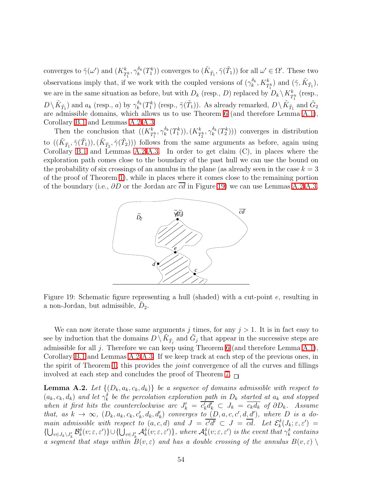converges to  $\tilde{\gamma}(\omega')$  and  $(K_{T_1^k}^k, \gamma_k^{\delta_k})$  $(\tilde{k}_k^{\delta_k}(T_1^k))$  converges to  $(\tilde{K}_{\tilde{T}_1}, \tilde{\gamma}(\tilde{T}_1))$  for all  $\omega' \in \Omega'$ . These two observations imply that, if we work with the coupled versions of  $(\gamma_k^{\delta_k}, K_{T_1^k}^k)$  and  $(\tilde{\gamma}, \tilde{K}_{\tilde{T}_1})$ , we are in the same situation as before, but with  $D_k$  (resp., D) replaced by  $D_k \setminus K_{T_1^k}^k$  (resp.,  $D \setminus \tilde{K}_{\tilde{T}_1}$  and  $a_k$  (resp., a) by  $\gamma_k^{\delta_k}(T_1^k)$  (resp.,  $\tilde{\gamma}(\tilde{T}_1)$ ). As already remarked,  $D \setminus \tilde{K}_{\tilde{T}_1}$  and  $\tilde{G}_2$ are admissible domains, which allows us to use Theorem [6](#page-42-0) (and therefore Lemma [A.1\)](#page-38-0), Corollary [B.1](#page-62-0) and Lemmas [A.2](#page-53-0)[-A.3.](#page-54-0)

Then the conclusion that  $((K_{T_1^k}^k, \gamma_k^{\delta_k}(T_1^k)), (K_{T_2^k}^k, \gamma_k^{\delta_k}(T_2^k)))$  converges in distribution to  $((\tilde{K}_{\tilde{T}_1}, \tilde{\gamma}(\tilde{T}_1)),(\tilde{K}_{\tilde{T}_2}, \tilde{\gamma}(\tilde{T}_2)))$  follows from the same arguments as before, again using Corollary [B.1](#page-62-0) and Lemmas [A.2-](#page-53-0)[A.3.](#page-54-0) In order to get claim (C), in places where the exploration path comes close to the boundary of the past hull we can use the bound on the probability of six crossings of an annulus in the plane (as already seen in the case  $k = 3$ ) of the proof of Theorem [1\)](#page-18-1), while in places where it comes close to the remaining portion of the boundary (i.e.,  $\partial D$  or the Jordan arc  $\overline{cd}$  in Figure [19\)](#page-53-1) we can use Lemmas [A.2-](#page-53-0)[A.3.](#page-54-0)



<span id="page-53-1"></span>Figure 19: Schematic figure representing a hull (shaded) with a cut-point e, resulting in a non-Jordan, but admissible,  $D_2$ .

We can now iterate those same arguments j times, for any  $j > 1$ . It is in fact easy to see by induction that the domains  $D \setminus \tilde{K}_{\tilde{T}_j}$  and  $\tilde{G}_j$  that appear in the successive steps are admissible for all  $j$ . Therefore we can keep using Theorem [6](#page-42-0) (and therefore Lemma [A.1\)](#page-38-0), Corollary [B.1](#page-62-0) and Lemmas [A.2](#page-53-0)[-A.3.](#page-54-0) If we keep track at each step of the previous ones, in the spirit of Theorem [1,](#page-18-1) this provides the *joint* convergence of all the curves and fillings involved at each step and concludes the proof of Theorem [7.](#page-48-0)  $\Box$ 

<span id="page-53-0"></span>**Lemma A.2.** Let  $\{(D_k, a_k, c_k, d_k)\}\)$  *be a sequence of domains admissible with respect to*  $(a_k, c_k, d_k)$  and let  $\gamma_k^{\delta}$  be the percolation exploration path in  $D_k$  started at  $a_k$  and stopped *when it first hits the counterclockwise arc*  $J'_k = c'_k d'_k \subset J_k = c_k d_k$  *of*  $\partial D_k$ . Assume *that, as*  $k \to \infty$ ,  $(D_k, a_k, c_k, c'_k, d_k, d'_k)$  *converges to*  $(D, a, c, c', d, d')$ , where D is a do*main admissible with respect to*  $(a, c, d)$  *and*  $J = \overline{c'd'} \subset J = \overline{cd}$ . Let  $\mathcal{E}_k^{\delta}(J_k; \varepsilon, \varepsilon') =$  $\{\bigcup_{v\in J_k\setminus J'_k}\mathcal{B}_k^\delta(v;\varepsilon,\varepsilon')\}\cup\{\bigcup_{v\in J'_k}\mathcal{A}_k^\delta(v;\varepsilon,\varepsilon')\}\$ , where  $\mathcal{A}_k^\delta(v;\varepsilon,\varepsilon')$  is the event that  $\gamma_k^\delta$  contains *a segment that stays within*  $B(v, \varepsilon)$  *and has a double crossing of the annulus*  $B(v, \varepsilon)$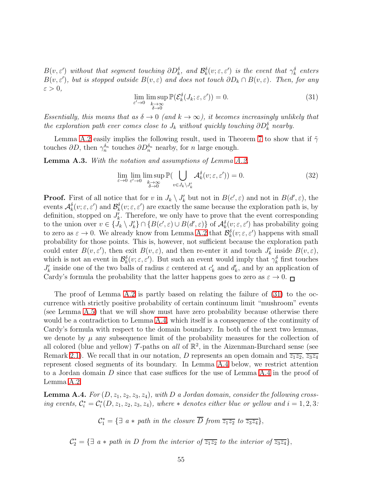<span id="page-54-2"></span> $B(v, \varepsilon')$  without that segment touching  $\partial D_k^{\delta}$ , and  $\mathcal{B}_k^{\delta}(v; \varepsilon, \varepsilon')$  is the event that  $\gamma_k^{\delta}$  enters  $B(v, \varepsilon')$ , but is stopped outside  $B(v, \varepsilon)$  and does not touch  $\partial D_k \cap B(v, \varepsilon)$ . Then, for any  $\varepsilon > 0$ ,

$$
\lim_{\varepsilon' \to 0} \limsup_{\substack{k \to \infty \\ \delta \to 0}} \mathbb{P}(\mathcal{E}_k^{\delta}(J_k; \varepsilon, \varepsilon')) = 0.
$$
\n(31)

*Essentially, this means that as*  $\delta \to 0$  *(and*  $k \to \infty$ *), it becomes increasingly unlikely that the exploration path ever comes close to*  $J_k$  *without quickly touching*  $\partial D_k^{\delta}$  *nearby.* 

<span id="page-54-0"></span>Lemma [A.2](#page-53-0) easily implies the following result, used in Theorem [7](#page-48-0) to show that if  $\tilde{\gamma}$ touches  $\partial D$ , then  $\gamma_n^{\delta_n}$  touches  $\partial D_n^{\delta_n}$  nearby, for *n* large enough.

Lemma A.3. *With the notation and assumptions of Lemma [A.2,](#page-53-0)*

$$
\lim_{\varepsilon \to 0} \lim_{\varepsilon' \to 0} \lim_{\substack{k \to \infty \\ \delta \to 0}} \mathbb{P}(\bigcup_{v \in J_k \setminus J'_k} \mathcal{A}_{k}^{\delta}(v; \varepsilon, \varepsilon')) = 0. \tag{32}
$$

**Proof.** First of all notice that for v in  $J_k \setminus J'_k$  but not in  $B(c', \varepsilon)$  and not in  $B(d', \varepsilon)$ , the events  $\mathcal{A}_{k}^{\delta}(v;\varepsilon,\varepsilon')$  and  $\mathcal{B}_{k}^{\delta}(v;\varepsilon,\varepsilon')$  are exactly the same because the exploration path is, by definition, stopped on  $J'_{k}$ . Therefore, we only have to prove that the event corresponding to the union over  $v \in \{J_k \setminus J'_k\} \cap \{B(c',\varepsilon) \cup B(d',\varepsilon)\}\$  of  $\mathcal{A}_{k}^{\delta}(v;\varepsilon,\varepsilon')$  has probability going to zero as  $\varepsilon \to 0$ . We already know from Lemma [A.2](#page-53-0) that  $\mathcal{B}_k^{\delta}(v; \varepsilon, \varepsilon')$  happens with small probability for those points. This is, however, not sufficient because the exploration path could enter  $B(v, \varepsilon')$ , then exit  $B(v, \varepsilon)$ , and then re-enter it and touch  $J'_k$  inside  $B(v, \varepsilon)$ , which is not an event in  $\mathcal{B}_k^{\delta}(v; \varepsilon, \varepsilon')$ . But such an event would imply that  $\gamma_k^{\delta}$  first touches  $J'_k$  inside one of the two balls of radius  $\varepsilon$  centered at  $c'_k$  and  $d'_k$ , and by an application of Cardy's formula the probability that the latter happens goes to zero as  $\varepsilon \to 0$ .

The proof of Lemma [A.2](#page-53-0) is partly based on relating the failure of [\(31\)](#page-54-2) to the occurrence with strictly positive probability of certain continuum limit "mushroom" events (see Lemma [A.5\)](#page-55-0) that we will show must have zero probability because otherwise there would be a contradiction to Lemma [A.4,](#page-54-1) which itself is a consequence of the continuity of Cardy's formula with respect to the domain boundary. In both of the next two lemmas, we denote by  $\mu$  any subsequence limit of the probability measures for the collection of all colored (blue and yellow)  $\mathcal{T}$ -paths on *all* of  $\mathbb{R}^2$ , in the Aizenman-Burchard sense (see Remark [2.1\)](#page-5-1). We recall that in our notation, D represents an open domain and  $\overline{z_1z_2}$ ,  $\overline{z_3z_4}$ represent closed segments of its boundary. In Lemma [A.4](#page-54-1) below, we restrict attention to a Jordan domain D since that case suffices for the use of Lemma [A.4](#page-54-1) in the proof of Lemma [A.2.](#page-53-0)

<span id="page-54-1"></span>**Lemma A.4.** For  $(D, z_1, z_2, z_3, z_4)$ , with D a Jordan domain, consider the following cross*ing events,*  $C_i^* = C_i^*(D, z_1, z_2, z_3, z_4)$ *, where*  $*$  *denotes either blue or yellow and*  $i = 1, 2, 3$ *:* 

 $\mathcal{C}_1^* = \{ \exists a * path in the closure D from \overline{z_1 z_2} to \overline{z_3 z_4} \},\$ 

$$
\mathcal{C}_2^* = \{ \exists a * path in D from the interior of \overline{z_1 z_2} to the interior of \overline{z_3 z_4} \},\
$$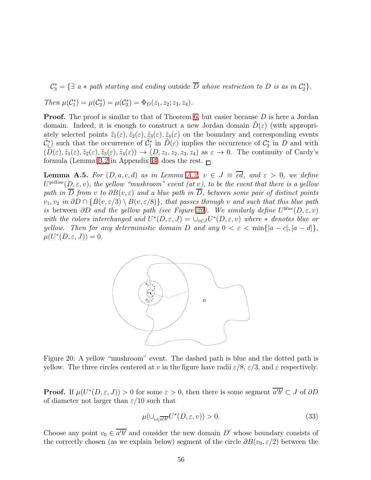$\mathcal{C}_3^* = \{ \exists a * path starting and ending outside D whose restriction to D is as in \mathcal{C}_2^* \}.$ 

*Then*  $\mu(C_1^*) = \mu(C_2^*) = \mu(C_3^*) = \Phi_D(z_1, z_2; z_3, z_4)$ *.* 

**Proof.** The proof is similar to that of Theorem [6,](#page-42-0) but easier because  $D$  is here a Jordan domain. Indeed, it is enough to construct a new Jordan domain  $D(\varepsilon)$  (with appropriately selected points  $\tilde{z}_1(\varepsilon), \tilde{z}_2(\varepsilon), \tilde{z}_3(\varepsilon), \tilde{z}_4(\varepsilon)$  on the boundary and corresponding events  $(\tilde{C}_{i}^{*})$  such that the occurrence of  $\tilde{C}_{1}^{*}$  in  $\tilde{D}(\varepsilon)$  implies the occurrence of  $C_{3}^{*}$  in D and with  $(\tilde{D}(\varepsilon), \tilde{z}_1(\varepsilon), \tilde{z}_2(\varepsilon), \tilde{z}_3(\varepsilon), \tilde{z}_4(\varepsilon)) \to (D, z_1, z_2, z_3, z_4)$  as  $\varepsilon \to 0$ . The continuity of Cardy's formula (Lemma [B.2](#page-63-0) in Appendix [B\)](#page-59-0) does the rest.  $\sqcap$ 

<span id="page-55-0"></span>**Lemma A.5.** For  $(D, a, c, d)$  *as in Lemma [A.2,](#page-53-0)*  $v \in J \equiv \overline{cd}$ , and  $\varepsilon > 0$ , we define  $U^{yellow}(D, \varepsilon, v)$ , the yellow "mushroom" event (at v), to be the event that there is a yellow *path in*  $\overline{D}$  *from* v *to*  $\partial B(v, \varepsilon)$  *and a blue path in*  $\overline{D}$ *, between some pair of distinct points*  $v_1, v_2$  *in* ∂D ∩ {B(v,  $\varepsilon/3$ ) \ B(v,  $\varepsilon/8$ )}*, that passes through* v *and such that this blue path is* between  $\partial D$  *and the yellow path (see Figure [20\)](#page-55-1). We similarly define*  $U^{blue}(D, \varepsilon, v)$ with the colors interchanged and  $U^*(D, \varepsilon, J) = \bigcup_{v \in J} U^*(D, \varepsilon, v)$  where  $*$  denotes blue or *yellow. Then for any deterministic domain* D *and any*  $0 < \varepsilon < \min\{|a - c|, |a - d|\}$ ,  $\mu(U^*(D,\varepsilon,J))=0.$ 



<span id="page-55-1"></span>Figure 20: A yellow "mushroom" event. The dashed path is blue and the dotted path is yellow. The three circles centered at v in the figure have radii  $\varepsilon/8$ ,  $\varepsilon/3$ , and  $\varepsilon$  respectively.

**Proof.** If  $\mu(U^*(D, \varepsilon, J)) > 0$  for some  $\varepsilon > 0$ , then there is some segment  $a'b' \subset J$  of  $\partial D$ of diameter not larger than  $\varepsilon/10$  such that

$$
\mu(\cup_{v \in \overline{a'b'}} U^*(D, \varepsilon, v)) > 0. \tag{33}
$$

Choose any point  $v_0 \in a'b'$  and consider the new domain D' whose boundary consists of the correctly chosen (as we explain below) segment of the circle  $\partial B(v_0, \varepsilon/2)$  between the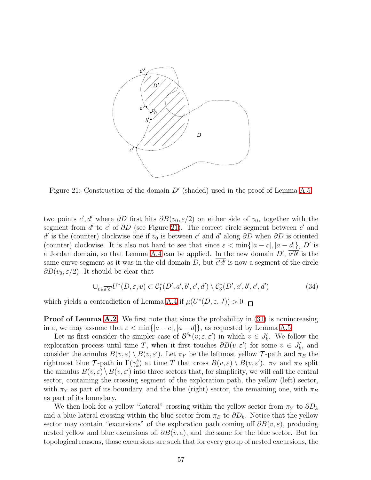

<span id="page-56-0"></span>Figure 21: Construction of the domain  $D'$  (shaded) used in the proof of Lemma [A.5.](#page-55-0)

two points  $c', d'$  where  $\partial D$  first hits  $\partial B(v_0, \varepsilon/2)$  on either side of  $v_0$ , together with the segment from  $d'$  to  $c'$  of  $\partial D$  (see Figure [21\)](#page-56-0). The correct circle segment between  $c'$  and d' is the (counter) clockwise one if  $v_0$  is between c' and d' along  $\partial D$  when  $\partial D$  is oriented (counter) clockwise. It is also not hard to see that since  $\varepsilon < \min\{|a-c|, |a-d|\}, D'$  is a Jordan domain, so that Lemma [A.4](#page-54-1) can be applied. In the new domain  $D'$ ,  $a'b'$  is the same curve segment as it was in the old domain  $D$ , but  $c'd'$  is now a segment of the circle  $\partial B(v_0, \varepsilon/2)$ . It should be clear that

$$
\bigcup_{v \in \overline{a'b'}} U^*(D, \varepsilon, v) \subset C_1^*(D', a', b', c', d') \setminus C_3^*(D', a', b', c', d')
$$
(34)

which yields a contradiction of Lemma [A.4](#page-54-1) if  $\mu(U^*(D,\varepsilon, J)) > 0$ .

**Proof of Lemma [A.2.](#page-53-0)** We first note that since the probability in [\(31\)](#page-54-2) is nonincreasing in  $\varepsilon$ , we may assume that  $\varepsilon < \min\{|a-c|, |a-d|\}$ , as requested by Lemma [A.5.](#page-55-0)

Let us first consider the simpler case of  $\mathcal{B}^{\delta_k}(v;\varepsilon,\varepsilon')$  in which  $v \in J'_k$ . We follow the exploration process until time T, when it first touches  $\partial B(v, \varepsilon')$  for some  $v \in J'_k$ , and consider the annulus  $B(v, \varepsilon) \setminus B(v, \varepsilon')$ . Let  $\pi_Y$  be the leftmost yellow  $\mathcal T$ -path and  $\pi_B$  the rightmost blue T-path in  $\Gamma(\gamma_k^{\delta})$  at time T that cross  $B(v, \varepsilon) \setminus B(v, \varepsilon')$ .  $\pi_Y$  and  $\pi_B$  split the annulus  $B(v, \varepsilon) \setminus B(v, \varepsilon')$  into three sectors that, for simplicity, we will call the central sector, containing the crossing segment of the exploration path, the yellow (left) sector, with  $\pi_Y$  as part of its boundary, and the blue (right) sector, the remaining one, with  $\pi_B$ as part of its boundary.

We then look for a yellow "lateral" crossing within the yellow sector from  $\pi_Y$  to  $\partial D_k$ and a blue lateral crossing within the blue sector from  $\pi_B$  to  $\partial D_k$ . Notice that the yellow sector may contain "excursions" of the exploration path coming off  $\partial B(v, \varepsilon)$ , producing nested yellow and blue excursions of  $\partial B(v, \varepsilon)$ , and the same for the blue sector. But for topological reasons, those excursions are such that for every group of nested excursions, the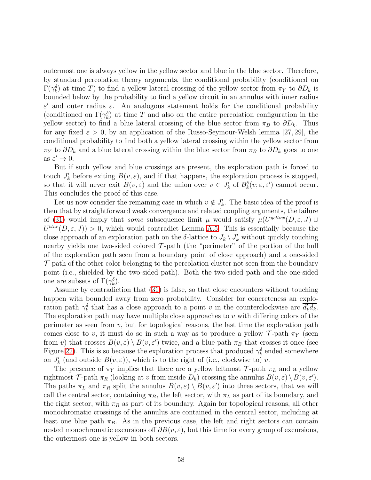outermost one is always yellow in the yellow sector and blue in the blue sector. Therefore, by standard percolation theory arguments, the conditional probability (conditioned on  $\Gamma(\gamma_k^{\delta})$  at time T) to find a yellow lateral crossing of the yellow sector from  $\pi_Y$  to  $\partial D_k$  is bounded below by the probability to find a yellow circuit in an annulus with inner radius  $\varepsilon'$  and outer radius  $\varepsilon$ . An analogous statement holds for the conditional probability (conditioned on  $\Gamma(\gamma_k^{\delta})$  at time T and also on the entire percolation configuration in the yellow sector) to find a blue lateral crossing of the blue sector from  $\pi_B$  to  $\partial D_k$ . Thus for any fixed  $\varepsilon > 0$ , by an application of the Russo-Seymour-Welsh lemma [27, 29], the conditional probability to find both a yellow lateral crossing within the yellow sector from  $\pi_Y$  to  $\partial D_k$  and a blue lateral crossing within the blue sector from  $\pi_B$  to  $\partial D_k$  goes to one as  $\varepsilon' \to 0$ .

But if such yellow and blue crossings are present, the exploration path is forced to touch  $J'_k$  before exiting  $B(v, \varepsilon)$ , and if that happens, the exploration process is stopped, so that it will never exit  $B(v, \varepsilon)$  and the union over  $v \in J'_k$  of  $\mathcal{B}_{k}^{\delta}(v; \varepsilon, \varepsilon')$  cannot occur. This concludes the proof of this case.

Let us now consider the remaining case in which  $v \notin J'_{k}$ . The basic idea of the proof is then that by straightforward weak convergence and related coupling arguments, the failure of [\(31\)](#page-54-2) would imply that *some* subsequence limit  $\mu$  would satisfy  $\mu(U^{\text{yellow}}(D,\varepsilon, J) \cup$  $U^{blue}(D, \varepsilon, J) > 0$ , which would contradict Lemma [A.5.](#page-55-0) This is essentially because the close approach of an exploration path on the  $\delta$ -lattice to  $J_k \setminus J'_k$  without quickly touching nearby yields one two-sided colored  $\mathcal T$ -path (the "perimeter" of the portion of the hull of the exploration path seen from a boundary point of close approach) and a one-sided  $\mathcal{T}$ -path of the other color belonging to the percolation cluster not seen from the boundary point (i.e., shielded by the two-sided path). Both the two-sided path and the one-sided one are subsets of  $\Gamma(\gamma_k^{\delta})$ .

Assume by contradiction that [\(31\)](#page-54-2) is false, so that close encounters without touching happen with bounded away from zero probability. Consider for concreteness an exploration path  $\gamma_k^{\delta}$  that has a close approach to a point v in the counterclockwise arc  $\overline{d'_k d_k}$ . The exploration path may have multiple close approaches to  $v$  with differing colors of the perimeter as seen from  $v$ , but for topological reasons, the last time the exploration path comes close to v, it must do so in such a way as to produce a yellow  $\mathcal{T}$ -path  $\pi_Y$  (seen from v) that crosses  $B(v, \varepsilon) \setminus B(v, \varepsilon')$  twice, and a blue path  $\pi_B$  that crosses it once (see Figure [22\)](#page-58-1). This is so because the exploration process that produced  $\gamma_k^{\delta}$  ended somewhere on  $J'_k$  (and outside  $B(v, \varepsilon)$ ), which is to the right of (i.e., clockwise to) v.

The presence of  $\pi_Y$  implies that there are a yellow leftmost  $\mathcal{T}$ -path  $\pi_L$  and a yellow rightmost  $\mathcal{T}$ -path  $\pi_R$  (looking at v from inside  $D_k$ ) crossing the annulus  $B(v, \varepsilon) \setminus B(v, \varepsilon')$ . The paths  $\pi_L$  and  $\pi_R$  split the annulus  $B(v, \varepsilon) \setminus B(v, \varepsilon')$  into three sectors, that we will call the central sector, containing  $\pi_B$ , the left sector, with  $\pi_L$  as part of its boundary, and the right sector, with  $\pi_R$  as part of its boundary. Again for topological reasons, all other monochromatic crossings of the annulus are contained in the central sector, including at least one blue path  $\pi_B$ . As in the previous case, the left and right sectors can contain nested monochromatic excursions of  $\partial B(v, \varepsilon)$ , but this time for every group of excursions, the outermost one is yellow in both sectors.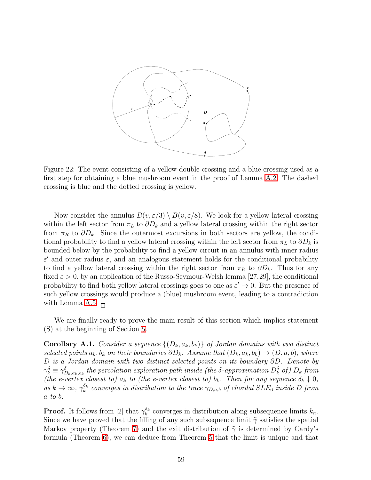

<span id="page-58-1"></span>Figure 22: The event consisting of a yellow double crossing and a blue crossing used as a first step for obtaining a blue mushroom event in the proof of Lemma [A.2.](#page-53-0) The dashed crossing is blue and the dotted crossing is yellow.

Now consider the annulus  $B(v, \varepsilon/3) \setminus B(v, \varepsilon/8)$ . We look for a yellow lateral crossing within the left sector from  $\pi_L$  to  $\partial D_k$  and a yellow lateral crossing within the right sector from  $\pi_R$  to  $\partial D_k$ . Since the outermost excursions in both sectors are yellow, the conditional probability to find a yellow lateral crossing within the left sector from  $\pi_L$  to  $\partial D_k$  is bounded below by the probability to find a yellow circuit in an annulus with inner radius  $\varepsilon'$  and outer radius  $\varepsilon$ , and an analogous statement holds for the conditional probability to find a yellow lateral crossing within the right sector from  $\pi_R$  to  $\partial D_k$ . Thus for any fixed  $\varepsilon > 0$ , by an application of the Russo-Seymour-Welsh lemma [27,29], the conditional probability to find both yellow lateral crossings goes to one as  $\varepsilon' \to 0$ . But the presence of such yellow crossings would produce a (blue) mushroom event, leading to a contradiction with Lemma [A.5.](#page-55-0)  $\Box$ 

<span id="page-58-0"></span>We are finally ready to prove the main result of this section which implies statement (S) at the beginning of Section [5.](#page-16-0)

**Corollary A.1.** *Consider a sequence*  $\{(D_k, a_k, b_k)\}\$  *of Jordan domains with two distinct selected points*  $a_k, b_k$  *on their boundaries*  $\partial D_k$ *. Assume that*  $(D_k, a_k, b_k) \rightarrow (D, a, b)$ *, where* D *is a Jordan domain with two distinct selected points on its boundary* ∂D*. Denote by*  $\gamma_k^\delta \equiv \gamma_{D_k,a_k,b_k}^\delta$  the percolation exploration path inside (the  $\delta$ -approximation  $D_k^\delta$  of)  $D_k$  from *(the e-vertex closest to)*  $a_k$  *to (the e-vertex closest to)*  $b_k$ *. Then for any sequence*  $\delta_k \downarrow 0$ *,*  $as k \to \infty$ ,  $\gamma_k^{\delta_k}$  converges in distribution to the trace  $\gamma_{D,a,b}$  of chordal  $SLE_6$  inside D from a *to* b*.*

**Proof.** It follows from [2] that  $\gamma_k^{\delta_k}$  $k_k^{\delta_k}$  converges in distribution along subsequence limits  $k_n$ . Since we have proved that the filling of any such subsequence limit  $\tilde{\gamma}$  satisfies the spatial Markov property (Theorem [7\)](#page-48-0) and the exit distribution of  $\tilde{\gamma}$  is determined by Cardy's formula (Theorem [6\)](#page-42-0), we can deduce from Theorem [5](#page-38-1) that the limit is unique and that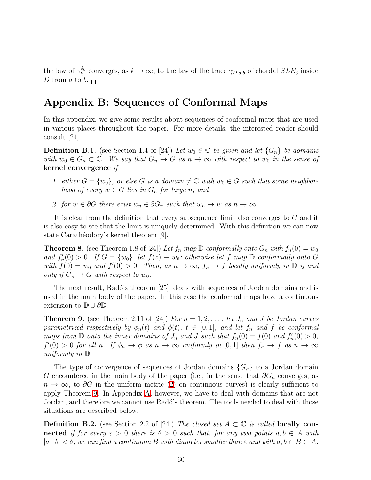the law of  $\gamma_k^{\delta_k}$ <sup>o<sub>k</sub></sup> converges, as  $k \to \infty$ , to the law of the trace  $\gamma_{D,a,b}$  of chordal  $SLE_6$  inside D from a to b.  $\Box$ 

### Appendix B: Sequences of Conformal Maps

<span id="page-59-0"></span>In this appendix, we give some results about sequences of conformal maps that are used in various places throughout the paper. For more details, the interested reader should consult [24].

**Definition B.1.** (see Section 1.4 of [24]) Let  $w_0 \in \mathbb{C}$  be given and let  $\{G_n\}$  be domains *with*  $w_0 \in G_n \subset \mathbb{C}$ *. We say that*  $G_n \to G$  *as*  $n \to \infty$  *with respect to*  $w_0$  *in the sense of* kernel convergence *if*

- *1. either*  $G = \{w_0\}$ , or else G is a domain  $\neq \mathbb{C}$  with  $w_0 \in G$  such that some neighbor*hood of every*  $w \in G$  *lies in*  $G_n$  *for large n;* and
- 2. for  $w \in \partial G$  there exist  $w_n \in \partial G_n$  such that  $w_n \to w$  as  $n \to \infty$ .

It is clear from the definition that every subsequence limit also converges to G and it is also easy to see that the limit is uniquely determined. With this definition we can now state Carathéodory's kernel theorem [9].

<span id="page-59-2"></span>**Theorem 8.** (see Theorem 1.8 of [24]) Let  $f_n$  map  $\mathbb D$  conformally onto  $G_n$  with  $f_n(0) = w_0$ and  $f'_n(0) > 0$ . If  $G = \{w_0\}$ , let  $f(z) \equiv w_0$ ; otherwise let f map  $D$  conformally onto G with  $f(0) = w_0$  and  $f'(0) > 0$ . Then, as  $n \to \infty$ ,  $f_n \to f$  *locally uniformly in*  $\mathbb{D}$  *if and only if*  $G_n \to G$  *with respect to*  $w_0$ *.* 

The next result, Radó's theorem [25], deals with sequences of Jordan domains and is used in the main body of the paper. In this case the conformal maps have a continuous extension to  $\mathbb{D} \cup \partial \mathbb{D}$ .

<span id="page-59-1"></span>**Theorem 9.** (see Theorem 2.11 of [24]) *For*  $n = 1, 2, \ldots$ , *let*  $J_n$  *and*  $J$  *be Jordan curves parametrized respectively by*  $\phi_n(t)$  *and*  $\phi(t)$ *,*  $t \in [0,1]$ *, and let*  $f_n$  *and*  $f$  *be conformal maps from*  $\mathbb D$  *onto the inner domains of*  $J_n$  *and*  $J$  *such that*  $f_n(0) = f(0)$  *and*  $f'_n(0) > 0$ *,*  $f'(0) > 0$  for all n. If  $\phi_n \to \phi$  as  $n \to \infty$  uniformly in [0,1] then  $f_n \to f$  as  $n \to \infty$ *uniformly in* D*.*

The type of convergence of sequences of Jordan domains  ${G_n}$  to a Jordan domain G encountered in the main body of the paper (i.e., in the sense that  $\partial G_n$  converges, as  $n \to \infty$ , to  $\partial G$  in the uniform metric [\(2\)](#page-4-0) on continuous curves) is clearly sufficient to apply Theorem [9.](#page-59-1) In Appendix [A,](#page-35-0) however, we have to deal with domains that are not Jordan, and therefore we cannot use Radó's theorem. The tools needed to deal with those situations are described below.

**Definition B.2.** (see Section 2.2 of [24]) *The closed set*  $A \subset \mathbb{C}$  *is called* **locally con**nected *if for every*  $\varepsilon > 0$  *there is*  $\delta > 0$  *such that, for any two points*  $a, b \in A$  *with*  $|a-b| < \delta$ , we can find a continuum B with diameter smaller than  $\varepsilon$  and with  $a, b \in B \subset A$ .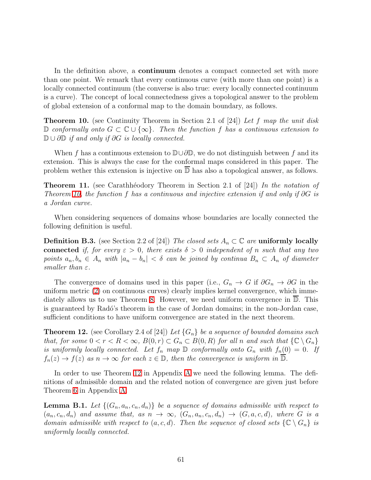In the definition above, a continuum denotes a compact connected set with more than one point. We remark that every continuous curve (with more than one point) is a locally connected continuum (the converse is also true: every locally connected continuum is a curve). The concept of local connectedness gives a topological answer to the problem of global extension of a conformal map to the domain boundary, as follows.

<span id="page-60-0"></span>Theorem 10. (see Continuity Theorem in Section 2.1 of [24]) *Let* f *map the unit disk* <sup>D</sup> *conformally onto* <sup>G</sup> <sup>⊂</sup> <sup>C</sup> ∪ {∞}*. Then the function* <sup>f</sup> *has a continuous extension to* <sup>D</sup> <sup>∪</sup> <sup>∂</sup><sup>D</sup> *if and only if* ∂G *is locally connected.*

When f has a continuous extension to  $\mathbb{D}\cup\partial\mathbb{D}$ , we do not distinguish between f and its extension. This is always the case for the conformal maps considered in this paper. The problem wether this extension is injective on  $\overline{D}$  has also a topological answer, as follows.

Theorem 11. (see Carathh´eodory Theorem in Section 2.1 of [24]) *In the notation of Theorem [10,](#page-60-0) the function* f *has a continuous and injective extension if and only if* ∂G *is a Jordan curve.*

When considering sequences of domains whose boundaries are locally connected the following definition is useful.

**Definition B.3.** (see Section 2.2 of [24]) *The closed sets*  $A_n \subset \mathbb{C}$  *are* uniformly locally connected *if, for every*  $\varepsilon > 0$ *, there exists*  $\delta > 0$  *independent of* n *such that any two points*  $a_n, b_n \in A_n$  *with*  $|a_n - b_n| < \delta$  *can be joined by continua*  $B_n \subset A_n$  *of diameter smaller than* ε*.*

The convergence of domains used in this paper (i.e.,  $G_n \to G$  if  $\partial G_n \to \partial G$  in the uniform metric [\(2\)](#page-4-0) on continuous curves) clearly implies kernel convergence, which immediately allows us to use Theorem [8.](#page-59-2) However, we need uniform convergence in D. This is guaranteed by Radó's theorem in the case of Jordan domains; in the non-Jordan case, sufficient conditions to have uniform convergence are stated in the next theorem.

<span id="page-60-1"></span>**Theorem 12.** (see Corollary 2.4 of [24]) Let  $\{G_n\}$  be a sequence of bounded domains such *that, for some*  $0 < r < R < \infty$ ,  $B(0,r) \subset G_n \subset B(0,R)$  *for all n and such that*  $\{C \setminus G_n\}$ *is uniformly locally connected. Let*  $f_n$  *map*  $\mathbb D$  *conformally onto*  $G_n$  *with*  $f_n(0) = 0$ *. If*  $f_n(z) \to f(z)$  *as*  $n \to \infty$  *for each*  $z \in \mathbb{D}$ *, then the convergence is uniform in*  $\overline{\mathbb{D}}$ *.* 

In order to use Theorem [12](#page-60-1) in Appendix [A](#page-35-0) we need the following lemma. The definitions of admissible domain and the related notion of convergence are given just before Theorem [6](#page-42-0) in Appendix [A.](#page-35-0)

<span id="page-60-2"></span>**Lemma B.1.** Let  $\{(G_n, a_n, c_n, d_n)\}\)$  *be a sequence of domains admissible with respect to*  $(a_n, c_n, d_n)$  and assume that, as  $n \to \infty$ ,  $(G_n, a_n, c_n, d_n) \to (G, a, c, d)$ , where G is a *domain admissible with respect to*  $(a, c, d)$ *. Then the sequence of closed sets*  $\{C \setminus G_n\}$  *is uniformly locally connected.*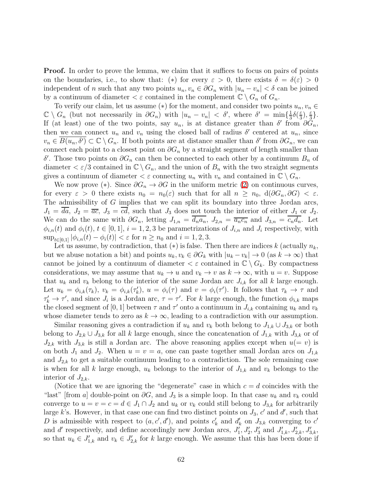Proof. In order to prove the lemma, we claim that it suffices to focus on pairs of points on the boundaries, i.e., to show that: (\*) for every  $\varepsilon > 0$ , there exists  $\delta = \delta(\varepsilon) > 0$ independent of n such that any two points  $u_n, v_n \in \partial G_n$  with  $|u_n - v_n| < \delta$  can be joined by a continuum of diameter  $\epsilon \in \epsilon$  contained in the complement  $\mathbb{C} \setminus G_n$  of  $G_n$ .

To verify our claim, let us assume (\*) for the moment, and consider two points  $u_n, v_n \in$  $\mathbb{C} \setminus G_n$  (but not necessarily in  $\partial G_n$ ) with  $|u_n - v_n| < \delta'$ , where  $\delta' = \min\{\frac{1}{3}, \frac{1}{3}, \frac{1}{3}\}$  $rac{1}{3}\delta(\frac{\varepsilon}{3}$  $\frac{\varepsilon}{3}$ ,  $\frac{\varepsilon}{3}$  $\frac{\varepsilon}{3}$ . If (at least) one of the two points, say  $u_n$ , is at distance greater than  $\delta'$  from  $\partial G_n$ , then we can connect  $u_n$  and  $v_n$  using the closed ball of radius  $\delta'$  centered at  $u_n$ , since  $v_n \in \overline{B(u_n, \delta')} \subset \mathbb{C} \setminus G_n$ . If both points are at distance smaller than  $\delta'$  from  $\partial G_n$ , we can connect each point to a closest point on  $\partial G_n$  by a straight segment of length smaller than δ'. Those two points on  $\partial G_n$  can then be connected to each other by a continuum  $B_n$  of diameter  $\langle \varepsilon/3 \text{ contained in } \mathbb{C} \setminus G_n$ , and the union of  $B_n$  with the two straight segments gives a continuum of diameter  $\lt \varepsilon$  connecting  $u_n$  with  $v_n$  and contained in  $\mathbb{C} \setminus G_n$ .

We now prove (\*). Since  $\partial G_n \to \partial G$  in the uniform metric [\(2\)](#page-4-0) on continuous curves, for every  $\varepsilon > 0$  there exists  $n_0 = n_0(\varepsilon)$  such that for all  $n \geq n_0$ ,  $d(\partial G_n, \partial G) < \varepsilon$ . The admissibility of G implies that we can split its boundary into three Jordan arcs,  $J_1 = \overline{da}$ ,  $J_2 = \overline{ac}$ ,  $J_3 = \overline{cd}$ , such that  $J_3$  does not touch the interior of either  $J_1$  or  $J_2$ . We can do the same with  $\partial G_n$ , letting  $J_{1,n} = \overline{d_n a_n}$ ,  $J_{2,n} = \overline{a_n c_n}$  and  $J_{3,n} = \overline{c_n d_n}$ . Let  $\phi_{i,n}(t)$  and  $\phi_i(t)$ ,  $t \in [0,1], i = 1,2,3$  be parametrizations of  $J_{i,n}$  and  $J_i$  respectively, with  $\sup_{t\in[0,1]} |\phi_{i,n}(t) - \phi_i(t)| < \varepsilon$  for  $n \geq n_0$  and  $i = 1, 2, 3$ .

Let us assume, by contradiction, that  $(*)$  is false. Then there are indices k (actually  $n_k$ , but we abuse notation a bit) and points  $u_k, v_k \in \partial G_k$  with  $|u_k - v_k| \to 0$  (as  $k \to \infty$ ) that cannot be joined by a continuum of diameter  $\langle \varepsilon \rangle$  contained in  $\mathbb{C} \setminus G_k$ . By compactness considerations, we may assume that  $u_k \to u$  and  $v_k \to v$  as  $k \to \infty$ , with  $u = v$ . Suppose that  $u_k$  and  $v_k$  belong to the interior of the same Jordan arc  $J_{i,k}$  for all k large enough. Let  $u_k = \phi_{i,k}(\tau_k)$ ,  $v_k = \phi_{i,k}(\tau_k')$ ,  $u = \phi_i(\tau)$  and  $v = \phi_i(\tau')$ . It follows that  $\tau_k \to \tau$  and  $\tau'_k \to \tau'$ , and since  $J_i$  is a Jordan arc,  $\tau = \tau'$ . For k large enough, the function  $\phi_{i,k}$  maps the closed segment of [0, 1] between  $\tau$  and  $\tau'$  onto a continuum in  $J_{i,k}$  containing  $u_k$  and  $v_k$ whose diameter tends to zero as  $k \to \infty$ , leading to a contradiction with our assumption.

Similar reasoning gives a contradiction if  $u_k$  and  $v_k$  both belong to  $J_{1,k} \cup J_{3,k}$  or both belong to  $J_{2,k} \cup J_{3,k}$  for all k large enough, since the concatenation of  $J_{1,k}$  with  $J_{3,k}$  or of  $J_{2,k}$  with  $J_{3,k}$  is still a Jordan arc. The above reasoning applies except when  $u(=v)$  is on both  $J_1$  and  $J_2$ . When  $u = v = a$ , one can paste together small Jordan arcs on  $J_{1,k}$ and  $J_{2,k}$  to get a suitable continuum leading to a contradiction. The sole remaining case is when for all k large enough,  $u_k$  belongs to the interior of  $J_{1,k}$  and  $v_k$  belongs to the interior of  $J_{2,k}$ .

(Notice that we are ignoring the "degenerate" case in which  $c = d$  coincides with the "last" [from a] double-point on  $\partial G$ , and  $J_3$  is a simple loop. In that case  $u_k$  and  $v_k$  could converge to  $u = v = c = d \in J_1 \cap J_2$  and  $u_k$  or  $v_k$  could still belong to  $J_{3,k}$  for arbitrarily large k's. However, in that case one can find two distinct points on  $J_3$ , c' and d', such that D is admissible with respect to  $(a, c', d')$ , and points  $c'_{k}$  and  $d'_{k}$  on  $J_{3,k}$  converging to  $c'$ and d' respectively, and define accordingly new Jordan arcs,  $J'_1, J'_2, J'_3$  and  $J'_{1,k}, J'_{2,k}, J'_{3,k}$ , so that  $u_k \in J'_{1,k}$  and  $v_k \in J'_{2,k}$  for k large enough. We assume that this has been done if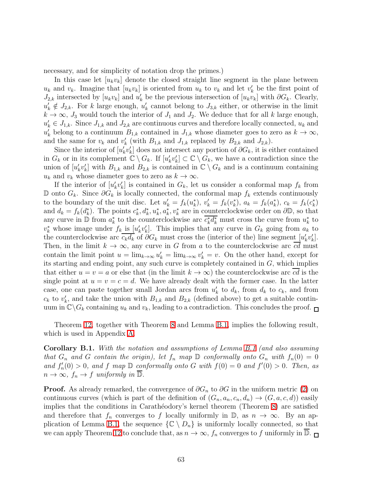necessary, and for simplicity of notation drop the primes.)

In this case let  $[u_kv_k]$  denote the closed straight line segment in the plane between  $u_k$  and  $v_k$ . Imagine that  $[u_k v_k]$  is oriented from  $u_k$  to  $v_k$  and let  $v'_k$  be the first point of  $J_{2,k}$  intersected by  $[u_kv_k]$  and  $u'_k$  be the previous intersection of  $[u_kv_k]$  with  $\partial G_k$ . Clearly,  $u'_{k} \notin J_{2,k}$ . For k large enough,  $u'_{k}$  cannot belong to  $J_{3,k}$  either, or otherwise in the limit  $k \to \infty$ ,  $J_3$  would touch the interior of  $J_1$  and  $J_2$ . We deduce that for all k large enough,  $u'_{k} \in J_{1,k}$ . Since  $J_{1,k}$  and  $J_{2,k}$  are continuous curves and therefore locally connected,  $u_{k}$  and  $u'_{k}$  belong to a continuum  $B_{1,k}$  contained in  $J_{1,k}$  whose diameter goes to zero as  $k \to \infty$ , and the same for  $v_k$  and  $v'_k$  (with  $B_{1,k}$  and  $J_{1,k}$  replaced by  $B_{2,k}$  and  $J_{2,k}$ ).

Since the interior of  $[u'_k v'_k]$  does not intersect any portion of  $\partial G_k$ , it is either contained in  $G_k$  or in its complement  $\mathbb{C} \setminus G_k$ . If  $[u'_k v'_k] \subset \mathbb{C} \setminus G_k$ , we have a contradiction since the union of  $[u'_k v'_k]$  with  $B_{1,k}$  and  $B_{2,k}$  is contained in  $\mathbb{C} \setminus G_k$  and is a continuum containing  $u_k$  and  $v_k$  whose diameter goes to zero as  $k \to \infty$ .

If the interior of  $[u'_k v'_k]$  is contained in  $G_k$ , let us consider a conformal map  $f_k$  from D onto  $G_k$ . Since  $\partial G_k$  is locally connected, the conformal map  $f_k$  extends continuously to the boundary of the unit disc. Let  $u'_k = f_k(u_k^*), v'_k = f_k(v_k^*), a_k = f_k(a_k^*), c_k = f_k(c_k^*)$ and  $d_k = f_k(d_k^*)$ . The points  $c_k^*, d_k^*, u_k^*, a_k^*, v_k^*$  are in counterclockwise order on  $\partial \mathbb{D}$ , so that any curve in  $\mathbb{D}$  from  $a_k^*$  to the counterclockwise arc  $\overline{c_k^*d_k^*}$  must cross the curve from  $u_k^*$  to  $v_k^*$  whose image under  $f_k$  is  $[u'_k v'_k]$ . This implies that any curve in  $G_k$  going from  $a_k$  to the counterclockwise arc  $c_k d_k$  of  $\partial G_k$  must cross the (interior of the) line segment  $[u'_k v'_k]$ . Then, in the limit  $k \to \infty$ , any curve in G from a to the counterclockwise arc cd must contain the limit point  $u = \lim_{k \to \infty} u'_k = \lim_{k \to \infty} v'_k = v$ . On the other hand, except for its starting and ending point, any such curve is completely contained in  $G$ , which implies that either  $u = v = a$  or else that (in the limit  $k \to \infty$ ) the counterclockwise arc cd is the single point at  $u = v = c = d$ . We have already dealt with the former case. In the latter case, one can paste together small Jordan arcs from  $u'_k$  to  $d_k$ , from  $d_k$  to  $c_k$ , and from  $c_k$  to  $v'_k$ , and take the union with  $B_{1,k}$  and  $B_{2,k}$  (defined above) to get a suitable continuum in  $\mathbb{C}\backslash G_k$  containing  $u_k$  and  $v_k$ , leading to a contradiction. This concludes the proof.  $\Box$ 

<span id="page-62-0"></span>Theorem [12,](#page-60-1) together with Theorem [8](#page-59-2) and Lemma [B.1,](#page-60-2) implies the following result, which is used in Appendix [A.](#page-35-0)

Corollary B.1. *With the notation and assumptions of Lemma [B.1](#page-60-2) (and also assuming that*  $G_n$  *and*  $G$  *contain the origin), let*  $f_n$  *map*  $D$  *conformally onto*  $G_n$  *with*  $f_n(0) = 0$ and  $f'_n(0) > 0$ , and f map  $\mathbb{D}$  *conformally onto* G *with*  $f(0) = 0$  *and*  $f'(0) > 0$ *. Then, as*  $n \to \infty$ *,*  $f_n \to f$  *uniformly in*  $\mathbb{D}$ *.* 

**Proof.** As already remarked, the convergence of  $\partial G_n$  to  $\partial G$  in the uniform metric [\(2\)](#page-4-0) on continuous curves (which is part of the definition of  $(G_n, a_n, c_n, d_n) \to (G, a, c, d)$ ) easily implies that the conditions in Carathéodory's kernel theorem (Theorem [8\)](#page-59-2) are satisfied and therefore that  $f_n$  converges to f locally uniformly in  $\mathbb{D}$ , as  $n \to \infty$ . By an ap-plication of Lemma [B.1,](#page-60-2) the sequence  $\{C \setminus D_n\}$  is uniformly locally connected, so that we can apply Theorem [12](#page-60-1) to conclude that, as  $n \to \infty$ ,  $f_n$  converges to f uniformly in  $\overline{\mathbb{D}}$ .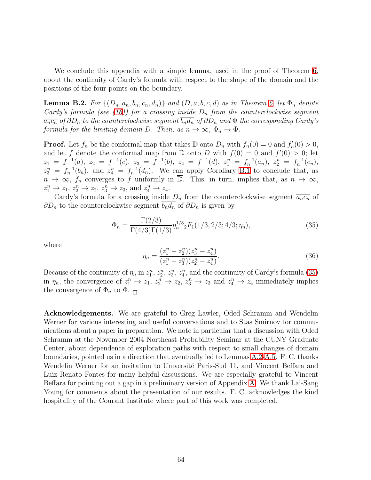We conclude this appendix with a simple lemma, used in the proof of Theorem [6,](#page-42-0) about the continuity of Cardy's formula with respect to the shape of the domain and the positions of the four points on the boundary.

<span id="page-63-0"></span>**Lemma B.2.** For  $\{(D_n, a_n, b_n, c_n, d_n)\}$  and  $(D, a, b, c, d)$  as in Theorem [6,](#page-42-0) let  $\Phi_n$  denote *Cardy's formula (see [\(16\)](#page-36-1)) for a crossing inside*  $D_n$  *from the counterclockwise segment*  $\overline{a_n c_n}$  *of*  $\partial D_n$  *to the counterclockwise segment*  $b_n d_n$  *of*  $\partial D_n$  *and*  $\Phi$  *the corresponding Cardy's formula for the limiting domain* D. Then, as  $n \to \infty$ ,  $\Phi_n \to \Phi$ .

**Proof.** Let  $f_n$  be the conformal map that takes  $\mathbb{D}$  onto  $D_n$  with  $f_n(0) = 0$  and  $f'_n(0) > 0$ , and let f denote the conformal map from  $\mathbb D$  onto D with  $f(0) = 0$  and  $f'(0) > 0$ ; let  $z_1 = f^{-1}(a), z_2 = f^{-1}(c), z_3 = f^{-1}(b), z_4 = f^{-1}(d), z_1^n = f_n^{-1}(a_n), z_2^n = f_n^{-1}(c_n),$  $z_3^n = f_n^{-1}(b_n)$ , and  $z_4^n = f_n^{-1}(d_n)$ . We can apply Corollary [B.1](#page-62-0) to conclude that, as  $n \to \infty$ ,  $f_n$  converges to f uniformly in  $\overline{\mathbb{D}}$ . This, in turn, implies that, as  $n \to \infty$ ,  $z_1^n \rightarrow z_1, z_2^n \rightarrow z_2, z_3^n \rightarrow z_3$ , and  $z_4^n \rightarrow z_4$ .

Cardy's formula for a crossing inside  $D_n$  from the counterclockwise segment  $\overline{a_n c_n}$  of  $\partial D_n$  to the counterclockwise segment  $\overline{b_n d_n}$  of  $\partial D_n$  is given by

$$
\Phi_n = \frac{\Gamma(2/3)}{\Gamma(4/3)\Gamma(1/3)} \eta_n^{1/3} {}_2F_1(1/3, 2/3; 4/3; \eta_n),\tag{35}
$$

where

<span id="page-63-1"></span>
$$
\eta_n = \frac{(z_1^n - z_2^n)(z_3^n - z_4^n)}{(z_1^n - z_3^n)(z_2^n - z_4^n)}.
$$
\n(36)

Because of the continuity of  $\eta_n$  in  $z_1^n$ ,  $z_2^n$ ,  $z_3^n$ ,  $z_4^n$ , and the continuity of Cardy's formula [\(35\)](#page-63-1) in  $\eta_n$ , the convergence of  $z_1^n \to z_1$ ,  $z_2^n \to z_2$ ,  $z_3^n \to z_3$  and  $z_4^n \to z_4$  immediately implies the convergence of  $\Phi_n$  to  $\Phi$ .

Acknowledgements. We are grateful to Greg Lawler, Oded Schramm and Wendelin Werner for various interesting and useful conversations and to Stas Smirnov for communications about a paper in preparation. We note in particular that a discussion with Oded Schramm at the November 2004 Northeast Probability Seminar at the CUNY Graduate Center, about dependence of exploration paths with respect to small changes of domain boundaries, pointed us in a direction that eventually led to Lemmas [A.2-](#page-53-0)[A.5.](#page-55-0) F. C. thanks Wendelin Werner for an invitation to Université Paris-Sud 11, and Vincent Beffara and Luiz Renato Fontes for many helpful discussions. We are especially grateful to Vincent Beffara for pointing out a gap in a preliminary version of Appendix [A.](#page-35-0) We thank Lai-Sang Young for comments about the presentation of our results. F. C. acknowledges the kind hospitality of the Courant Institute where part of this work was completed.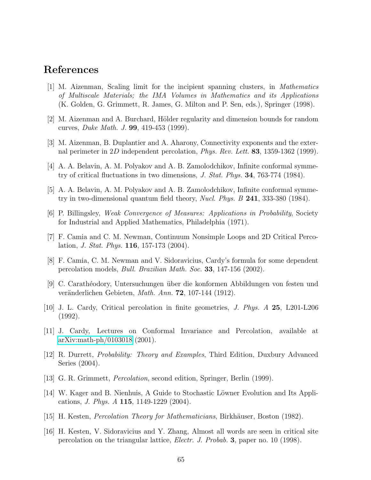### References

- [1] M. Aizenman, Scaling limit for the incipient spanning clusters, in *Mathematics of Multiscale Materials; the IMA Volumes in Mathematics and its Applications* (K. Golden, G. Grimmett, R. James, G. Milton and P. Sen, eds.), Springer (1998).
- [2] M. Aizenman and A. Burchard, Hölder regularity and dimension bounds for random curves, *Duke Math. J.* 99, 419-453 (1999).
- [3] M. Aizenman, B. Duplantier and A. Aharony, Connectivity exponents and the external perimeter in 2D independent percolation, *Phys. Rev. Lett.* 83, 1359-1362 (1999).
- [4] A. A. Belavin, A. M. Polyakov and A. B. Zamolodchikov, Infinite conformal symmetry of critical fluctuations in two dimensions, *J. Stat. Phys.* 34, 763-774 (1984).
- [5] A. A. Belavin, A. M. Polyakov and A. B. Zamolodchikov, Infinite conformal symmetry in two-dimensional quantum field theory, *Nucl. Phys. B* 241, 333-380 (1984).
- [6] P. Billingsley, *Weak Convergence of Measures: Applications in Probability*, Society for Industrial and Applied Mathematics, Philadelphia (1971).
- [7] F. Camia and C. M. Newman, Continuum Nonsimple Loops and 2D Critical Percolation, *J. Stat. Phys.* 116, 157-173 (2004).
- [8] F. Camia, C. M. Newman and V. Sidoravicius, Cardy's formula for some dependent percolation models, *Bull. Brazilian Math. Soc.* 33, 147-156 (2002).
- [9] C. Carath´eodory, Untersuchungen ¨uber die konformen Abbildungen von festen und veränderlichen Gebieten, *Math. Ann.* **72**, 107-144 (1912).
- [10] J. L. Cardy, Critical percolation in finite geometries, *J. Phys. A* 25, L201-L206 (1992).
- [11] J. Cardy, Lectures on Conformal Invariance and Percolation, available at [arXiv:math-ph/0103018](http://arxiv.org/abs/math-ph/0103018) (2001).
- [12] R. Durrett, *Probability: Theory and Examples*, Third Edition, Duxbury Advanced Series (2004).
- [13] G. R. Grimmett, *Percolation*, second edition, Springer, Berlin (1999).
- [14] W. Kager and B. Nienhuis, A Guide to Stochastic Löwner Evolution and Its Applications, *J. Phys. A* 115, 1149-1229 (2004).
- [15] H. Kesten, *Percolation Theory for Mathematicians*, Birkhäuser, Boston (1982).
- [16] H. Kesten, V. Sidoravicius and Y. Zhang, Almost all words are seen in critical site percolation on the triangular lattice, *Electr. J. Probab.* 3, paper no. 10 (1998).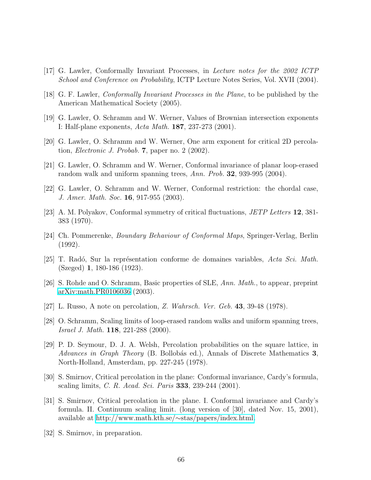- [17] G. Lawler, Conformally Invariant Processes, in *Lecture notes for the 2002 ICTP School and Conference on Probability*, ICTP Lecture Notes Series, Vol. XVII (2004).
- [18] G. F. Lawler, *Conformally Invariant Processes in the Plane*, to be published by the American Mathematical Society (2005).
- [19] G. Lawler, O. Schramm and W. Werner, Values of Brownian intersection exponents I: Half-plane exponents, *Acta Math.* 187, 237-273 (2001).
- [20] G. Lawler, O. Schramm and W. Werner, One arm exponent for critical 2D percolation, *Electronic J. Probab.* 7, paper no. 2 (2002).
- [21] G. Lawler, O. Schramm and W. Werner, Conformal invariance of planar loop-erased random walk and uniform spanning trees, *Ann. Prob.* 32, 939-995 (2004).
- [22] G. Lawler, O. Schramm and W. Werner, Conformal restriction: the chordal case, *J. Amer. Math. Soc.* 16, 917-955 (2003).
- [23] A. M. Polyakov, Conformal symmetry of critical fluctuations, *JETP Letters* 12, 381- 383 (1970).
- [24] Ch. Pommerenke, *Boundary Behaviour of Conformal Maps*, Springer-Verlag, Berlin (1992).
- [25] T. Rad´o, Sur la repr´esentation conforme de domaines variables, *Acta Sci. Math.* (Szeged) 1, 180-186 (1923).
- [26] S. Rohde and O. Schramm, Basic properties of SLE, *Ann. Math.*, to appear, preprint [arXiv:math.PR0106036](http://arxiv.org/abs/math/0106036) (2003).
- [27] L. Russo, A note on percolation, *Z. Wahrsch. Ver. Geb.* 43, 39-48 (1978).
- [28] O. Schramm, Scaling limits of loop-erased random walks and uniform spanning trees, *Israel J. Math.* 118, 221-288 (2000).
- [29] P. D. Seymour, D. J. A. Welsh, Percolation probabilities on the square lattice, in *Advances in Graph Theory* (B. Bollobás ed.), Annals of Discrete Mathematics 3, North-Holland, Amsterdam, pp. 227-245 (1978).
- [30] S. Smirnov, Critical percolation in the plane: Conformal invariance, Cardy's formula, scaling limits, *C. R. Acad. Sci. Paris* 333, 239-244 (2001).
- [31] S. Smirnov, Critical percolation in the plane. I. Conformal invariance and Cardy's formula. II. Continuum scaling limit. (long version of [30], dated Nov. 15, 2001), available at [http://www.math.kth.se/](http://www.math.kth.se/~stas/papers/index.html)∼stas/papers/index.html.
- [32] S. Smirnov, in preparation.